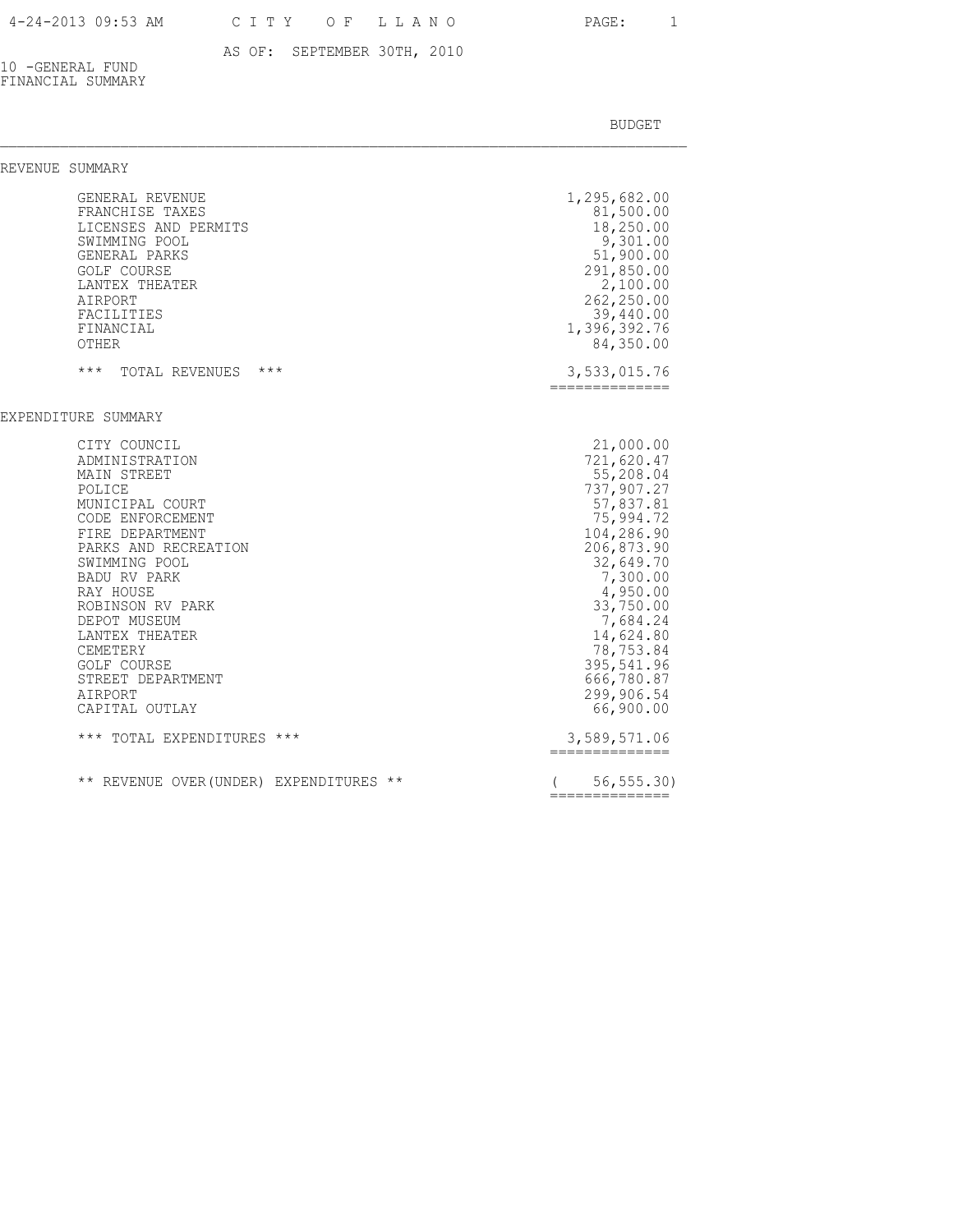### 4-24-2013 09:53 AM C I T Y O F L L A N O PAGE: 1

# AS OF: SEPTEMBER 30TH, 2010

10 -GENERAL FUND FINANCIAL SUMMARY

| REVENUE SUMMARY                                                                                                                                                                                                                                                                                                                                      |                                                                                                                                                                                                                                            |
|------------------------------------------------------------------------------------------------------------------------------------------------------------------------------------------------------------------------------------------------------------------------------------------------------------------------------------------------------|--------------------------------------------------------------------------------------------------------------------------------------------------------------------------------------------------------------------------------------------|
| GENERAL REVENUE<br>FRANCHISE TAXES<br>LICENSES AND PERMITS<br>SWIMMING POOL<br>GENERAL PARKS<br><b>GOLF COURSE</b><br>LANTEX THEATER<br>AIRPORT<br>FACILITIES<br>FINANCIAL<br>OTHER                                                                                                                                                                  | 1,295,682.00<br>81,500.00<br>18,250.00<br>9,301.00<br>51,900.00<br>291,850.00<br>2,100.00<br>262,250.00<br>39,440.00<br>1,396,392.76<br>84,350.00                                                                                          |
| $***$<br>$***$<br>TOTAL REVENUES                                                                                                                                                                                                                                                                                                                     | 3,533,015.76<br>==============                                                                                                                                                                                                             |
| EXPENDITURE SUMMARY<br>CITY COUNCIL<br>ADMINISTRATION<br>MAIN STREET<br>POLICE<br>MUNICIPAL COURT<br>CODE ENFORCEMENT<br>FIRE DEPARTMENT<br>PARKS AND RECREATION<br>SWIMMING POOL<br><b>BADU RV PARK</b><br>RAY HOUSE<br>ROBINSON RV PARK<br>DEPOT MUSEUM<br>LANTEX THEATER<br><b>CEMETERY</b><br><b>GOLF COURSE</b><br>STREET DEPARTMENT<br>AIRPORT | 21,000.00<br>721,620.47<br>55,208.04<br>737,907.27<br>57,837.81<br>75,994.72<br>104,286.90<br>206,873.90<br>32,649.70<br>7,300.00<br>4,950.00<br>33,750.00<br>7,684.24<br>14,624.80<br>78,753.84<br>395,541.96<br>666,780.87<br>299,906.54 |
| CAPITAL OUTLAY                                                                                                                                                                                                                                                                                                                                       | 66,900.00                                                                                                                                                                                                                                  |
| *** TOTAL EXPENDITURES ***                                                                                                                                                                                                                                                                                                                           | 3,589,571.06<br>==============                                                                                                                                                                                                             |
| ** REVENUE OVER (UNDER) EXPENDITURES **                                                                                                                                                                                                                                                                                                              | 56, 555.30)<br>==============                                                                                                                                                                                                              |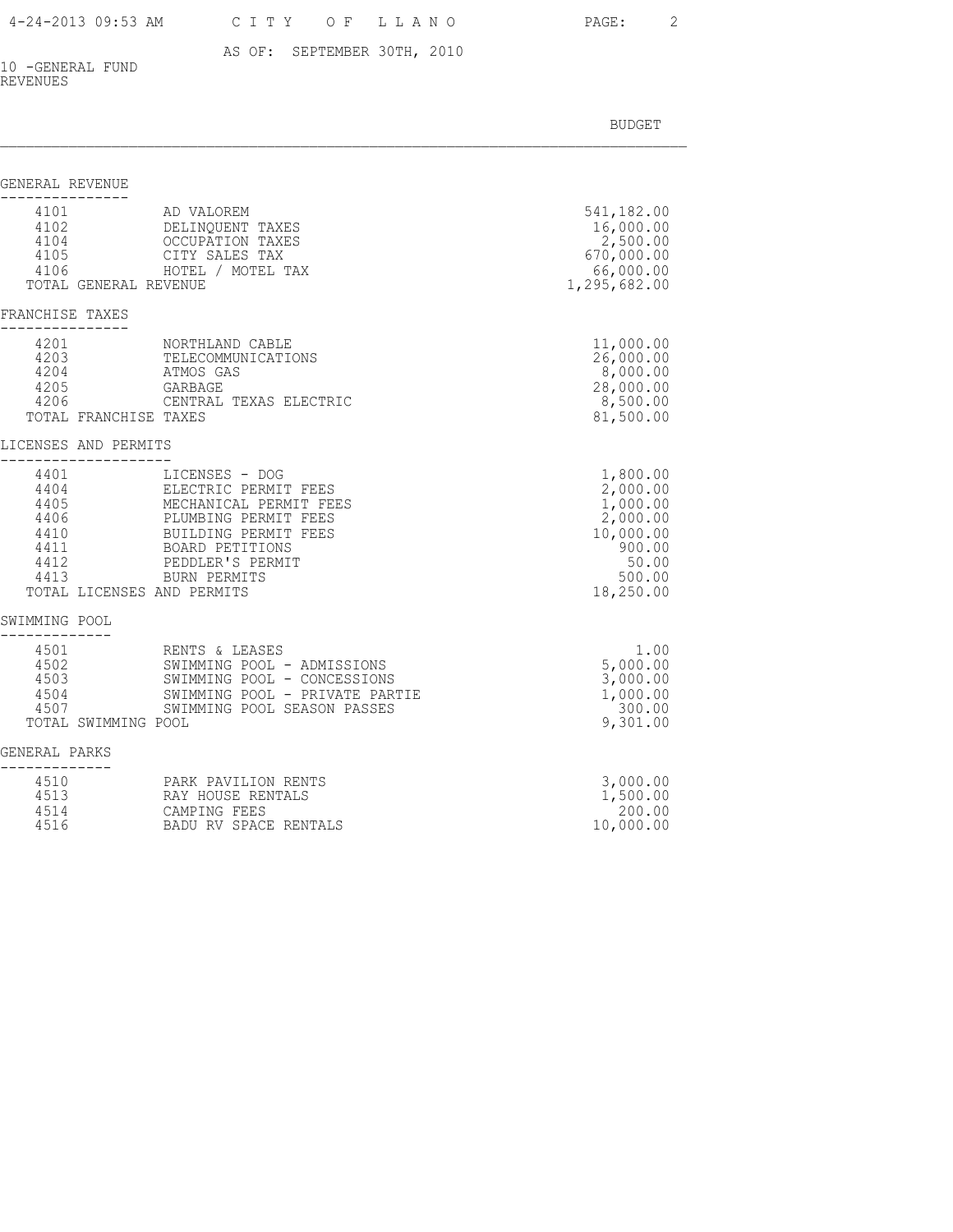### 4-24-2013 09:53 AM C I T Y O F L L A N O PAGE: 2

### AS OF: SEPTEMBER 30TH, 2010

10 -GENERAL FUND REVENUES

| GENERAL REVENUE                                                                            |                                                                                                                                                                                       |                                                                                                     |
|--------------------------------------------------------------------------------------------|---------------------------------------------------------------------------------------------------------------------------------------------------------------------------------------|-----------------------------------------------------------------------------------------------------|
| 4101<br>4102<br>4104<br>4105<br>4106<br>TOTAL GENERAL REVENUE                              | AD VALOREM<br>DELINQUENT TAXES<br>OCCUPATION TAXES<br>CITY SALES TAX<br>HOTEL / MOTEL TAX                                                                                             | 541,182.00<br>16,000.00<br>2,500.00<br>670,000.00<br>66,000.00<br>1,295,682.00                      |
| FRANCHISE TAXES                                                                            |                                                                                                                                                                                       |                                                                                                     |
| 4201<br>4203<br>4204<br>4205<br>4206<br>TOTAL FRANCHISE TAXES                              | NORTHLAND CABLE<br>TELECOMMUNICATIONS<br>ATMOS GAS<br>GARBAGE<br>CENTRAL TEXAS ELECTRIC                                                                                               | 11,000.00<br>26,000.00<br>8,000.00<br>28,000.00<br>8,500.00<br>81,500.00                            |
| LICENSES AND PERMITS                                                                       |                                                                                                                                                                                       |                                                                                                     |
| 4401<br>4404<br>4405<br>4406<br>4410<br>4411<br>4412<br>4413<br>TOTAL LICENSES AND PERMITS | LICENSES - DOG<br>ELECTRIC PERMIT FEES<br>MECHANICAL PERMIT FEES<br>PLUMBING PERMIT FEES<br>BUILDING PERMIT FEES<br><b>BOARD PETITIONS</b><br>PEDDLER'S PERMIT<br><b>BURN PERMITS</b> | 1,800.00<br>2,000.00<br>1,000.00<br>2,000.00<br>10,000.00<br>900.00<br>50.00<br>500.00<br>18,250.00 |
| SWIMMING POOL                                                                              |                                                                                                                                                                                       |                                                                                                     |
| 4501<br>4502<br>4503<br>4504<br>4507<br>TOTAL SWIMMING POOL                                | RENTS & LEASES<br>SWIMMING POOL - ADMISSIONS<br>SWIMMING POOL - CONCESSIONS<br>SWIMMING POOL - PRIVATE PARTIE<br>SWIMMING POOL SEASON PASSES                                          | 1.00<br>5,000.00<br>3,000.00<br>1,000.00<br>300.00<br>9,301.00                                      |
| GENERAL PARKS                                                                              |                                                                                                                                                                                       |                                                                                                     |
| 4510<br>4513<br>4514<br>4516                                                               | PARK PAVILION RENTS<br>RAY HOUSE RENTALS<br>CAMPING FEES<br>BADU RV SPACE RENTALS                                                                                                     | 3,000.00<br>1,500.00<br>200.00<br>10,000.00                                                         |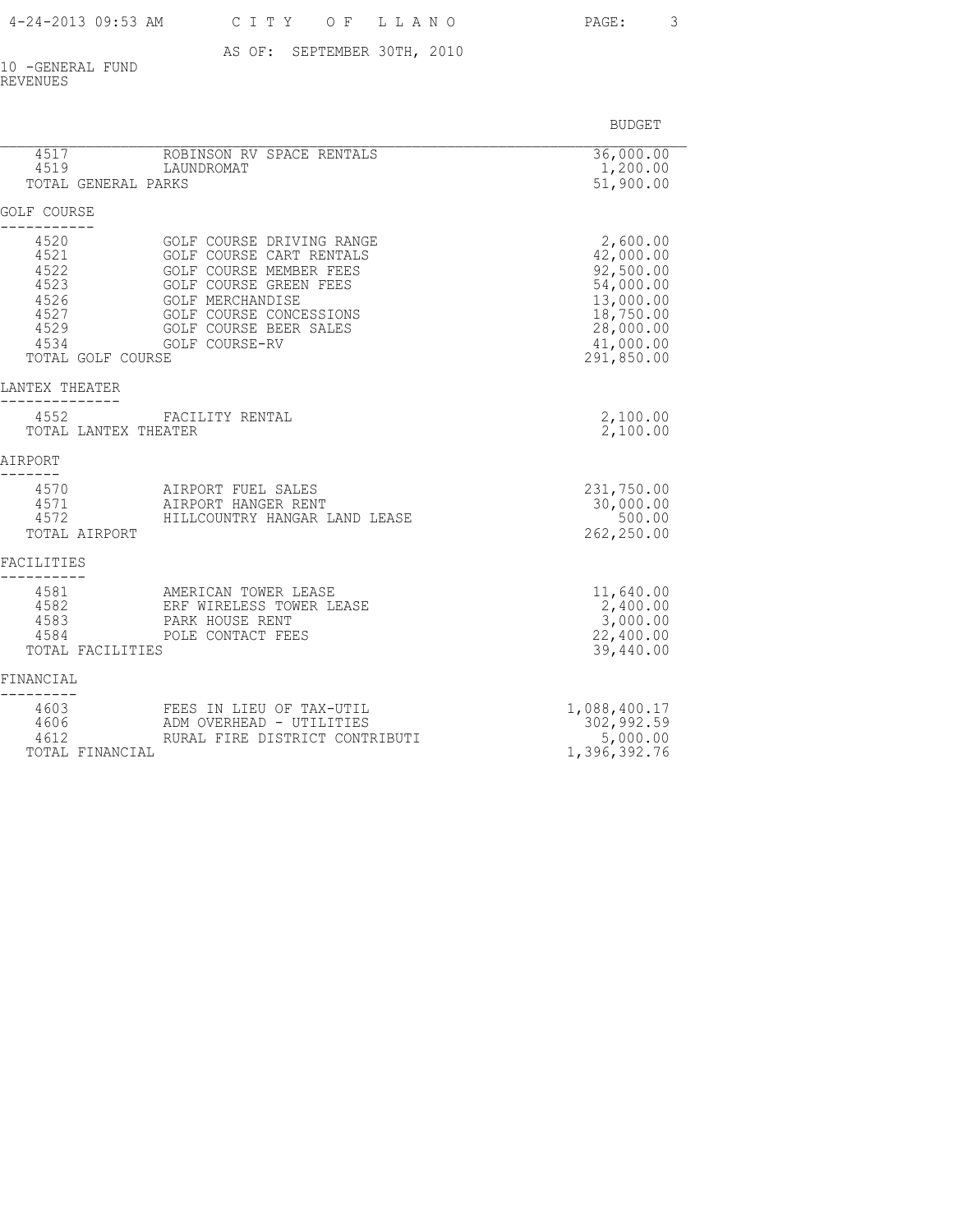PAGE: 3

AS OF: SEPTEMBER 30TH, 2010

10 -GENERAL FUND REVENUES

| 4517<br>4519<br>TOTAL GENERAL PARKS                                               | ROBINSON RV SPACE RENTALS<br>LAUNDROMAT                                                                                                                                                                      | 36,000.00<br>1,200.00<br>51,900.00                                                                                |
|-----------------------------------------------------------------------------------|--------------------------------------------------------------------------------------------------------------------------------------------------------------------------------------------------------------|-------------------------------------------------------------------------------------------------------------------|
| GOLF COURSE                                                                       |                                                                                                                                                                                                              |                                                                                                                   |
| 4520<br>4521<br>4522<br>4523<br>4526<br>4527<br>4529<br>4534<br>TOTAL GOLF COURSE | GOLF COURSE DRIVING RANGE<br>GOLF COURSE CART RENTALS<br>GOLF COURSE MEMBER FEES<br>GOLF COURSE GREEN FEES<br><b>GOLF MERCHANDISE</b><br>GOLF COURSE CONCESSIONS<br>GOLF COURSE BEER SALES<br>GOLF COURSE-RV | 2,600.00<br>42,000.00<br>92,500.00<br>54,000.00<br>13,000.00<br>18,750.00<br>28,000.00<br>41,000.00<br>291,850.00 |
| LANTEX THEATER                                                                    |                                                                                                                                                                                                              |                                                                                                                   |
| 4552<br>TOTAL LANTEX THEATER                                                      | FACILITY RENTAL                                                                                                                                                                                              | 2,100.00<br>2,100.00                                                                                              |
| AIRPORT                                                                           |                                                                                                                                                                                                              |                                                                                                                   |
| 4570<br>4571<br>4572<br>TOTAL AIRPORT                                             | AIRPORT FUEL SALES<br>AIRPORT HANGER RENT<br>HILLCOUNTRY HANGAR LAND LEASE                                                                                                                                   | 231,750.00<br>30,000.00<br>500.00<br>262,250.00                                                                   |
| FACILITIES                                                                        |                                                                                                                                                                                                              |                                                                                                                   |
| 4581<br>4582<br>4583<br>4584<br>TOTAL FACILITIES                                  | AMERICAN TOWER LEASE<br>ERF WIRELESS TOWER LEASE<br>PARK HOUSE RENT<br>POLE CONTACT FEES                                                                                                                     | 11,640.00<br>2,400.00<br>3,000.00<br>22,400.00<br>39,440.00                                                       |
| FINANCIAL                                                                         |                                                                                                                                                                                                              |                                                                                                                   |
| 4603<br>4606<br>4612<br>TOTAL FINANCIAL                                           | FEES IN LIEU OF TAX-UTIL<br>ADM OVERHEAD - UTILITIES<br>RURAL FIRE DISTRICT CONTRIBUTI                                                                                                                       | 1,088,400.17<br>302,992.59<br>5,000.00<br>1,396,392.76                                                            |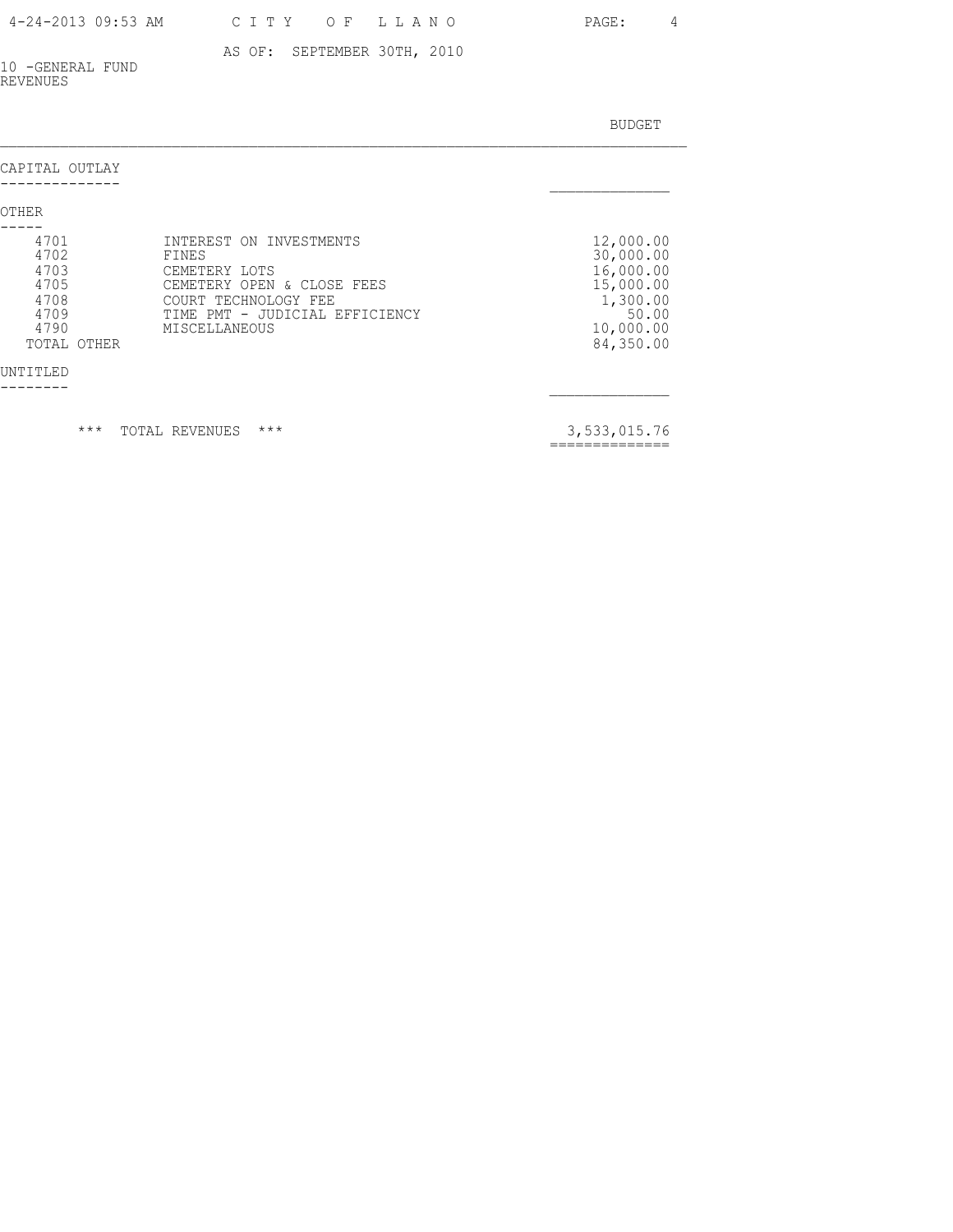### 4-24-2013 09:53 AM C I T Y O F L L A N O PAGE: 4

### AS OF: SEPTEMBER 30TH, 2010

10 -GENERAL FUND REVENUES

BUDGET AND RESERVE AND RESERVE AND RESERVE AND RESERVE AND RESERVE AND RESERVE AND RESERVE AND RESERVE AND RESERVE AND RESERVE AND RESERVE AND RESERVE AND RESERVE AND RESERVE AND RESPONDING A REPORT OF A REPORT OF A REPORT

| CAPITAL OUTLAY                                                                      |                                                                                                                                                            |                                                                                                 |
|-------------------------------------------------------------------------------------|------------------------------------------------------------------------------------------------------------------------------------------------------------|-------------------------------------------------------------------------------------------------|
| OTHER                                                                               |                                                                                                                                                            |                                                                                                 |
| 4701<br>4702<br>4703<br>4705<br>4708<br>4709<br>4790<br>TOTAL OTHER<br>UNT T T LE D | INTEREST ON INVESTMENTS<br>FINES<br>CEMETERY LOTS<br>CEMETERY OPEN & CLOSE FEES<br>COURT TECHNOLOGY FEE<br>TIME PMT - JUDICIAL EFFICIENCY<br>MISCELLANEOUS | 12,000.00<br>30,000.00<br>16,000.00<br>15,000.00<br>1,300.00<br>50.00<br>10,000.00<br>84,350.00 |

\*\*\* TOTAL REVENUES \*\*\* 2,533,015.76

==============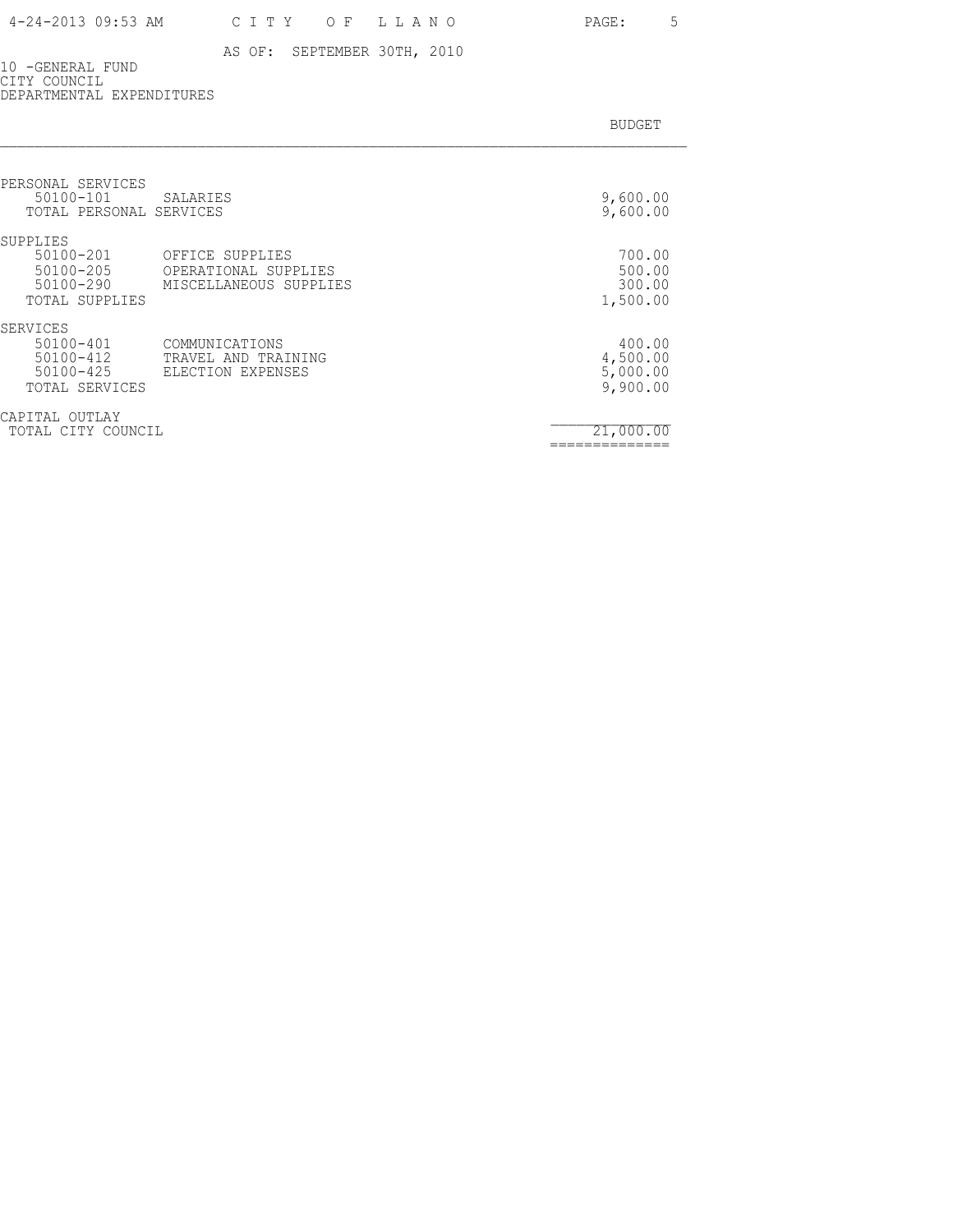10 -GENERAL FUND CITY COUNCIL DEPARTMENTAL EXPENDITURES

| PERSONAL SERVICES<br>$50100 - 101$<br>TOTAL PERSONAL SERVICES                 | SALARIES                                                          | 9,600.00<br>9,600.00                       |
|-------------------------------------------------------------------------------|-------------------------------------------------------------------|--------------------------------------------|
| SUPPLIES<br>$50100 - 201$<br>$50100 - 205$<br>$50100 - 290$<br>TOTAL SUPPLIES | OFFICE SUPPLIES<br>OPERATIONAL SUPPLIES<br>MISCELLANEOUS SUPPLIES | 700.00<br>500.00<br>300.00<br>1,500.00     |
| SERVICES<br>$50100 - 401$<br>$50100 - 412$<br>$50100 - 425$<br>TOTAL SERVICES | COMMUNICATIONS<br>TRAVEL AND TRAINING<br>ELECTION EXPENSES        | 400.00<br>4,500.00<br>5,000.00<br>9,900.00 |
| CAPITAL<br>OUTLAY<br>TOTAL CITY COUNCIL                                       |                                                                   | 21,000.00                                  |

==============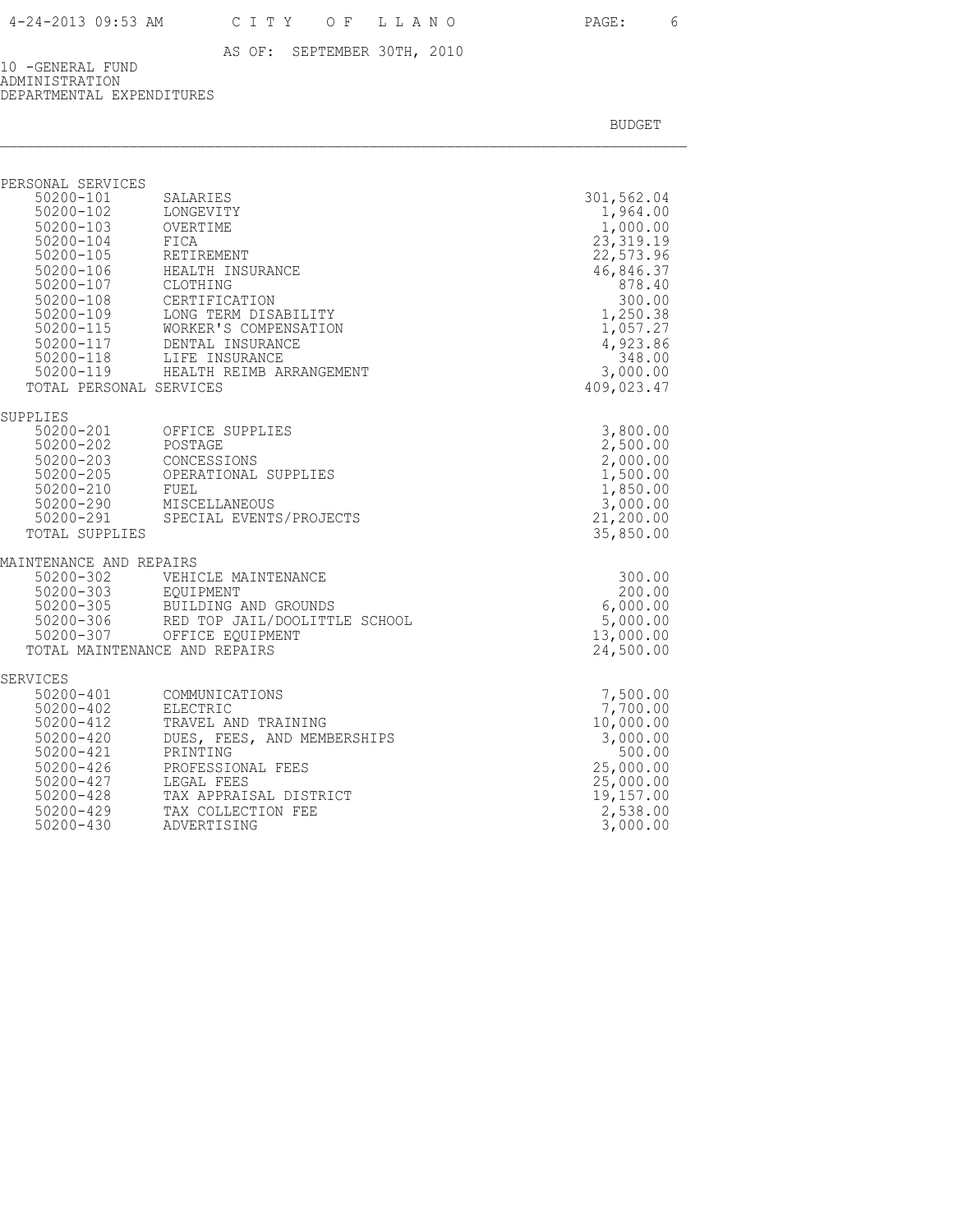10 -GENERAL FUND ADMINISTRATION DEPARTMENTAL EXPENDITURES

BUDGET AND RESERVE AND RESERVE AND RESERVE AND RESERVE AND RESERVE AND RESERVE AND RESERVE AND RESERVE AND RESERVE AND RESERVE AND RESERVE AND RESERVE AND RESERVE AND RESERVE AND RESPONDING A REPORT OF A REPORT OF A REPORT

| PERSONAL SERVICES                                                                         |                                                                                                                                                                                                                                                                                                                |                                                                                                                                                                        |
|-------------------------------------------------------------------------------------------|----------------------------------------------------------------------------------------------------------------------------------------------------------------------------------------------------------------------------------------------------------------------------------------------------------------|------------------------------------------------------------------------------------------------------------------------------------------------------------------------|
| 50200-101<br>50200-102<br>50200-103 OVERTIME<br>50200-104 FICA<br>TOTAL PERSONAL SERVICES | SALARIES<br>LONGEVITY<br>50200-105 RETIREMENT<br>50200-106 HEALTH INSURANCE<br>50200-107 CLOTHING<br>50200-107 CLOINING<br>50200-109 LONG TERM DISABILITY<br>50200-115 WORKER'S COMPENSATION<br>50200-117 DENTAL INSURANCE<br>50200-118 LIFE INSURANCE<br>LIFE INSURANCE<br>50200-119 HEALTH REIMB ARRANGEMENT | 301,562.04<br>1,964.00<br>1,000.00<br>23, 319.19<br>22,573.96<br>46,846.37<br>878.40<br>300.00<br>1,250.38<br>1,057.27<br>4,923.86<br>348.00<br>3,000.00<br>409,023.47 |
|                                                                                           |                                                                                                                                                                                                                                                                                                                |                                                                                                                                                                        |
| SUPPLIES<br>50200-202 POSTAGE<br>TOTAL SUPPLIES                                           | 50200-201 OFFICE SUPPLIES<br>OPERATIONAL SUPPLIES<br>50200-290 MISCELLANEOUS<br>50200-291 SPECIAL EVENTS/PROJECTS                                                                                                                                                                                              | 3,800.00<br>2,500.00<br>2,000.00<br>1,500.00<br>1,850.00<br>3,000.00<br>21, 200.00<br>35,850.00                                                                        |
| MAINTENANCE AND REPAIRS                                                                   |                                                                                                                                                                                                                                                                                                                |                                                                                                                                                                        |
| 50200-302                                                                                 | VEHICLE MAINTENANCE<br>90200-902<br>50200-303 EQUIPMENT<br>50200-305 BUILDING AND GROUNDS<br>50200-306 RED TOP JAIL/DOOLITTLE SCHOOL<br>50200-307 OFFICE EQUIPMENT<br>TOTAL MAINTENANCE AND REPAIRS                                                                                                            | 300.00<br>200.00<br>6,000.00<br>5,000.00<br>13,000.00<br>24,500.00                                                                                                     |
| SERVICES                                                                                  |                                                                                                                                                                                                                                                                                                                |                                                                                                                                                                        |
| 50200-402<br>50200-412<br>50200-420<br>50200-421<br>50200-426<br>50200-429                | 50200-401 COMMUNICATIONS<br>ELECTRIC<br>TRAVEL AND TRAINING<br>DUES, FEES, AND MEMBERSHIPS<br>PRINTING<br>PROFESSIONAL FEES<br>50200-426 PROFESSION.<br>50200-427 LEGAL FEES<br>50200-428 TAX APPRAISAL DISTRICT<br>TAX COLLECTION FEE                                                                         | 7,500.00<br>7,700.00<br>10,000.00<br>3,000.00<br>500.00<br>25,000.00<br>25,000.00<br>19,157.00<br>2,538.00                                                             |

50200-430 ADVERTISING 3,000.00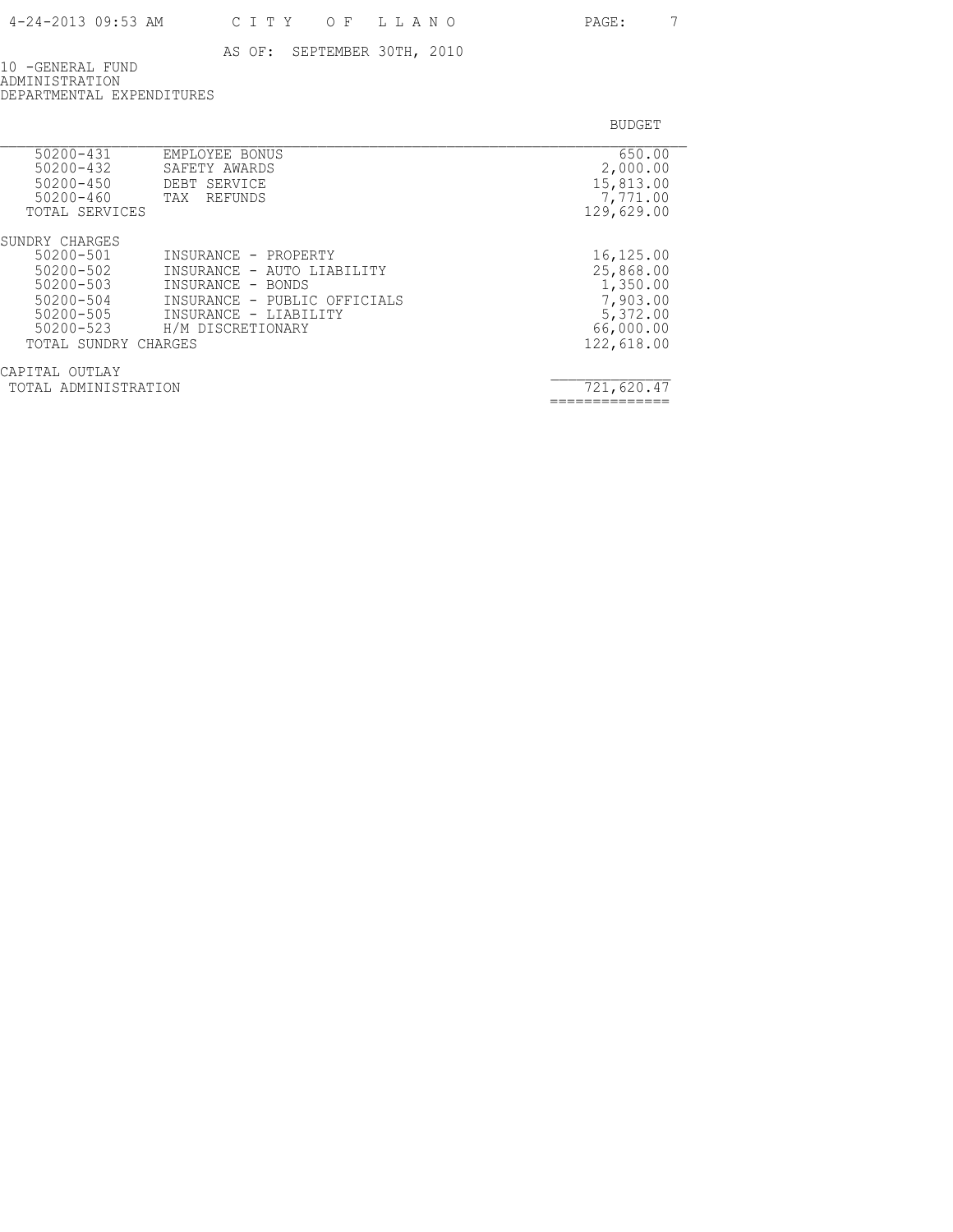10 -GENERAL FUND ADMINISTRATION DEPARTMENTAL EXPENDITURES

| $50200 - 431$<br>$50200 - 432$<br>$50200 - 450$<br>$50200 - 460$<br>TOTAL SERVICES | EMPLOYEE BONUS<br>SAFETY AWARDS<br>DEBT SERVICE<br>REFUNDS<br>TAX | 650.00<br>2,000.00<br>15,813.00<br>7,771.00<br>129,629.00 |
|------------------------------------------------------------------------------------|-------------------------------------------------------------------|-----------------------------------------------------------|
| SUNDRY CHARGES                                                                     |                                                                   |                                                           |
| 50200-501                                                                          | INSURANCE - PROPERTY                                              | 16,125.00                                                 |
| 50200-502                                                                          | INSURANCE - AUTO LIABILITY                                        | 25,868.00                                                 |
| $50200 - 503$                                                                      | INSURANCE - BONDS                                                 | 1,350.00                                                  |
| 50200-504                                                                          | INSURANCE - PUBLIC OFFICIALS                                      | 7,903.00                                                  |
| 50200-505                                                                          | INSURANCE - LIABILITY                                             | 5,372.00                                                  |
| 50200-523                                                                          | H/M DISCRETIONARY                                                 | 66,000.00                                                 |
| TOTAL SUNDRY CHARGES                                                               |                                                                   | 122,618.00                                                |
| САРТТАІ.<br>OUTLAY                                                                 |                                                                   |                                                           |
| TOTAL ADMINISTRATION                                                               |                                                                   | 721,620.47                                                |
|                                                                                    |                                                                   |                                                           |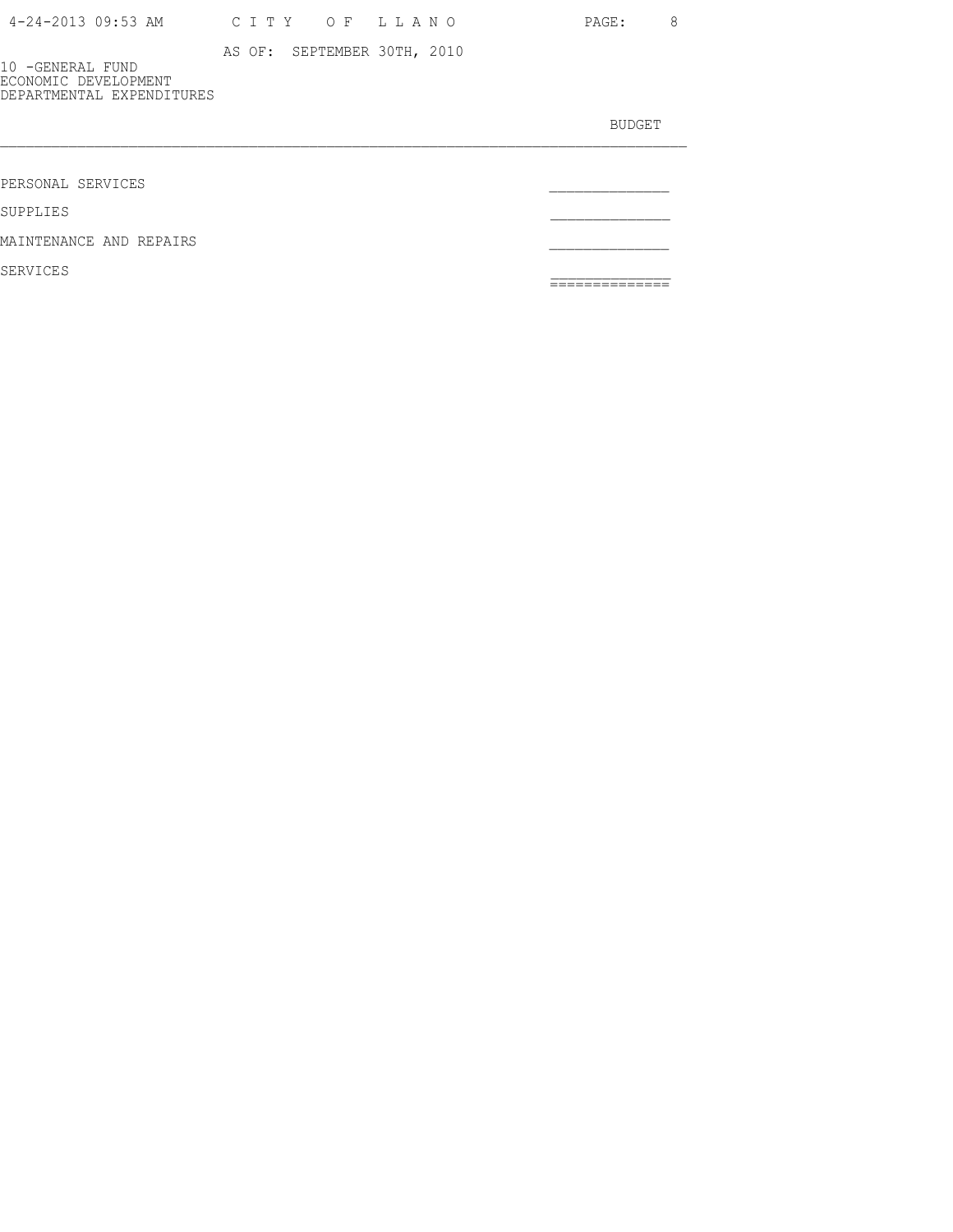| 4-24-2013 09:53 AM |  |  |  |  |  | CITY OF LLANO |  |  |  |  |  |  |  |
|--------------------|--|--|--|--|--|---------------|--|--|--|--|--|--|--|
|--------------------|--|--|--|--|--|---------------|--|--|--|--|--|--|--|

PAGE: 8

AS OF: SEPTEMBER 30TH, 2010

10 -GENERAL FUND ECONOMIC DEVELOPMENT DEPARTMENTAL EXPENDITURES

BUDGET AND RESERVE AND RESERVE AND RESERVE AND RESERVE AND RESERVE AND RESERVE AND RESERVE AND RESERVE AND RESERVE AND RESERVE AND RESERVE AND RESERVE AND RESERVE AND RESERVE AND RESPONDING A REPORT OF A REPORT OF A REPORT

PERSONAL SERVICES \_\_\_\_\_\_\_\_\_\_\_\_\_\_

SUPPLIES \_\_\_\_\_\_\_\_\_\_\_\_\_\_

MAINTENANCE AND REPAIRS

SERVICES \_\_\_\_\_\_\_\_\_\_\_\_\_\_ ==============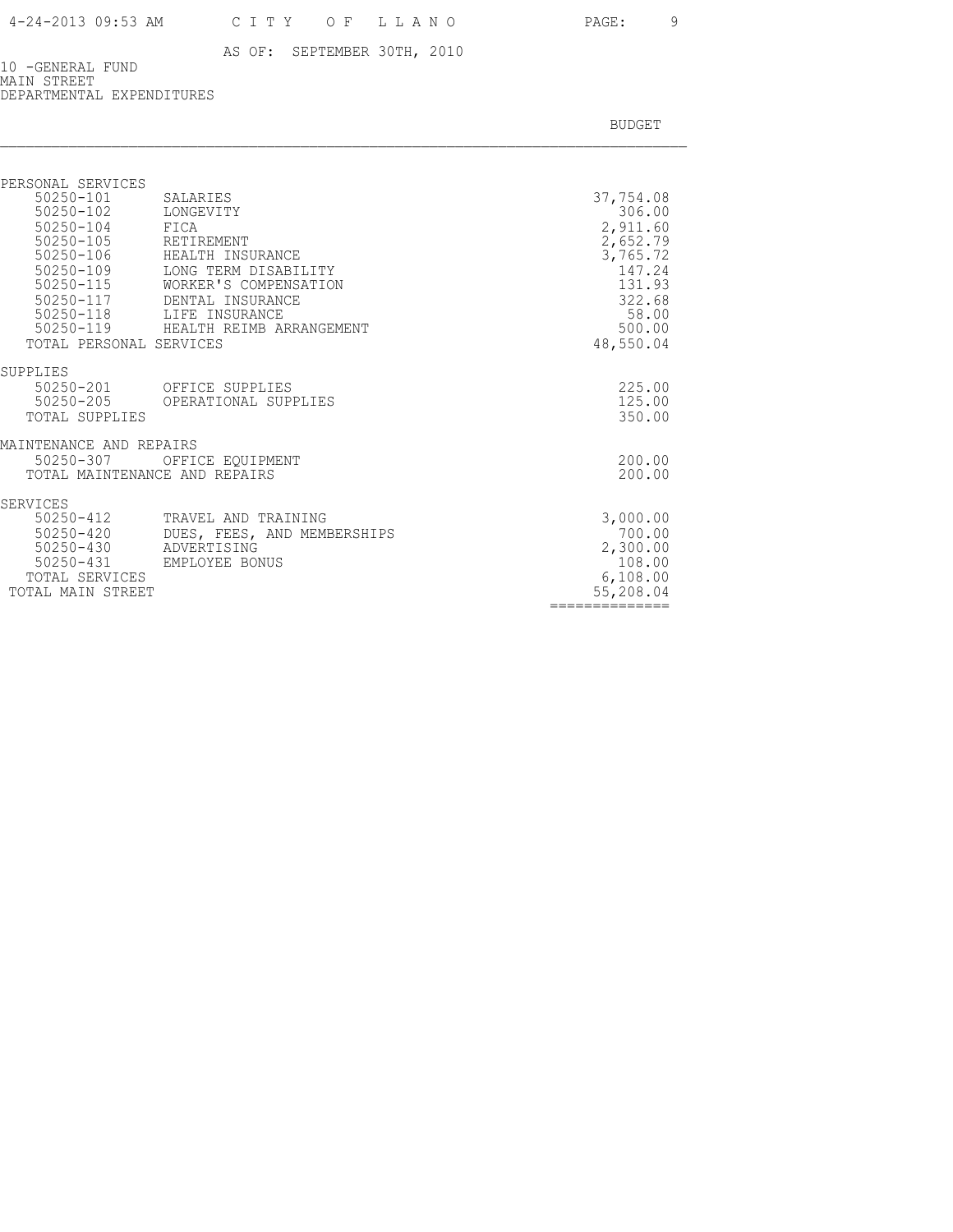10 -GENERAL FUND MAIN STREET DEPARTMENTAL EXPENDITURES

| SALARIES                     | 37,754.08                                                                                                                                                                                                                    |
|------------------------------|------------------------------------------------------------------------------------------------------------------------------------------------------------------------------------------------------------------------------|
|                              | 306.00                                                                                                                                                                                                                       |
|                              | 2,911.60                                                                                                                                                                                                                     |
|                              | 2,652.79<br>3,765.72                                                                                                                                                                                                         |
|                              | 147.24                                                                                                                                                                                                                       |
| WORKER'S COMPENSATION        | 131.93                                                                                                                                                                                                                       |
| DENTAL INSURANCE             | 322.68                                                                                                                                                                                                                       |
| LIFE INSURANCE               | 58.00                                                                                                                                                                                                                        |
|                              | 500.00                                                                                                                                                                                                                       |
|                              | 48,550.04                                                                                                                                                                                                                    |
|                              |                                                                                                                                                                                                                              |
| 50250-201<br>OFFICE SUPPLIES | 225.00                                                                                                                                                                                                                       |
|                              | 125.00                                                                                                                                                                                                                       |
|                              | 350.00                                                                                                                                                                                                                       |
| MAINTENANCE AND REPAIRS      |                                                                                                                                                                                                                              |
| OFFICE EOUIPMENT             | 200.00                                                                                                                                                                                                                       |
|                              | 200.00                                                                                                                                                                                                                       |
|                              |                                                                                                                                                                                                                              |
| TRAVEL AND TRAINING          | 3,000.00                                                                                                                                                                                                                     |
| DUES, FEES, AND MEMBERSHIPS  | 700.00                                                                                                                                                                                                                       |
|                              | 2,300.00                                                                                                                                                                                                                     |
|                              | 108.00<br>6,108.00                                                                                                                                                                                                           |
| TOTAL MAIN STREET            | 55,208.04                                                                                                                                                                                                                    |
|                              | --------------                                                                                                                                                                                                               |
| 50250-119                    | LONGEVITY<br>FICA<br>RETIREMENT<br>HEALTH INSURANCE<br>LONG TERM DISABILITY<br>HEALTH REIMB ARRANGEMENT<br>TOTAL PERSONAL SERVICES<br>OPERATIONAL SUPPLIES<br>TOTAL MAINTENANCE AND REPAIRS<br>ADVERTISING<br>EMPLOYEE BONUS |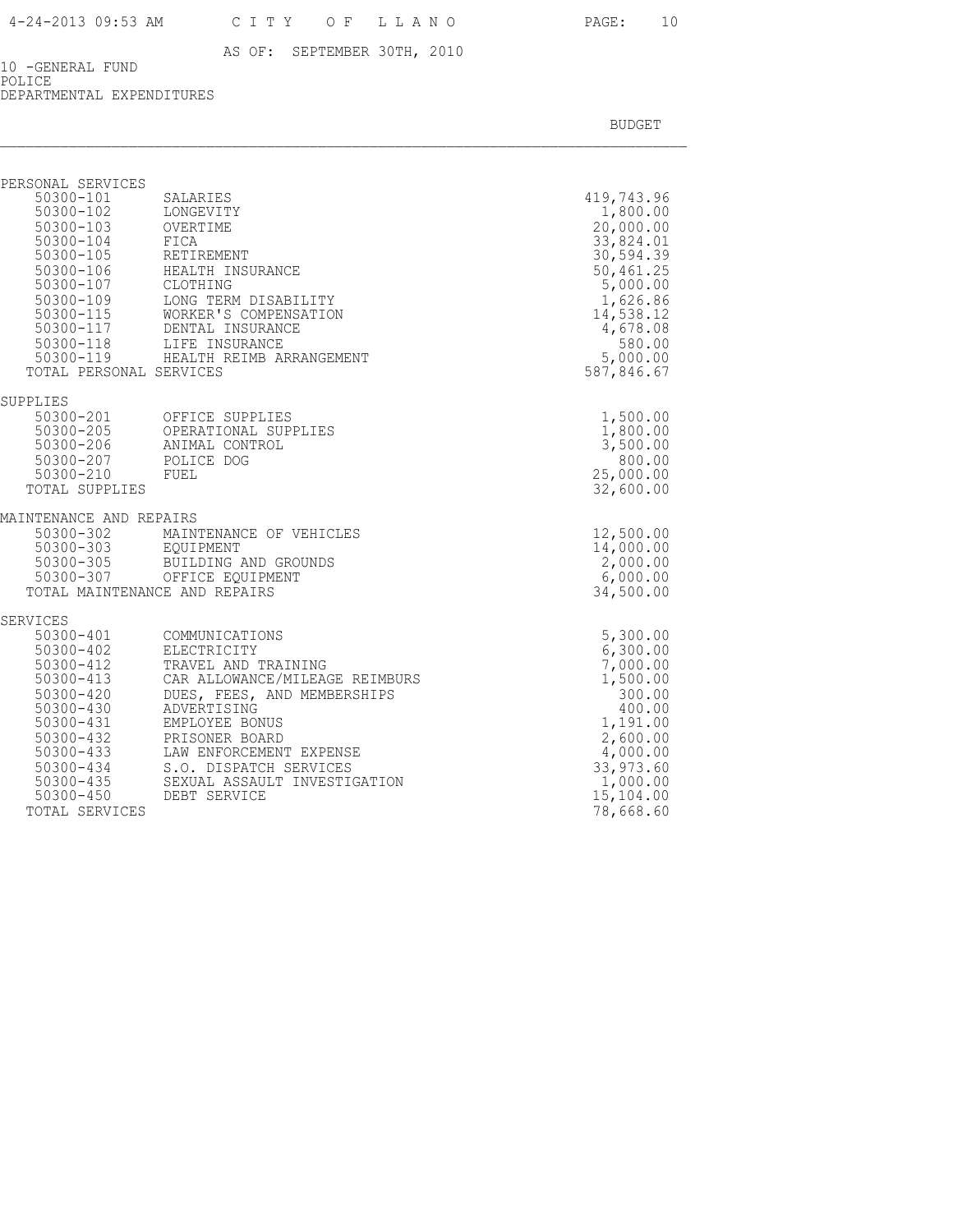10 -GENERAL FUND POLICE DEPARTMENTAL EXPENDITURES

| PERSONAL SERVICES<br>50300-101       | SALARIES                                                                                                    | 419,743.96             |
|--------------------------------------|-------------------------------------------------------------------------------------------------------------|------------------------|
| 50300-102                            | LONGEVITY                                                                                                   | 1,800.00               |
| 50300-103 OVERTIME<br>50300-104 FICA |                                                                                                             | 20,000.00              |
| $50300 - 105$                        | FICA<br>RETIREMENT                                                                                          | 33,824.01<br>30,594.39 |
| 50300-106                            | HEALTH INSURANCE                                                                                            | 50,461.25              |
| 50300-107                            | CLOTHING                                                                                                    | 5,000.00               |
| $50300 - 109$                        | LONG TERM DISABILITY                                                                                        | 1,626.86<br>14,538.12  |
|                                      | 50300-115<br>WORKER'S COMPENSATION<br>50300-117<br>DENTAL INSURANCE<br>50300-118<br>LIFE INSURANCE          | 4,678.08               |
|                                      |                                                                                                             | 580.00                 |
| TOTAL PERSONAL SERVICES              | 50300-119 HEALTH REIMB ARRANGEMENT                                                                          | 5,000.00<br>587,846.67 |
|                                      |                                                                                                             |                        |
| SUPPLIES                             |                                                                                                             |                        |
|                                      | 50300-201 OFFICE SUPPLIES<br>50300-205 OPERATIONAL SUPI<br>50300-206 ANIMAL CONTROL<br>OPERATIONAL SUPPLIES | 1,500.00<br>1,800.00   |
|                                      |                                                                                                             | 3,500.00               |
| 50300-210                            | 50300-207 POLICE DOG<br>FUEL                                                                                | 800.00<br>25,000.00    |
| TOTAL SUPPLIES                       |                                                                                                             | 32,600.00              |
| MAINTENANCE AND REPAIRS              |                                                                                                             |                        |
| 50300-302                            | MAINTENANCE OF VEHICLES                                                                                     | 12,500.00              |
| 50300-303 EQUIPMENT                  |                                                                                                             | 14,000.00              |
| $50300 - 305$                        | BUILDING AND GROUNDS<br>50300-307 OFFICE EQUIPMENT                                                          | 2,000.00<br>6,000.00   |
|                                      | TOTAL MAINTENANCE AND REPAIRS                                                                               | 34,500.00              |
| SERVICES                             |                                                                                                             |                        |
| 50300-401                            | COMMUNICATIONS                                                                                              | 5,300.00               |
| $50300 - 402$<br>50300-412           | ELECTRICITY<br>TRAVEL AND TRAINING                                                                          | 6,300.00<br>7,000.00   |
| $50300 - 413$                        | CAR ALLOWANCE/MILEAGE REIMBURS                                                                              | 1,500.00               |
| 50300-420                            | DUES, FEES, AND MEMBERSHIPS                                                                                 | 300.00                 |
| $50300 - 430$<br>50300-431           | ADVERTISING<br>EMPLOYEE BONUS                                                                               | 400.00<br>1,191.00     |
| 50300-432                            | PRISONER BOARD                                                                                              | 2,600.00               |
| 50300-433                            | LAW ENFORCEMENT EXPENSE                                                                                     | 4,000.00               |
| 50300-434                            | S.O. DISPATCH SERVICES                                                                                      | 33,973.60              |
| 50300-435<br>$50300 - 450$           | SEXUAL ASSAULT INVESTIGATION<br>DEBT SERVICE                                                                | 1,000.00<br>15,104.00  |
| TOTAL SERVICES                       |                                                                                                             | 78,668.60              |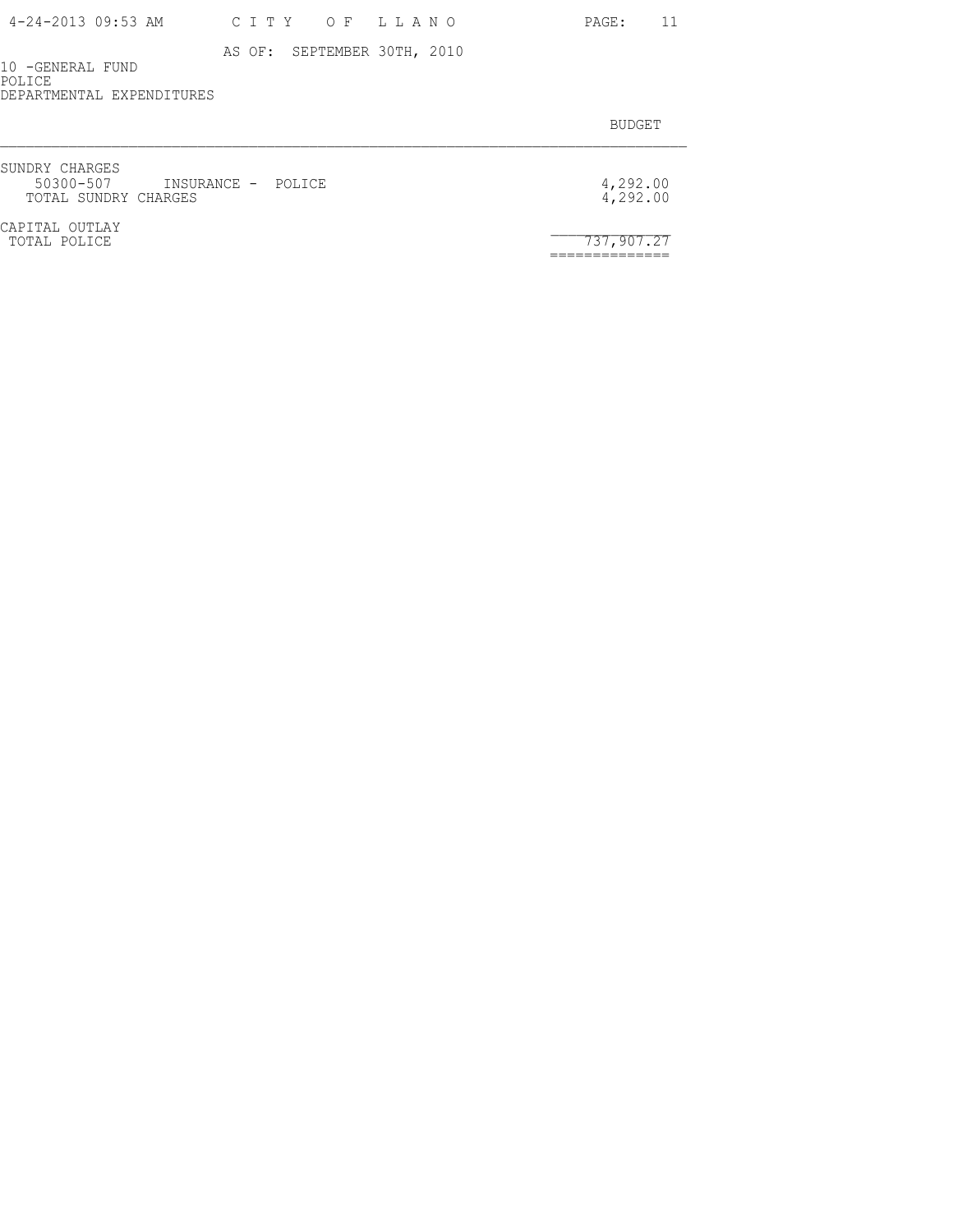| 4-24-2013 09:53 AM |  | CITY OF LLANO |  |
|--------------------|--|---------------|--|
|--------------------|--|---------------|--|

10 -GENERAL FUND POLICE DEPARTMENTAL EXPENDITURES

BUDGET AND RESERVE AND RESERVE AND RESERVE AND RESERVE AND RESERVE AND RESERVE AND RESERVE AND RESERVE AND RESERVE AND RESERVE AND RESERVE AND RESERVE AND RESERVE AND RESERVE AND RESPONDING A REPORT OF A REPORT OF A REPORT

PAGE: 11

| SUNDRY CHARGES<br>50300-507 INSURANCE - POLICE<br>TOTAL SUNDRY CHARGES | 4,292.00<br>4,292.00 |
|------------------------------------------------------------------------|----------------------|
| CAPITAL OUTLAY<br>TOTAL POLICE                                         | 737.907.27           |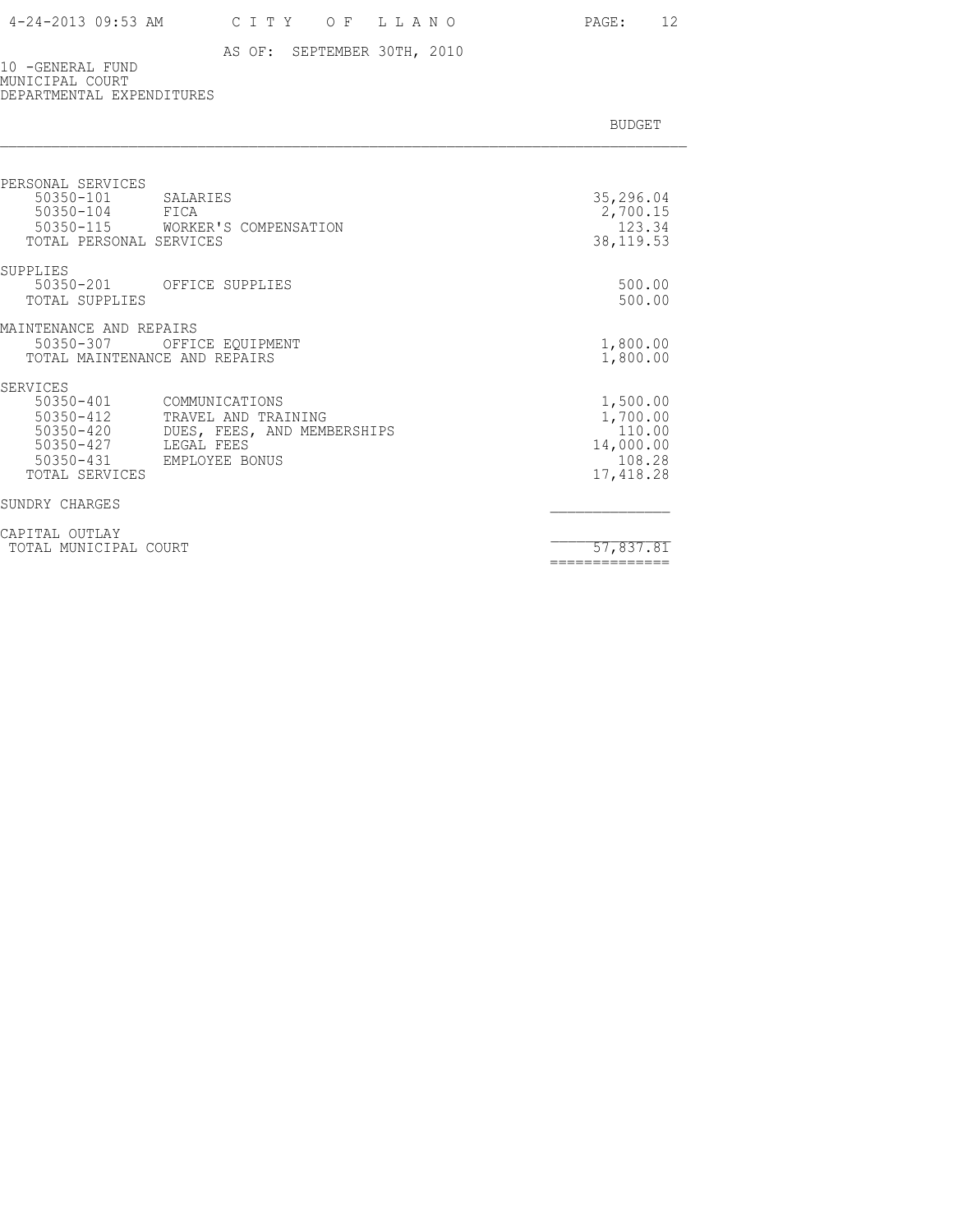### 4-24-2013 09:53 AM C I T Y O F L L A N O PAGE: 12

### AS OF: SEPTEMBER 30TH, 2010

10 -GENERAL FUND MUNICIPAL COURT DEPARTMENTAL EXPENDITURES

| PERSONAL SERVICES<br>50350-101<br>SALARIES<br>50350-104<br>FICA<br>50350-115 WORKER'S COMPENSATION                                                                                                  | 35,296.04<br>2,700.15<br>123.34                                     |
|-----------------------------------------------------------------------------------------------------------------------------------------------------------------------------------------------------|---------------------------------------------------------------------|
| TOTAL PERSONAL SERVICES                                                                                                                                                                             | 38, 119.53                                                          |
| SUPPLIES<br>50350-201 OFFICE SUPPLIES<br>TOTAL SUPPLIES                                                                                                                                             | 500.00<br>500.00                                                    |
| MAINTENANCE AND REPAIRS<br>50350-307<br>OFFICE EOUIPMENT<br>TOTAL MAINTENANCE AND REPAIRS                                                                                                           | 1,800.00<br>1,800.00                                                |
| SERVICES<br>50350-401<br>COMMUNICATIONS<br>50350-412<br>TRAVEL AND TRAINING<br>50350-420<br>DUES, FEES, AND MEMBERSHIPS<br>50350-427<br>LEGAL FEES<br>50350-431<br>EMPLOYEE BONUS<br>TOTAL SERVICES | 1,500.00<br>1,700.00<br>110.00<br>14,000.00<br>108.28<br>17, 418.28 |
| SUNDRY CHARGES                                                                                                                                                                                      |                                                                     |
| CAPITAL OUTLAY<br>TOTAL MUNICIPAL COURT                                                                                                                                                             | 57,837.81<br>==============                                         |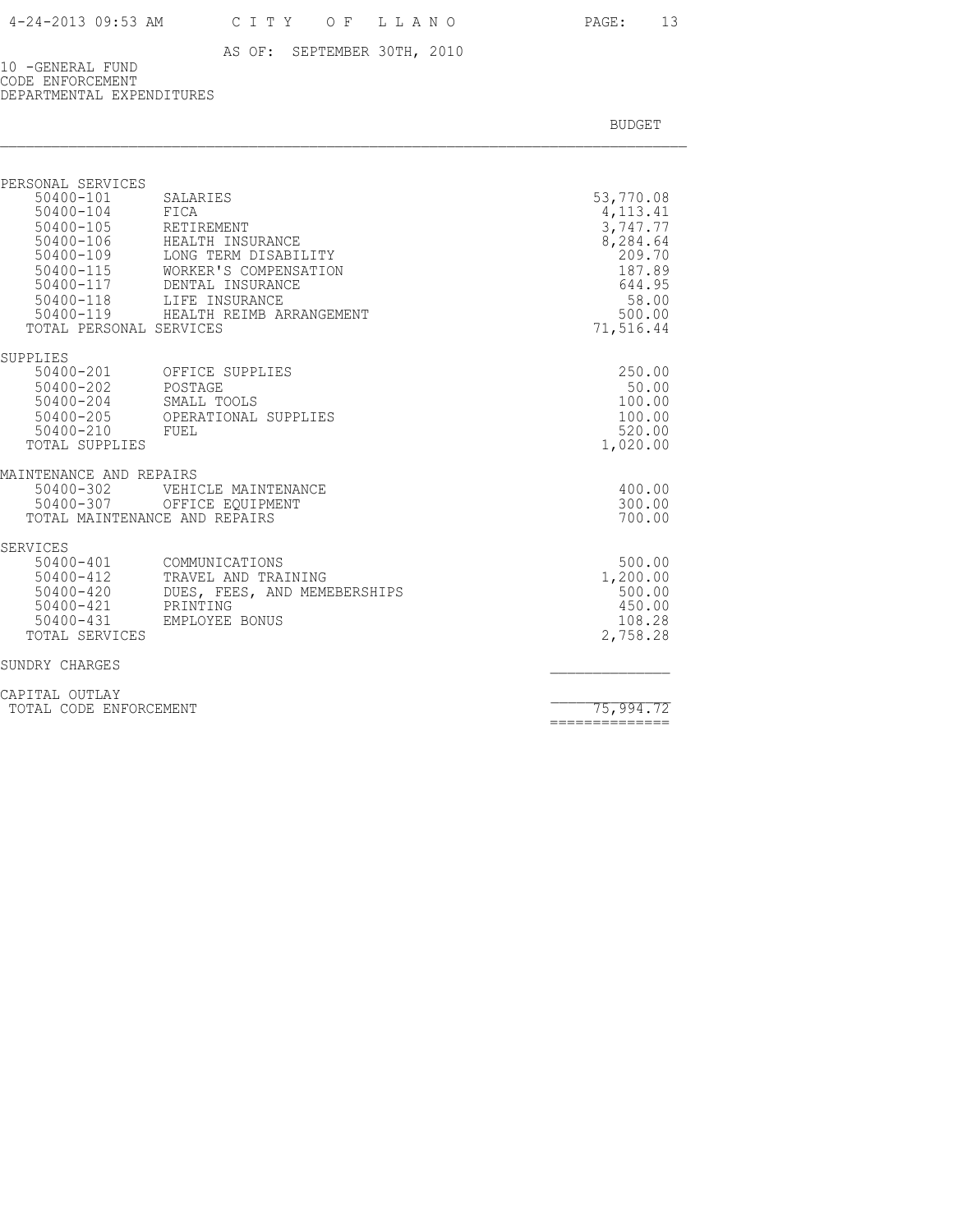10 -GENERAL FUND CODE ENFORCEMENT DEPARTMENTAL EXPENDITURES

| PERSONAL SERVICES<br>50400-101<br>SALARIES<br>50400-104<br>FICA<br>50400-105<br>RETIREMENT<br>$50400 - 106$<br>HEALTH INSURANCE<br>50400-109<br>LONG TERM DISABILITY<br>50400-115<br>WORKER'S COMPENSATION<br>50400-117<br>DENTAL INSURANCE<br>50400-118 LIFE INSURANCE<br>50400-119 HEALTH REIMB ARRANGEMENT<br>TOTAL PERSONAL SERVICES | 53,770.08<br>4, 113. 41<br>3,747.77<br>8,284.64<br>209.70<br>187.89<br>644.95<br>58.00<br>500.00<br>71,516.44 |
|------------------------------------------------------------------------------------------------------------------------------------------------------------------------------------------------------------------------------------------------------------------------------------------------------------------------------------------|---------------------------------------------------------------------------------------------------------------|
| SUPPLIES<br>50400-201<br>OFFICE SUPPLIES<br>50400-202<br>POSTAGE<br>50400-204<br>SMALL TOOLS<br>50400-205<br>OPERATIONAL SUPPLIES<br>$50400 - 210$<br>FUEL<br>TOTAL SUPPLIES                                                                                                                                                             | 250.00<br>50.00<br>100.00<br>100.00<br>520.00<br>1,020.00                                                     |
| MAINTENANCE AND REPAIRS<br>50400-302<br>VEHICLE MAINTENANCE<br>50400-307<br>OFFICE EOUIPMENT<br>TOTAL MAINTENANCE AND REPAIRS                                                                                                                                                                                                            | 400.00<br>300.00<br>700.00                                                                                    |
| <b>SERVICES</b><br>50400-401<br>COMMUNICATIONS<br>50400-412<br>TRAVEL AND TRAINING<br>50400-420<br>DUES, FEES, AND MEMEBERSHIPS<br>50400-421<br>PRINTING<br>50400-431<br>EMPLOYEE BONUS<br>TOTAL SERVICES                                                                                                                                | 500.00<br>1,200.00<br>500.00<br>450.00<br>108.28<br>2,758.28                                                  |
| SUNDRY CHARGES                                                                                                                                                                                                                                                                                                                           |                                                                                                               |
| CAPITAL OUTLAY<br>TOTAL CODE ENFORCEMENT                                                                                                                                                                                                                                                                                                 | 75,994.72<br>==============                                                                                   |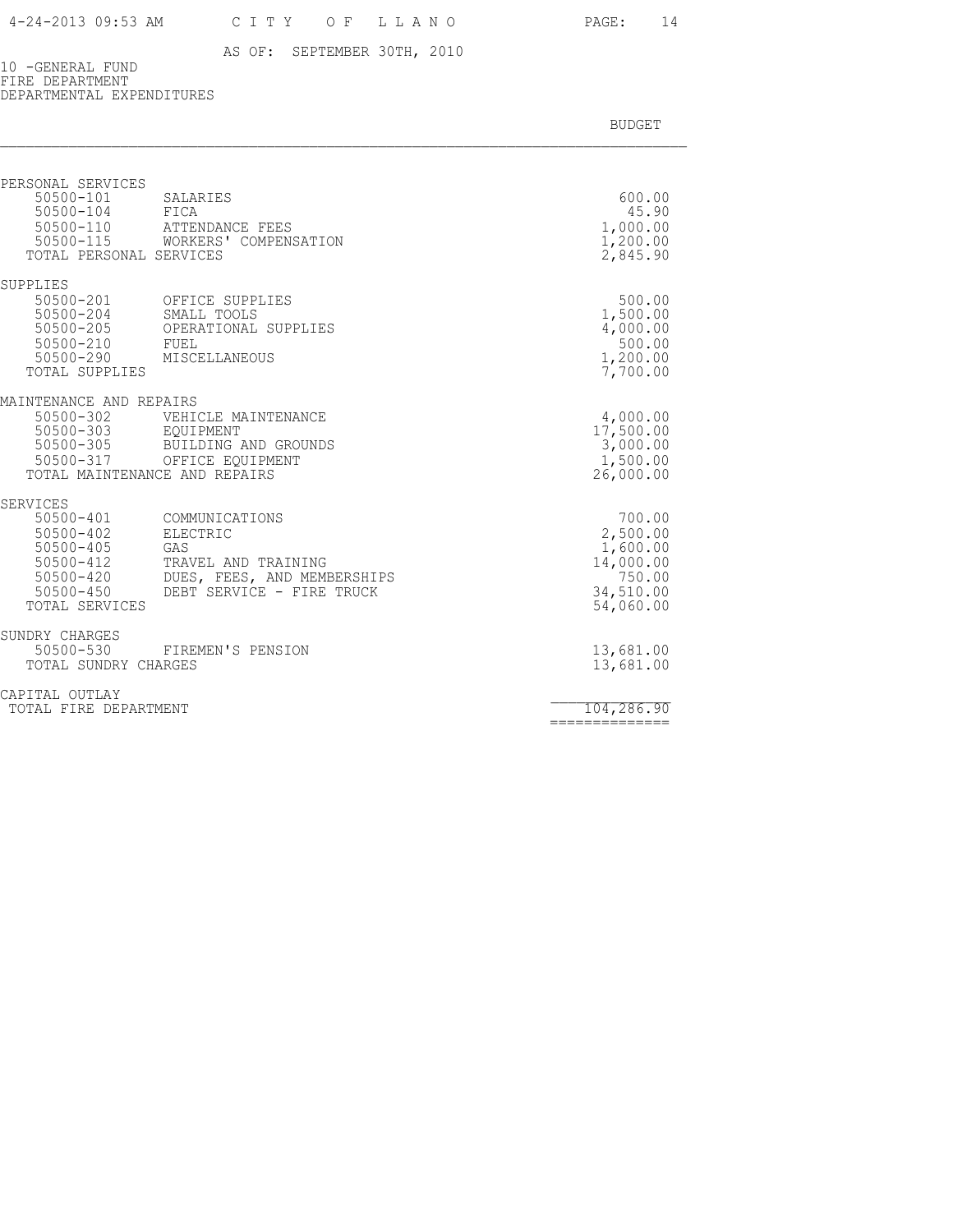10 -GENERAL FUND FIRE DEPARTMENT DEPARTMENTAL EXPENDITURES

| PERSONAL SERVICES<br>50500-101<br>50500-104                                                                                         | SALARIES<br>FICA<br>50500-110 ATTENDANCE FEES<br>50500-115 WORKERS' COMPENSATION                                     | 600.00<br>45.90<br>1,000.00<br>1,200.00                                         |
|-------------------------------------------------------------------------------------------------------------------------------------|----------------------------------------------------------------------------------------------------------------------|---------------------------------------------------------------------------------|
| TOTAL PERSONAL SERVICES<br>SUPPLIES                                                                                                 |                                                                                                                      | 2,845.90                                                                        |
| 50500-201<br>50500-204<br>50500-205<br>50500-210<br>50500-290<br>TOTAL SUPPLIES                                                     | OFFICE SUPPLIES<br>SMALL TOOLS<br>OPERATIONAL SUPPLIES<br>FUEL<br>MISCELLANEOUS                                      | 500.00<br>1,500.00<br>4,000.00<br>500.00<br>1,200.00<br>7,700.00                |
| MAINTENANCE AND REPAIRS<br>50500-302<br>50500-303 EQUIPMENT<br>50500-305<br>50500-317<br>TOTAL MAINTENANCE AND REPAIRS              | VEHICLE MAINTENANCE<br>BUILDING AND GROUNDS<br>OFFICE EQUIPMENT                                                      | 4,000.00<br>17,500.00<br>3,000.00<br>1,500.00<br>26,000.00                      |
| <b>SERVICES</b><br>50500-401<br>$50500 - 402$<br>$50500 - 405$<br>$50500 - 412$<br>$50500 - 420$<br>$50500 - 450$<br>TOTAL SERVICES | COMMUNICATIONS<br>ELECTRIC<br>GAS<br>TRAVEL AND TRAINING<br>DUES, FEES, AND MEMBERSHIPS<br>DEBT SERVICE - FIRE TRUCK | 700.00<br>2,500.00<br>1,600.00<br>14,000.00<br>750.00<br>34,510.00<br>54,060.00 |
| SUNDRY CHARGES<br>50500-530<br>TOTAL SUNDRY CHARGES                                                                                 | FIREMEN'S PENSION                                                                                                    | 13,681.00<br>13,681.00                                                          |
| CAPITAL OUTLAY<br>TOTAL FIRE DEPARTMENT                                                                                             |                                                                                                                      | 104,286.90<br>==============                                                    |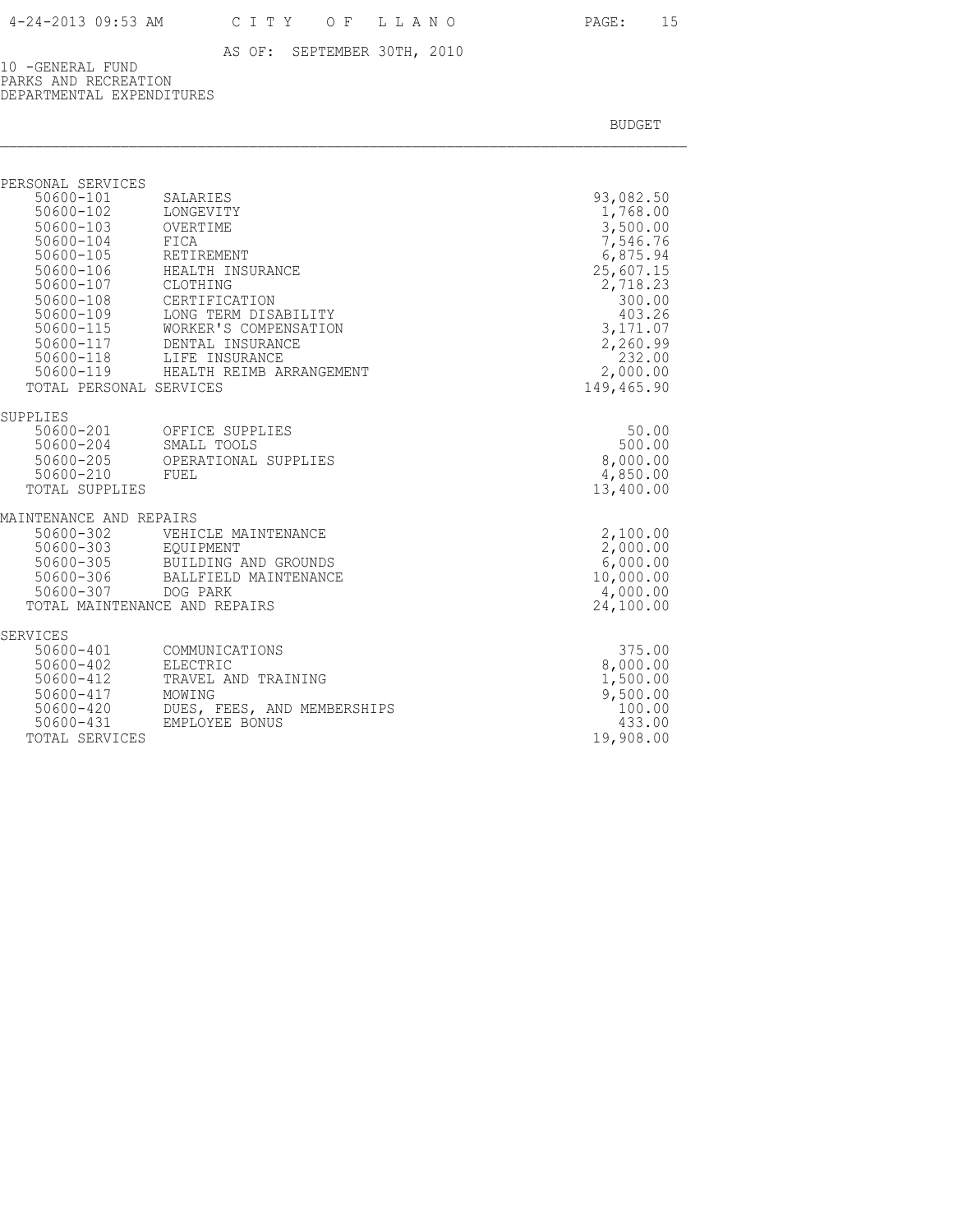10 -GENERAL FUND PARKS AND RECREATION DEPARTMENTAL EXPENDITURES

| PERSONAL SERVICES<br>$50600 - 101$<br>50600-103<br>50600-104<br>50600-105                        | SALARIES<br>50600-102 LONGEVITY<br>OVERTIME<br>FICA<br>RETIREMENT                                                                                                                                                | 93,082.50<br>1,768.00<br>3,500.00<br>7,546.76<br>6,875.94                                             |
|--------------------------------------------------------------------------------------------------|------------------------------------------------------------------------------------------------------------------------------------------------------------------------------------------------------------------|-------------------------------------------------------------------------------------------------------|
| 50600-107 CLOTHING<br>50600-108<br>TOTAL PERSONAL SERVICES                                       | 50600-106 HEALTH INSURANCE<br>CERTIFICATION<br>50600-109 LONG TERM DISABILITY<br>50600-115 WORKER'S COMPENSATION<br>50600-117 DENTAL INSURANCE<br>50600-118 LIFE INSURANCE<br>50600-119 HEALTH REIMB ARRANGEMENT | 25,607.15<br>2,718.23<br>300.00<br>403.26<br>3,171.07<br>2,260.99<br>232.00<br>2,000.00<br>149,465.90 |
| SUPPLIES                                                                                         |                                                                                                                                                                                                                  |                                                                                                       |
| 50600-210 FUEL<br>TOTAL SUPPLIES                                                                 | 50600-201 OFFICE SUPPLIES<br>50600-204 SMALL TOOLS<br>50600-205 OPERATIONAL SUPPLIES                                                                                                                             | 50.00<br>500.00<br>8,000.00<br>4,850.00<br>13,400.00                                                  |
| MAINTENANCE AND REPAIRS                                                                          |                                                                                                                                                                                                                  |                                                                                                       |
| 50600-302<br>50600-307                                                                           | VEHICLE MAINTENANCE<br>50600-303 EQUIPMENT<br>50600-305 BUILDING AND GROUNDS<br>50600-306 BALLFIELD MAINTENANCI<br>BALLFIELD MAINTENANCE<br>DOG PARK<br>TOTAL MAINTENANCE AND REPAIRS                            | 2,100.00<br>2,000.00<br>6,000.00<br>10,000.00<br>4,000.00<br>24,100.00                                |
| SERVICES                                                                                         |                                                                                                                                                                                                                  |                                                                                                       |
| 50600-401<br>50600-402<br>50600-412<br>50600-417<br>50600-420<br>$50600 - 431$<br>TOTAL SERVICES | COMMUNICATIONS<br>ELECTRIC<br>TRAVEL AND TRAINING<br>MOWING<br>DUES, FEES, AND MEMBERSHIPS<br>EMPLOYEE BONUS                                                                                                     | 375.00<br>8,000.00<br>1,500.00<br>9,500.00<br>100.00<br>433.00<br>19,908.00                           |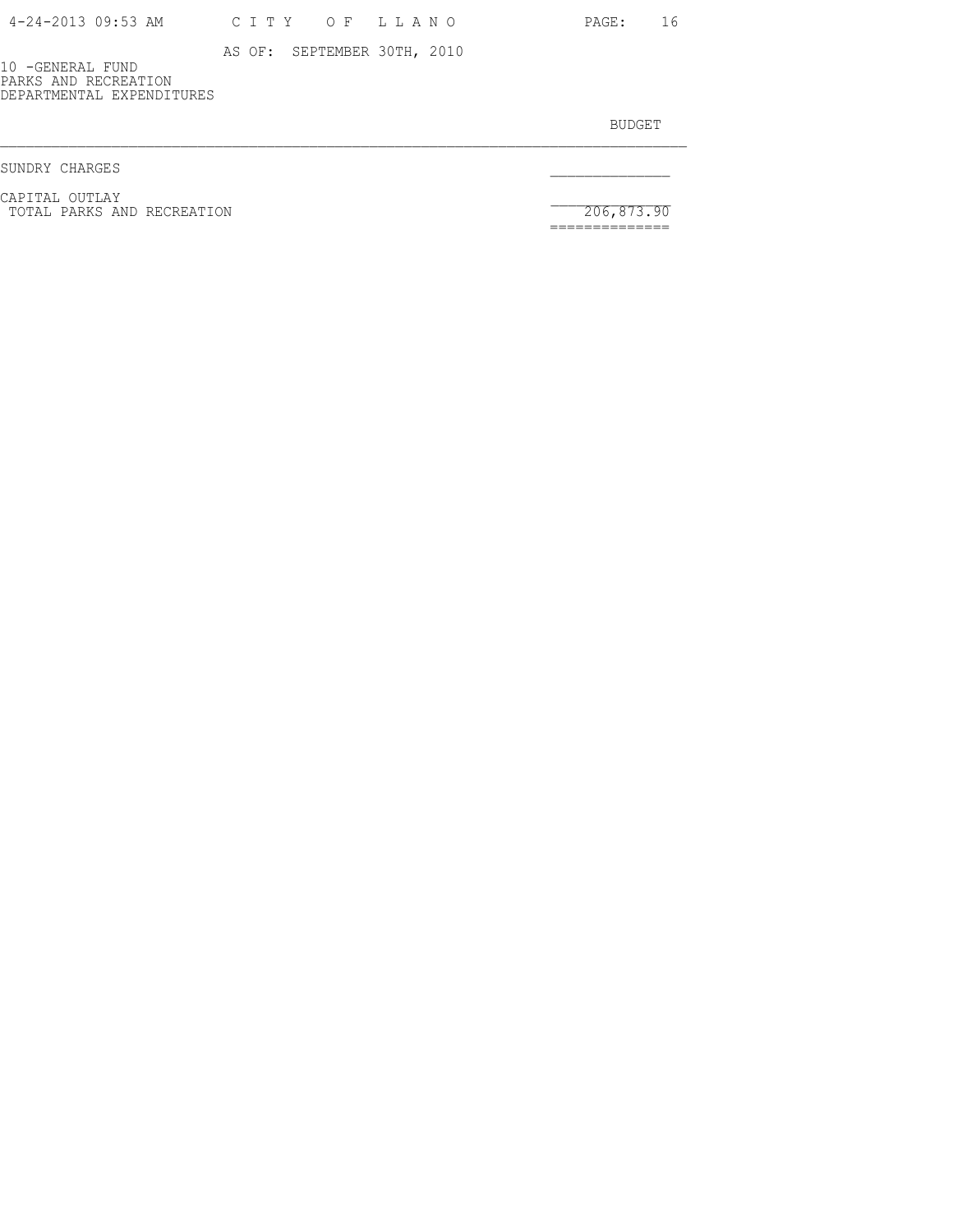10 -GENERAL FUND PARKS AND RECREATION DEPARTMENTAL EXPENDITURES

BUDGET AND RESERVE AND RESERVE AND RESERVE AND RESERVE AND RESERVE AND RESERVE AND RESERVE AND RESERVE AND RESERVE AND RESERVE AND RESERVE AND RESERVE AND RESERVE AND RESERVE AND RESPONDING A REPORT OF A REPORT OF A REPORT

SUNDRY CHARGES

CAPITAL OUTLAY<br>
TOTAL PARKS AND RECREATION 206,873.90

==============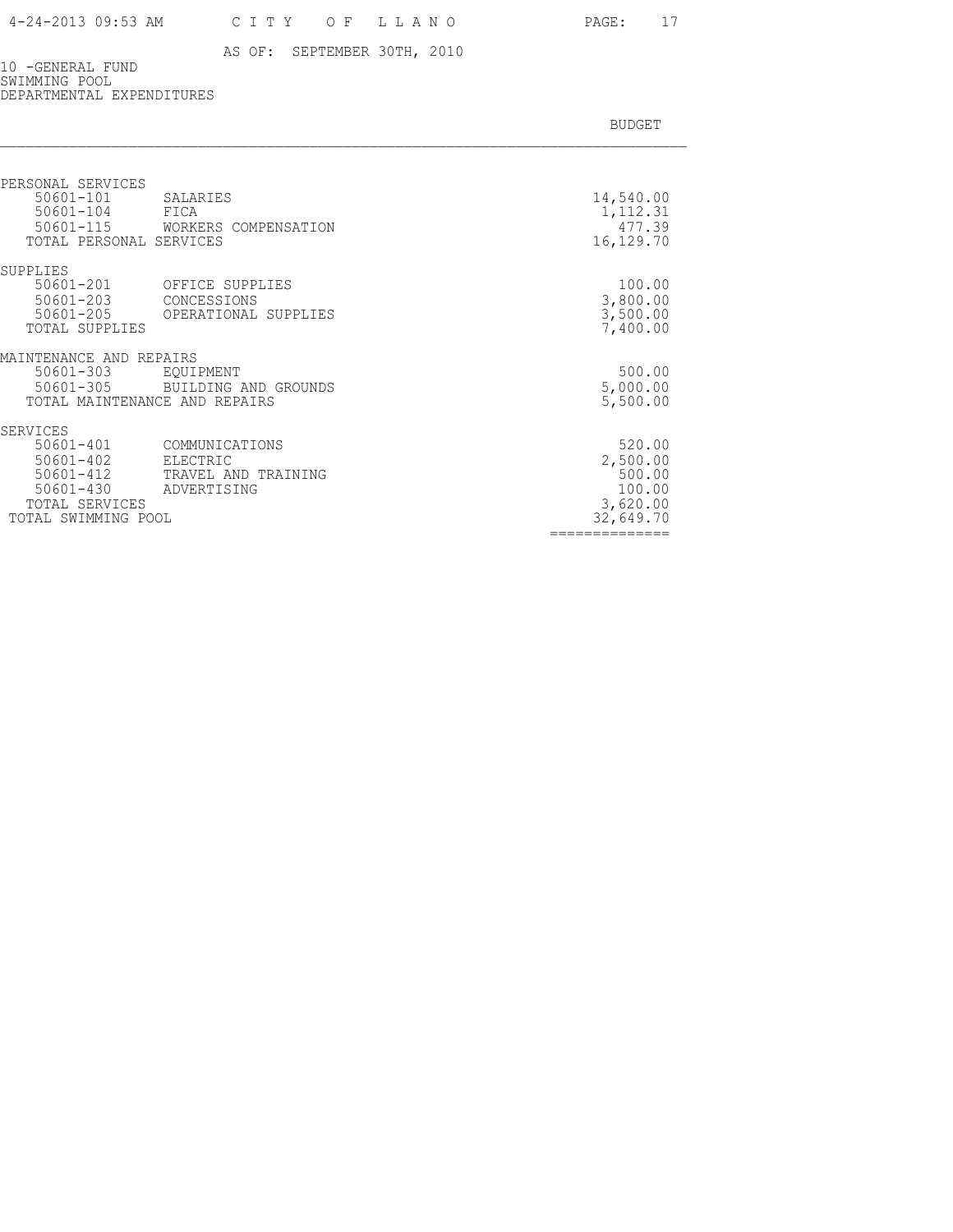### 4-24-2013 09:53 AM C I T Y O F L L A N O PAGE: 17

### AS OF: SEPTEMBER 30TH, 2010

10 -GENERAL FUND SWIMMING POOL DEPARTMENTAL EXPENDITURES

|  |  | <b>BUDGET</b> |
|--|--|---------------|
|  |  |               |

| PERSONAL SERVICES<br>$50601 - 101$<br>SALARIES<br>$50601 - 104$<br>FICA<br>$50601 - 115$<br>WORKERS COMPENSATION                                                                                 | 14,540.00<br>1,112.31<br>477.39                                                  |
|--------------------------------------------------------------------------------------------------------------------------------------------------------------------------------------------------|----------------------------------------------------------------------------------|
| TOTAL PERSONAL SERVICES                                                                                                                                                                          | 16,129.70                                                                        |
| SUPPLIES<br>50601-201<br>OFFICE SUPPLIES<br>$50601 - 203$<br>CONCESSIONS<br>$50601 - 205$<br>OPERATIONAL SUPPLIES<br>TOTAL SUPPLIES                                                              | 100.00<br>3,800.00<br>3,500.00<br>7,400.00                                       |
| MAINTENANCE AND REPAIRS<br>50601-303<br>EQUIPMENT<br>$50601 - 305$<br>BUILDING AND GROUNDS<br>TOTAL MAINTENANCE AND REPAIRS                                                                      | 500.00<br>5,000.00<br>5,500.00                                                   |
| <b>SERVICES</b><br>$50601 - 401$<br>COMMUNICATIONS<br>$50601 - 402$<br>ELECTRIC<br>$50601 - 412$<br>TRAVEL AND TRAINING<br>$50601 - 430$<br>ADVERTISING<br>TOTAL SERVICES<br>TOTAL SWIMMING POOL | 520.00<br>2,500.00<br>500.00<br>100.00<br>3,620.00<br>32,649.70<br>============= |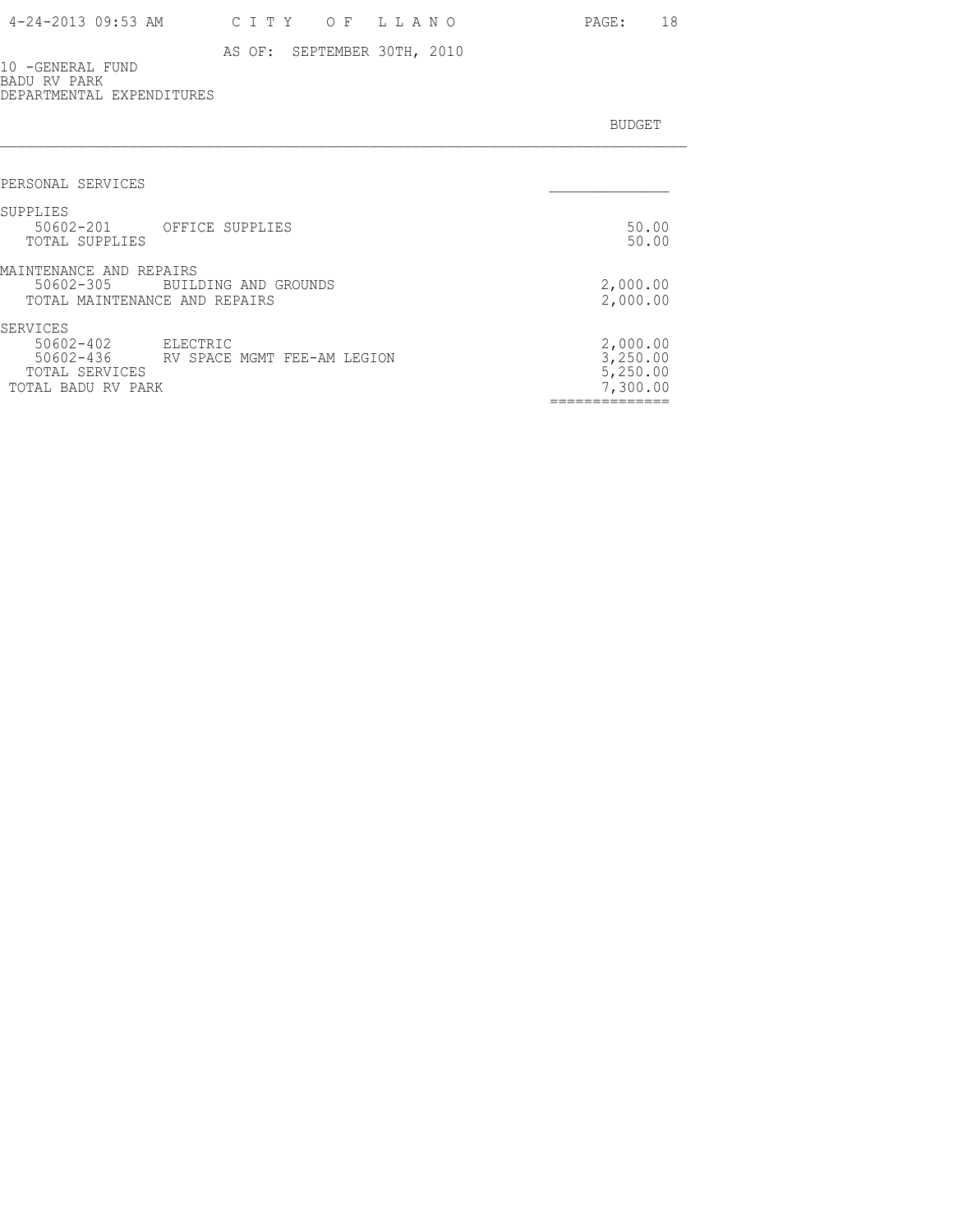10 -GENERAL FUND BADU RV PARK DEPARTMENTAL EXPENDITURES

| PERSONAL SERVICES                                                                             |                                                                             |
|-----------------------------------------------------------------------------------------------|-----------------------------------------------------------------------------|
|                                                                                               |                                                                             |
| SUPPLIES<br>50602-201 OFFICE SUPPLIES<br>TOTAL SUPPLIES                                       | 50.00<br>50.00                                                              |
| MAINTENANCE AND REPAIRS<br>50602-305<br>BUILDING AND GROUNDS<br>TOTAL MAINTENANCE AND REPAIRS | 2,000.00<br>2,000.00                                                        |
| SERVICES<br>50602-402<br>ELECTRIC<br>50602-436<br>TOTAL SERVICES<br>TOTAL BADU RV PARK        | 2,000.00<br>3,250.00<br>RV SPACE MGMT FEE-AM LEGION<br>5,250.00<br>7,300.00 |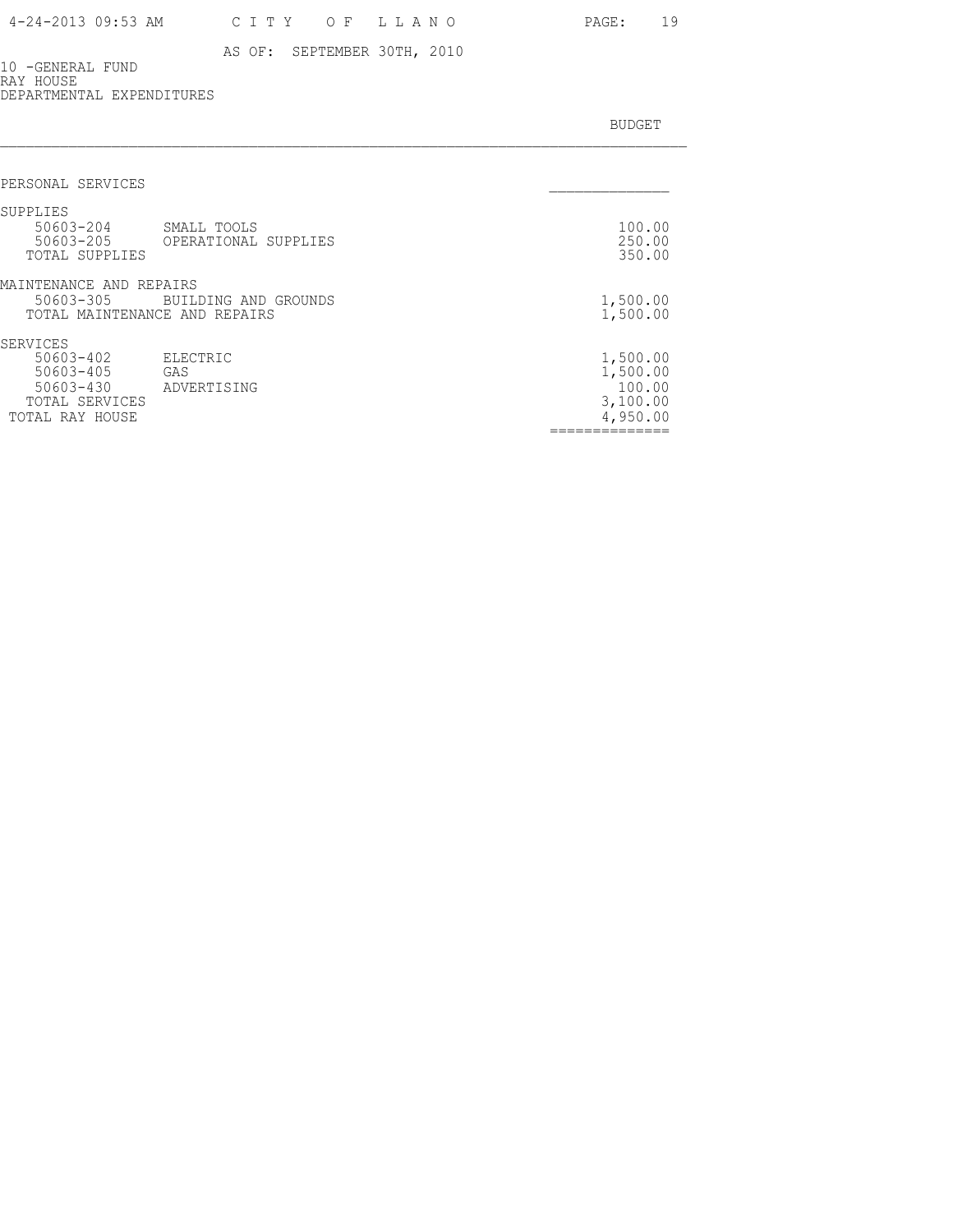10 -GENERAL FUND RAY HOUSE DEPARTMENTAL EXPENDITURES

| PERSONAL SERVICES                                                                    |                                     |                                                        |
|--------------------------------------------------------------------------------------|-------------------------------------|--------------------------------------------------------|
| SUPPLIES<br>50603-204<br>50603-205<br>TOTAL SUPPLIES                                 | SMALL TOOLS<br>OPERATIONAL SUPPLIES | 100.00<br>250.00<br>350.00                             |
| MAINTENANCE AND REPAIRS<br>50603-305<br>TOTAL MAINTENANCE AND REPAIRS                | BUILDING AND GROUNDS                | 1,500.00<br>1,500.00                                   |
| SERVICES<br>50603-402<br>50603-405<br>50603-430<br>TOTAL SERVICES<br>TOTAL RAY HOUSE | ELECTRIC<br>GAS<br>ADVERTISING      | 1,500.00<br>1,500.00<br>100.00<br>3,100.00<br>4,950.00 |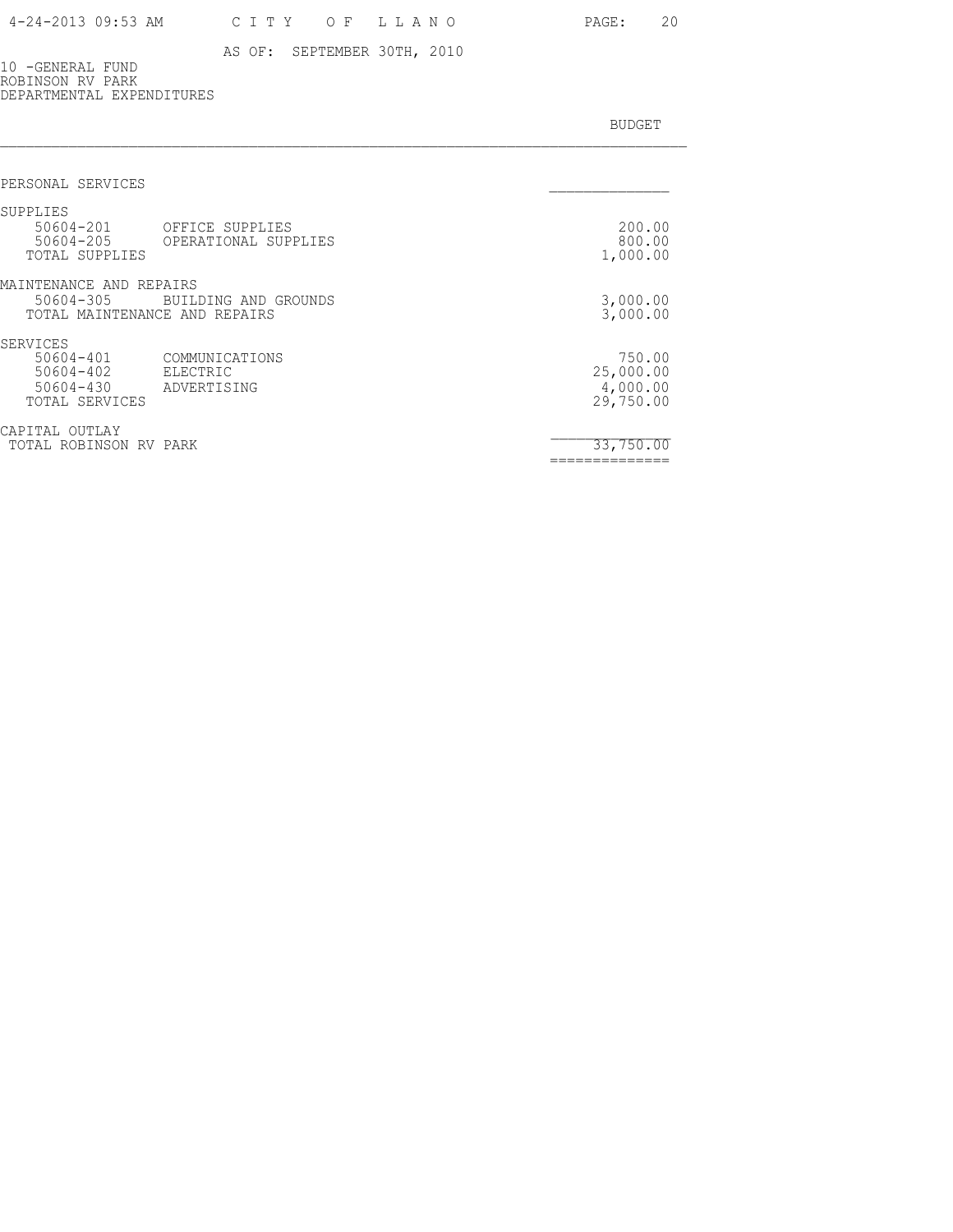10 -GENERAL FUND ROBINSON RV PARK DEPARTMENTAL EXPENDITURES

| PERSONAL SERVICES                                                                                              |                                              |
|----------------------------------------------------------------------------------------------------------------|----------------------------------------------|
| SUPPLIES<br>50604-201<br>OFFICE SUPPLIES<br>50604-205<br>OPERATIONAL SUPPLIES<br>TOTAL SUPPLIES                | 200.00<br>800.00<br>1,000.00                 |
| MAINTENANCE AND REPAIRS<br>50604-305<br>BUILDING AND GROUNDS<br>TOTAL MAINTENANCE AND REPAIRS                  | 3,000.00<br>3,000.00                         |
| SERVICES<br>50604-401<br>COMMUNICATIONS<br>50604-402<br>ELECTRIC<br>50604-430<br>ADVERTISING<br>TOTAL SERVICES | 750.00<br>25,000.00<br>4,000.00<br>29,750.00 |
| CAPITAL<br>OUTLAY<br>TOTAL ROBINSON RV PARK                                                                    | 33,750.00<br>------------                    |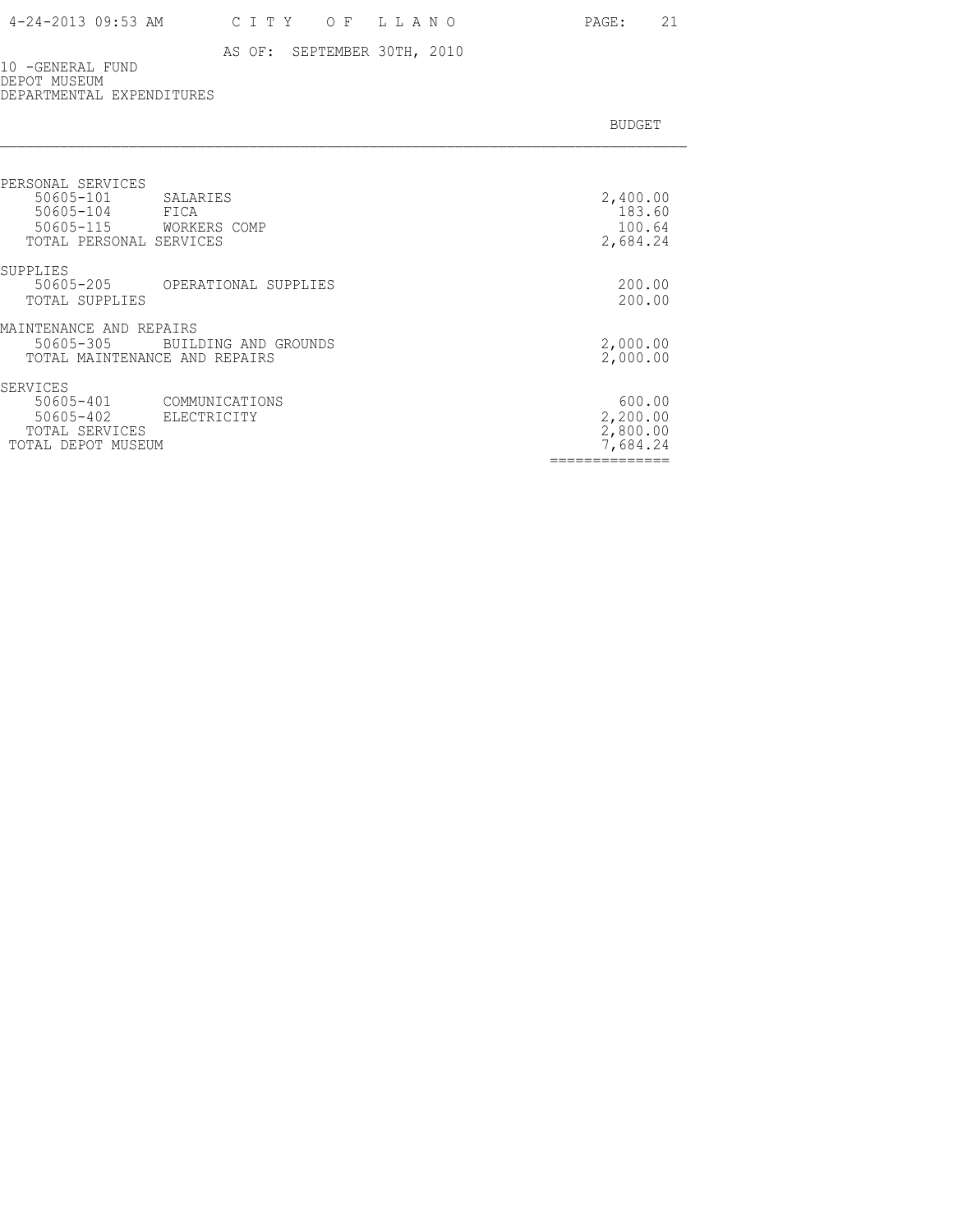### 4-24-2013 09:53 AM C I T Y O F L L A N O PAGE: 21

#### AS OF: SEPTEMBER 30TH, 2010

10 -GENERAL FUND DEPOT MUSEUM DEPARTMENTAL EXPENDITURES

| <b>BUDGET</b> |
|---------------|

| PERSONAL SERVICES<br>50605-101<br>SALARIES<br>50605-104<br>FICA<br>50605-115<br>WORKERS COMP<br>TOTAL PERSONAL SERVICES | 2,400.00<br>183.60<br>100.64<br>2,684.24   |
|-------------------------------------------------------------------------------------------------------------------------|--------------------------------------------|
| SUPPLIES<br>50605-205<br>OPERATIONAL SUPPLIES<br>TOTAL SUPPLIES                                                         | 200.00<br>200.00                           |
| MAINTENANCE AND REPAIRS<br>50605-305<br>BUILDING AND GROUNDS<br>TOTAL MAINTENANCE AND REPAIRS                           | 2,000.00<br>2,000.00                       |
| SERVICES<br>50605-401<br>COMMUNICATIONS<br>50605-402<br>ELECTRICITY<br>TOTAL SERVICES<br>TOTAL DEPOT MUSEUM             | 600.00<br>2,200.00<br>2,800.00<br>7,684.24 |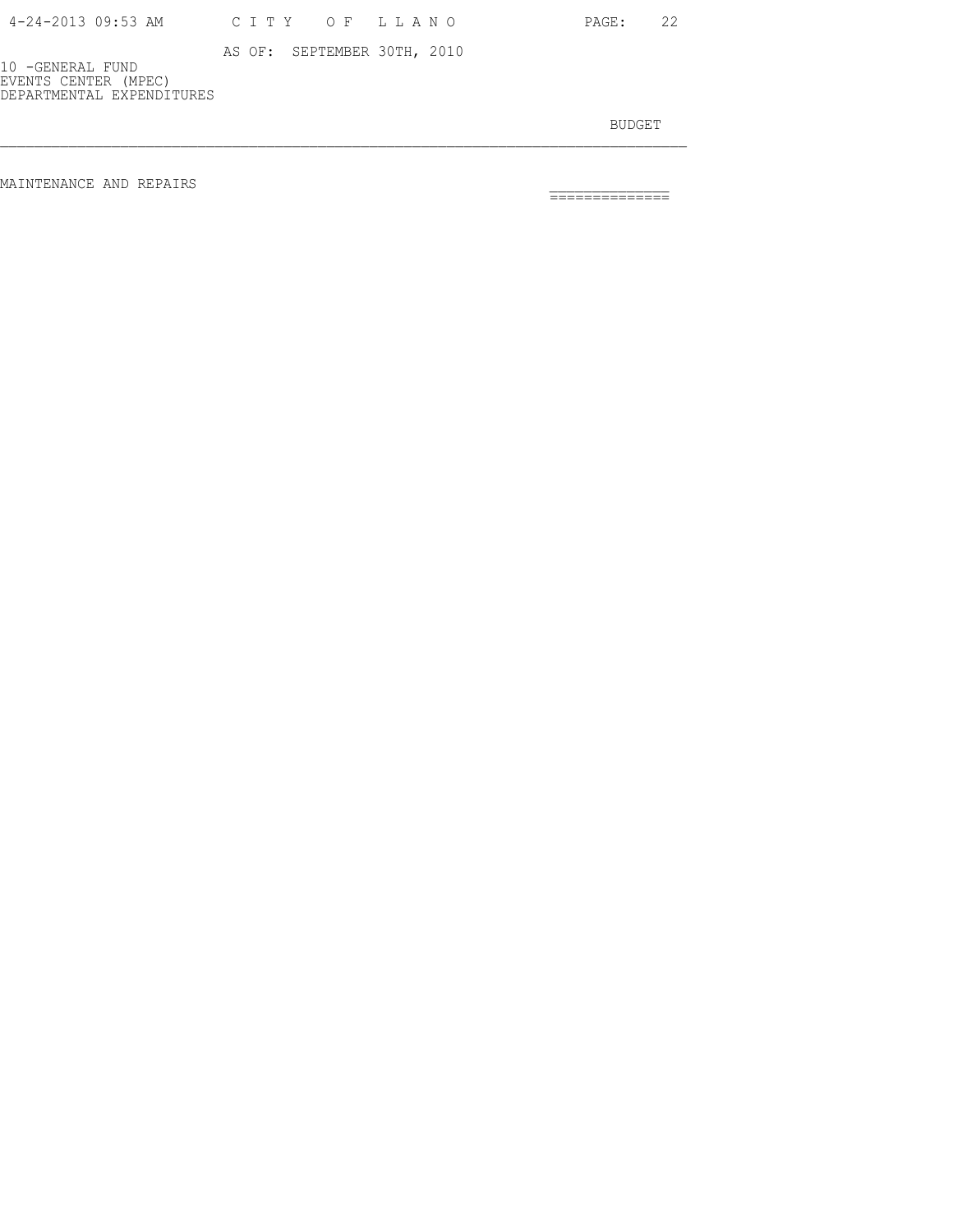| 4-24-2013 09:53 AM |  |  |  |  | CITY OF LLANO |  |  |  |  |  |  |  |  |
|--------------------|--|--|--|--|---------------|--|--|--|--|--|--|--|--|
|--------------------|--|--|--|--|---------------|--|--|--|--|--|--|--|--|

PAGE: 22

 AS OF: SEPTEMBER 30TH, 2010 10 -GENERAL FUND EVENTS CENTER (MPEC)

DEPARTMENTAL EXPENDITURES

BUDGET AND RESERVE AND RESERVE AND RESERVE AND RESERVE AND RESERVE AND RESERVE AND RESERVE AND RESERVE AND RESERVE AND RESERVE AND RESERVE AND RESERVE AND RESERVE AND RESERVE AND RESPONDING A REPORT OF A REPORT OF A REPORT

MAINTENANCE AND REPAIRS \_\_\_\_\_\_\_\_\_\_\_\_\_\_ ==============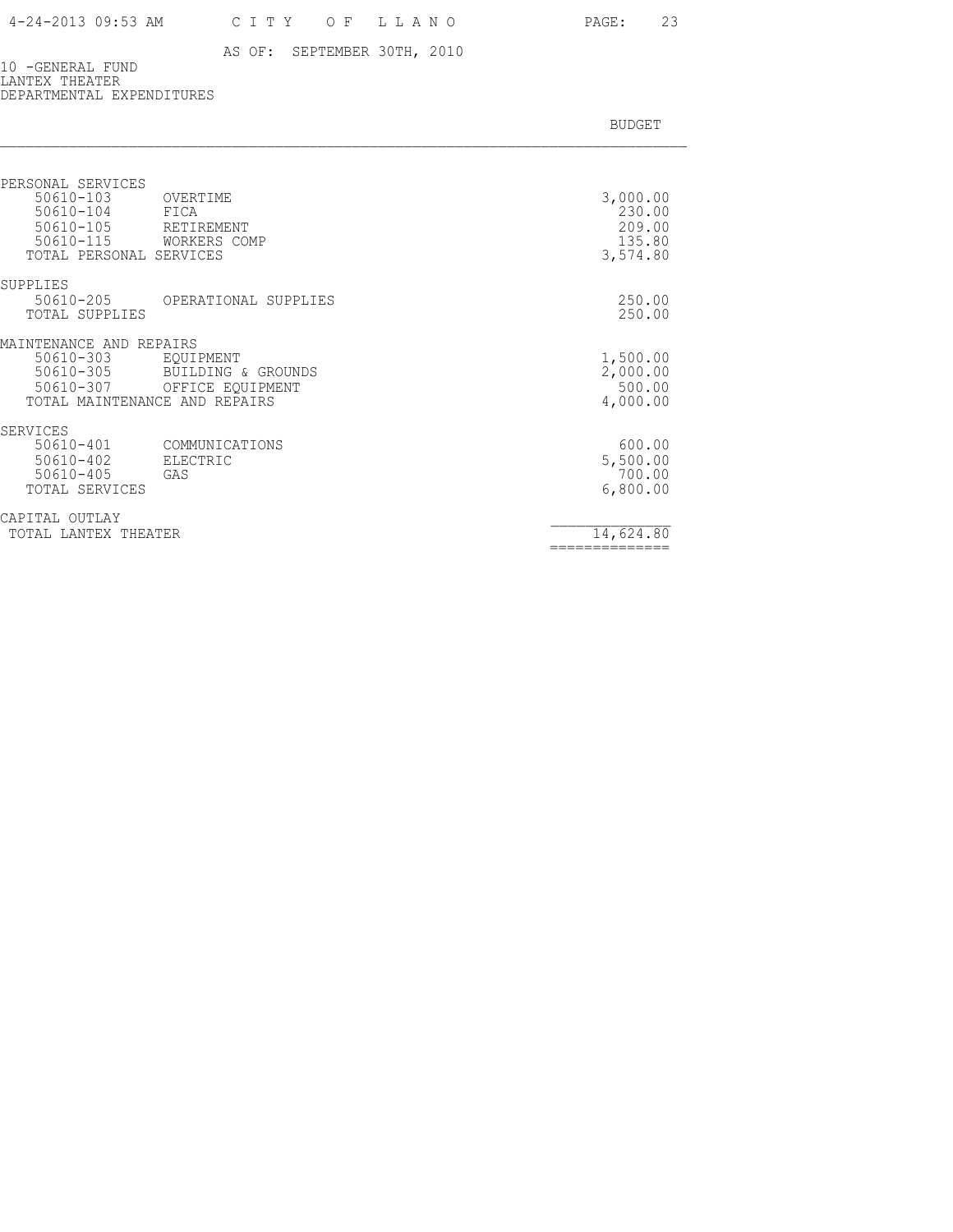10 -GENERAL FUND LANTEX THEATER DEPARTMENTAL EXPENDITURES

|  |  | <b>BUDGET</b> |
|--|--|---------------|
|  |  |               |

| PERSONAL SERVICES<br>$50610 - 103$<br>50610-104<br>$50610 - 105$<br>$50610 - 115$               | OVERTIME<br>FICA<br>RETIREMENT<br>WORKERS COMP      | 3,000.00<br>230.00<br>209.00<br>135.80     |
|-------------------------------------------------------------------------------------------------|-----------------------------------------------------|--------------------------------------------|
| TOTAL PERSONAL SERVICES<br>SUPPLIES<br>50610-205<br>TOTAL SUPPLIES                              | OPERATIONAL SUPPLIES                                | 3,574.80<br>250.00<br>250.00               |
| MAINTENANCE AND REPAIRS<br>50610-303<br>50610-305<br>50610-307<br>TOTAL MAINTENANCE AND REPAIRS | EQUIPMENT<br>BUILDING & GROUNDS<br>OFFICE EQUIPMENT | 1,500.00<br>2,000.00<br>500.00<br>4,000.00 |
| SERVICES<br>$50610 - 401$<br>$50610 - 402$<br>$50610 - 405$<br>TOTAL SERVICES                   | COMMUNICATIONS<br>ELECTRIC<br>GAS                   | 600.00<br>5,500.00<br>700.00<br>6,800.00   |
| CAPITAL<br>OUTLAY<br>TOTAL LANTEX THEATER                                                       |                                                     | 14,624.80                                  |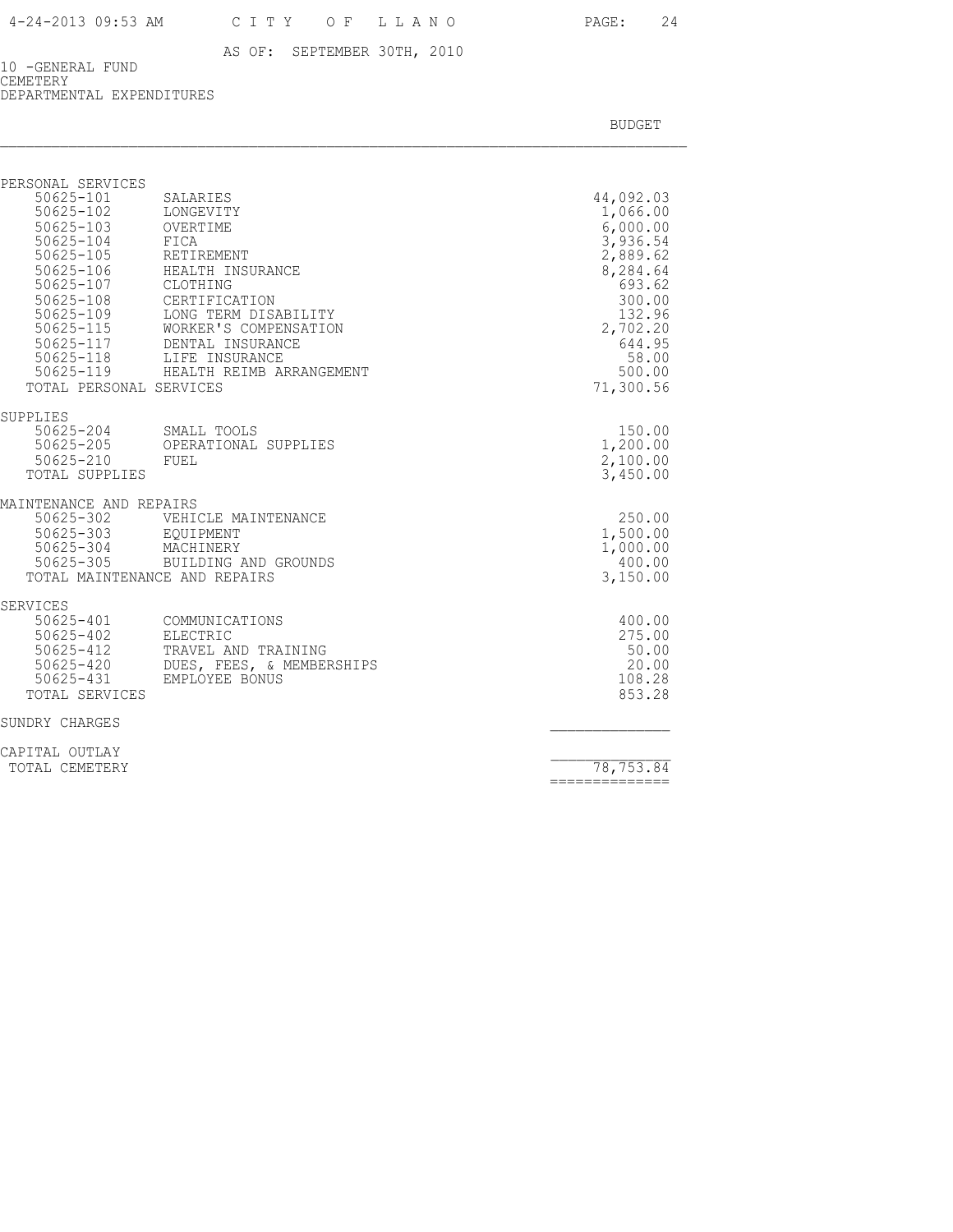10 -GENERAL FUND CEMETERY DEPARTMENTAL EXPENDITURES

BUDGET AND RESERVE AND RESERVE AND RESERVE AND RESERVE AND RESERVE AND RESERVE AND RESERVE AND RESERVE AND RESERVE AND RESERVE AND RESERVE AND RESERVE AND RESERVE AND RESERVE AND RESPONDING A REPORT OF A REPORT OF A REPORT

| PERSONAL SERVICES                                                                                                                          |                                                                                                                                                                                                                                                      |                                                                                                                                                           |
|--------------------------------------------------------------------------------------------------------------------------------------------|------------------------------------------------------------------------------------------------------------------------------------------------------------------------------------------------------------------------------------------------------|-----------------------------------------------------------------------------------------------------------------------------------------------------------|
| 50625-101<br>50625-102 LONGEVITY<br>50625-103 OVERTIME<br>50625-104 FICA<br>$50625 - 105$<br>50625-107 CLOTHING<br>TOTAL PERSONAL SERVICES | SALARIES<br>RETIREMENT<br>50625-106 HEALTH INSURANCE<br>50625-108 CERTIFICATION<br>50625-109 LONG TERM DISABILITY<br>50625-115 WORKER'S COMPENSATION<br>50625-117 DENTAL INSURANCE<br>50625-118 LIFE INSURANCE<br>50625-119 HEALTH REIMB ARRANGEMENT | 44,092.03<br>1,066.00<br>6,000.00<br>3,936.54<br>2,889.62<br>8,284.64<br>693.62<br>300.00<br>132.96<br>2,702.20<br>644.95<br>58.00<br>500.00<br>71,300.56 |
| SUPPLIES<br>50625-210 FUEL<br>TOTAL SUPPLIES                                                                                               | -<br>50625-204 SMALL TOOLS<br>50625-205 OPERATIONAL SUPPLIES                                                                                                                                                                                         | 150.00<br>1,200.00<br>2,100.00<br>3,450.00                                                                                                                |
| MAINTENANCE AND REPAIRS<br>TOTAL MAINTENANCE AND REPAIRS                                                                                   | 50625-302 VEHICLE MAINTENANCE<br>50625-303 EQUIPMENT<br>50625-304 MACHINERY<br>50625-305 BUILDING AND GROUNDS                                                                                                                                        | 250.00<br>1,500.00<br>1,000.00<br>400.00<br>3,150.00                                                                                                      |
| SERVICES<br>$50625 - 402$<br>50625-412<br>50625-431<br>TOTAL SERVICES                                                                      | 50625-401 COMMUNICATIONS<br>ELECTRIC<br>TRAVEL AND TRAINING<br>50625-412 TRAVEL AND TRAINING<br>50625-420 DUES, FEES, & MEMBERSHIPS<br>EMPLOYEE BONUS                                                                                                | 400.00<br>275.00<br>50.00<br>20.00<br>108.28<br>853.28                                                                                                    |
| SUNDRY CHARGES                                                                                                                             |                                                                                                                                                                                                                                                      |                                                                                                                                                           |
| CAPITAL OUTLAY                                                                                                                             |                                                                                                                                                                                                                                                      |                                                                                                                                                           |

TOTAL CEMETERY 78,753.84 ==============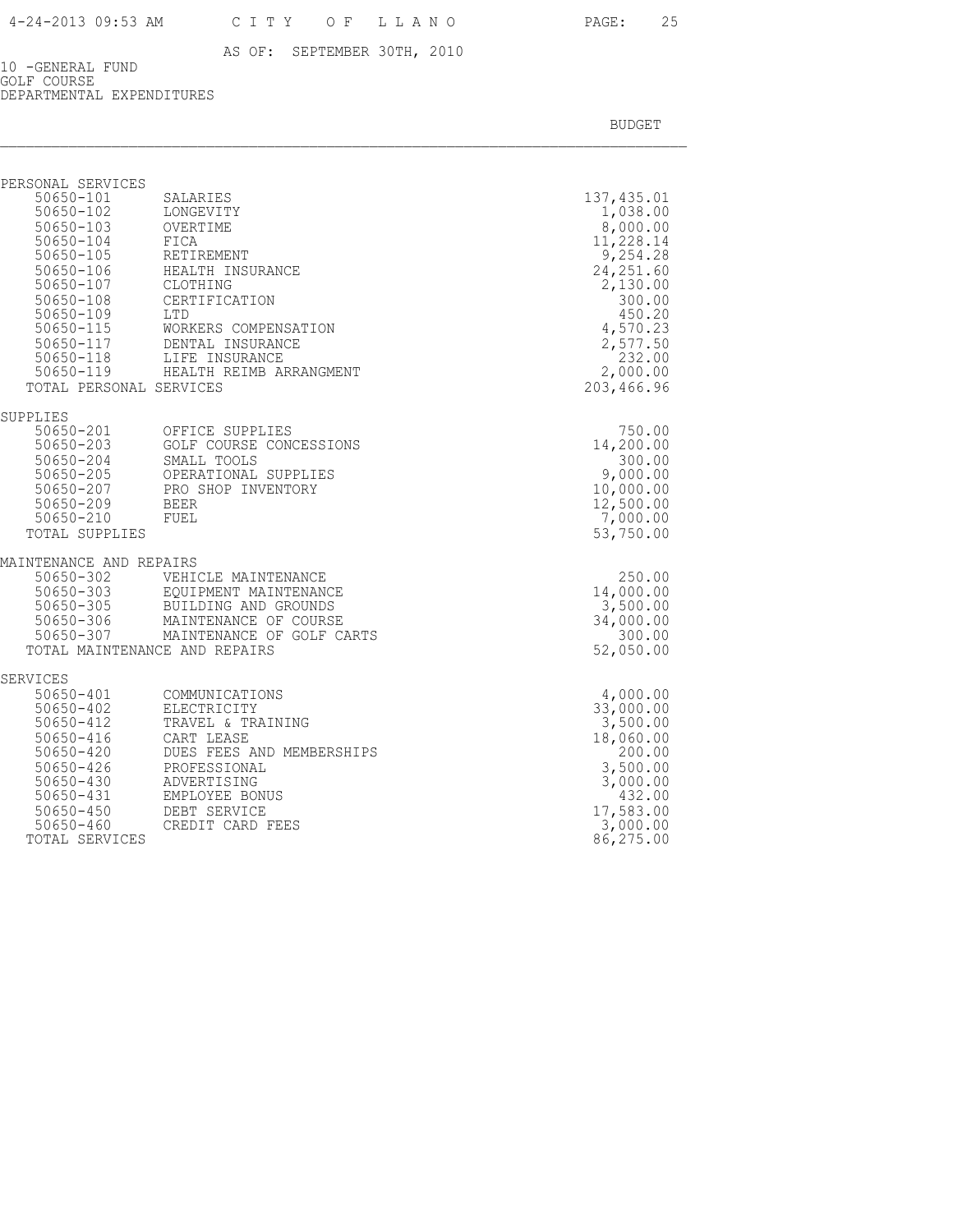10 -GENERAL FUND GOLF COURSE DEPARTMENTAL EXPENDITURES

BUDGET AND RESERVE AND RESERVE AND RESERVE AND RESERVE AND RESERVE AND RESERVE AND RESERVE AND RESERVE AND RESERVE AND RESERVE AND RESERVE AND RESERVE AND RESERVE AND RESERVE AND RESPONDING A REPORT OF A REPORT OF A REPORT

| PERSONAL SERVICES                                                                                                                                          |                                                                                                                                                                                                                                                |                                                                                                                                                                        |
|------------------------------------------------------------------------------------------------------------------------------------------------------------|------------------------------------------------------------------------------------------------------------------------------------------------------------------------------------------------------------------------------------------------|------------------------------------------------------------------------------------------------------------------------------------------------------------------------|
| 50650-101<br>50650-101<br>50650-102<br>50650-103 OVERTIME<br>50650-104<br>50650-105<br>50650-107<br>$50650 - 108$<br>50650-109<br>TOTAL PERSONAL SERVICES  | SALARIES<br>LONGEVITY<br>FICA<br>RETIREMENT<br>50650-106 HEALTH INSURANCE<br>CLOTHING<br>CERTIFICATION<br>LTD<br>50650-115 WORKERS COMPENSATION<br>50650-117 DENTAL INSURANCE<br>50650-118 LIFE INSURANCE<br>50650-119 HEALTH REIMB ARRANGMENT | 137, 435.01<br>1,038.00<br>8,000.00<br>11,228.14<br>9,254.28<br>24, 251.60<br>2,130.00<br>300.00<br>450.20<br>4,570.23<br>2,577.50<br>232.00<br>2,000.00<br>203,466.96 |
| SUPPLIES                                                                                                                                                   |                                                                                                                                                                                                                                                |                                                                                                                                                                        |
| 50650-201<br>$50650 - 203$<br>50650-209 BEER<br>50650-210<br>TOTAL SUPPLIES                                                                                | OFFICE SUPPLIES<br>GOLF COURSE CONCESSIONS<br>50650-204 SMALL TOOLS<br>50650-205 OPERATIONAL SUPPLIE<br>50650-207 PRO SHOP INVENTORY<br>OPERATIONAL SUPPLIES<br>FUEL                                                                           | 750.00<br>14,200.00<br>300.00<br>9,000.00<br>10,000.00<br>12,500.00<br>7,000.00<br>53,750.00                                                                           |
| MAINTENANCE AND REPAIRS                                                                                                                                    |                                                                                                                                                                                                                                                |                                                                                                                                                                        |
| 50650-302                                                                                                                                                  | VEHICLE MAINTENANCE<br>50650-303 EQUIPMENT MAINTENANCE<br>50650-305 BUILDING AND GROUNDS<br>50650-306 MAINTENANCE OF COURSE<br>50650-307 MAINTENANCE OF GOLF CARTS<br>TOTAL MAINTENANCE AND REPAIRS                                            | 250.00<br>14,000.00<br>3,500.00<br>34,000.00<br>300.00<br>52,050.00                                                                                                    |
| SERVICES                                                                                                                                                   |                                                                                                                                                                                                                                                |                                                                                                                                                                        |
| 50650-401<br>$50650 - 402$<br>50650-412<br>$50650 - 416$<br>50650-420<br>$50650 - 426$<br>$50650 - 430$<br>$50650 - 431$<br>$50650 - 450$<br>$50650 - 460$ | COMMUNICATIONS<br>ELECTRICITY<br>TRAVEL & TRAINING<br>CART LEASE<br>DUES FEES AND MEMBERSHIPS<br>PROFESSIONAL<br>ADVERTISING<br>EMPLOYEE BONUS<br>DEBT SERVICE<br>CREDIT CARD FEES                                                             | 4,000.00<br>33,000.00<br>3,500.00<br>18,060.00<br>200.00<br>3,500.00<br>3,000.00<br>432.00<br>17,583.00<br>3,000.00                                                    |

TOTAL SERVICES 36,275.00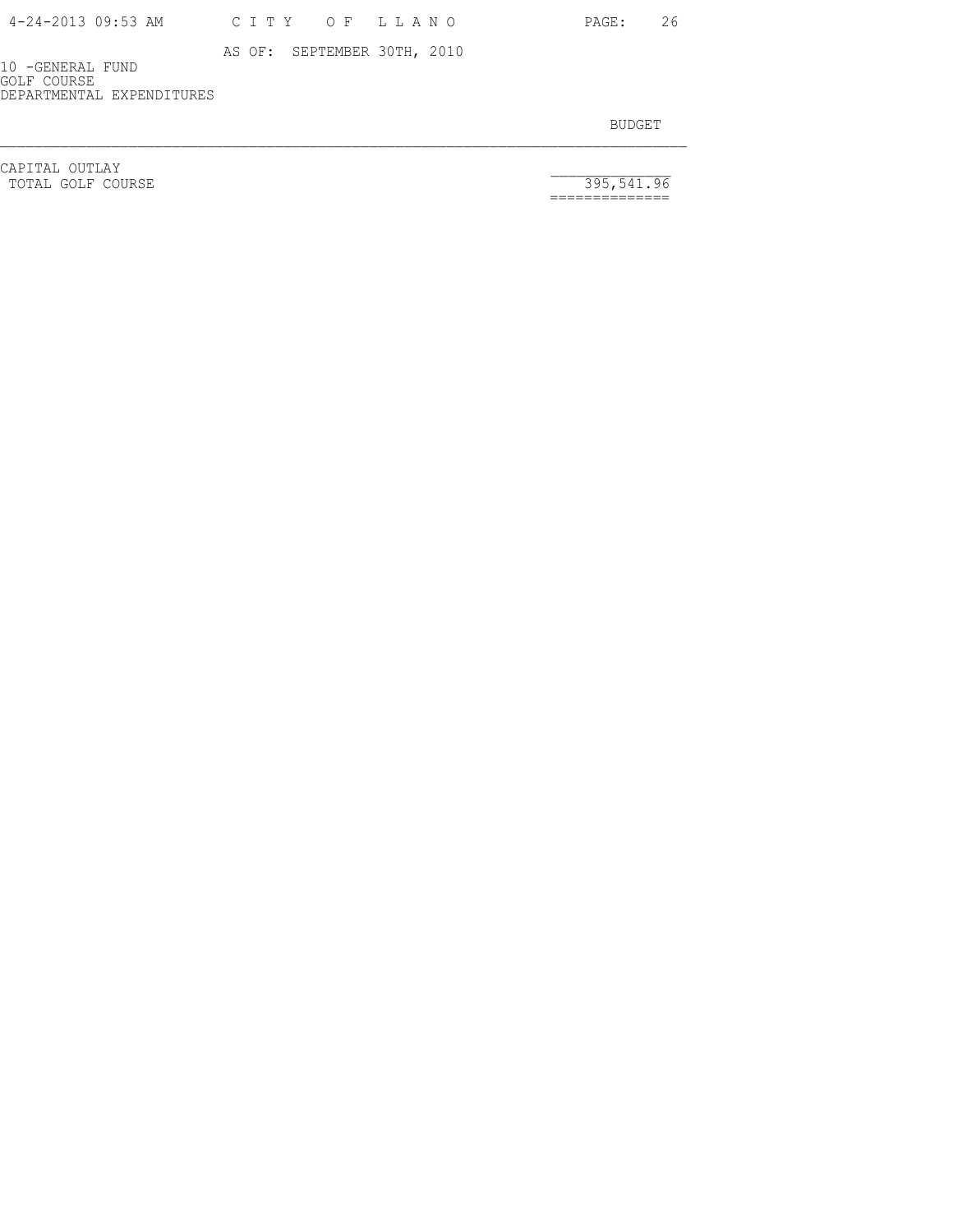PAGE: 26

10 -GENERAL FUND GOLF COURSE

DEPARTMENTAL EXPENDITURES

BUDGET AND RESERVE AND RESERVE AND RESERVE AND RESERVE AND RESERVE AND RESERVE AND RESERVE AND RESERVE AND RESERVE AND RESERVE AND RESERVE AND RESERVE AND RESERVE AND RESERVE AND RESPONDING A REPORT OF A REPORT OF A REPORT

CAPITAL OUTLAY<br>
TOTAL GOLF COURSE 395,541.96

==============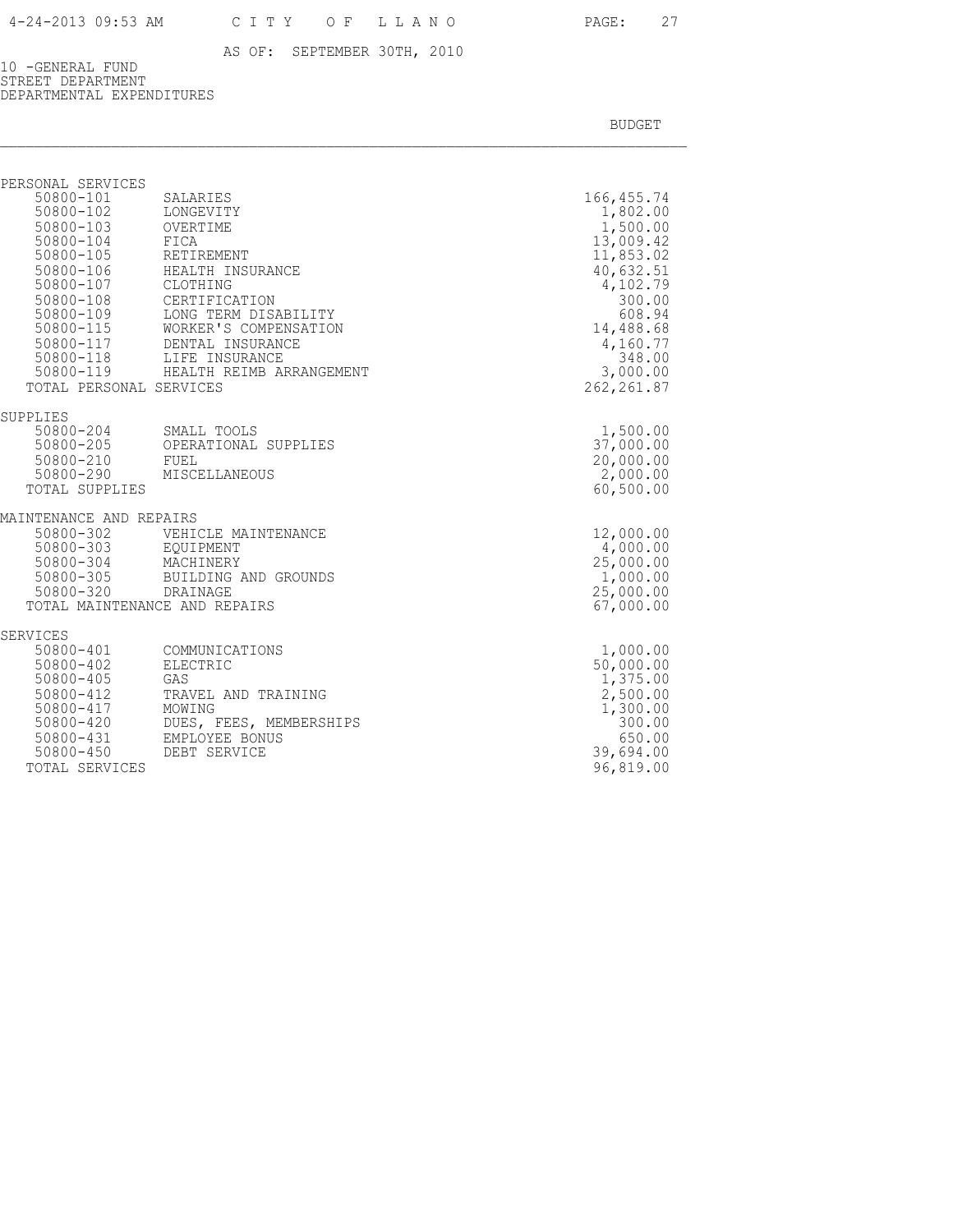10 -GENERAL FUND STREET DEPARTMENT DEPARTMENTAL EXPENDITURES

| PERSONAL SERVICES                                                                                                          |                                                                                                                                                                                                                                                    |                                                                                                                                               |
|----------------------------------------------------------------------------------------------------------------------------|----------------------------------------------------------------------------------------------------------------------------------------------------------------------------------------------------------------------------------------------------|-----------------------------------------------------------------------------------------------------------------------------------------------|
| 50800-101<br>50800-102<br>50800-103<br>50800-104<br>50800-105<br>50800-106<br>50800-107<br>50800-108<br>50800-109          | SALARIES<br>LONGEVITY<br>OVERTIME<br>FICA<br>RETIREMENT<br>HEALTH INSURANCE<br>CLOTHING<br>CERTIFICATION<br>LONG TERM DISABILITY<br>WORKER'S COMPENSATION<br>50800-115 WORKER'S COMPENS.<br>50800-117 DENTAL INSURANCE<br>50800-118 LIFE INSURANCE | 166, 455.74<br>1,802.00<br>1,500.00<br>13,009.42<br>11,853.02<br>40,632.51<br>4,102.79<br>300.00<br>608.94<br>14,488.68<br>4,160.77<br>348.00 |
|                                                                                                                            | 50800-119 HEALTH REIMB ARRANGEMENT                                                                                                                                                                                                                 | 3,000.00                                                                                                                                      |
| TOTAL PERSONAL SERVICES                                                                                                    |                                                                                                                                                                                                                                                    | 262, 261.87                                                                                                                                   |
| SUPPLIES                                                                                                                   |                                                                                                                                                                                                                                                    |                                                                                                                                               |
| 50800-204<br>50800-205<br>50800-210                                                                                        | SMALL TOOLS<br>OPERATIONAL SUPPLIES                                                                                                                                                                                                                | 1,500.00<br>37,000.00<br>20,000.00                                                                                                            |
| 50800-290                                                                                                                  | FUEL<br>MISCELLANEOUS                                                                                                                                                                                                                              | 2,000.00                                                                                                                                      |
| TOTAL SUPPLIES                                                                                                             |                                                                                                                                                                                                                                                    | 60,500.00                                                                                                                                     |
| MAINTENANCE AND REPAIRS                                                                                                    |                                                                                                                                                                                                                                                    |                                                                                                                                               |
| 50800-302                                                                                                                  | VEHICLE MAINTENANCE                                                                                                                                                                                                                                | 12,000.00                                                                                                                                     |
| 50800-303<br>$50800 - 304$                                                                                                 | EOUIPMENT<br>MACHINERY                                                                                                                                                                                                                             | 4,000.00<br>25,000.00                                                                                                                         |
| 50800-305                                                                                                                  | BUILDING AND GROUNDS                                                                                                                                                                                                                               | 1,000.00                                                                                                                                      |
| 50800-320 DRAINAGE                                                                                                         |                                                                                                                                                                                                                                                    | 25,000.00                                                                                                                                     |
| TOTAL MAINTENANCE AND REPAIRS                                                                                              |                                                                                                                                                                                                                                                    | 67,000.00                                                                                                                                     |
| SERVICES                                                                                                                   |                                                                                                                                                                                                                                                    |                                                                                                                                               |
| 50800-401<br>50800-402<br>50800-405<br>50800-412<br>50800-417<br>50800-420<br>50800-431<br>$50800 - 450$<br>TOTAL SERVICES | COMMUNICATIONS<br><b>ELECTRIC</b><br>GAS<br>TRAVEL AND TRAINING<br>MOWING<br>DUES, FEES, MEMBERSHIPS<br>EMPLOYEE BONUS<br>DEBT SERVICE                                                                                                             | 1,000.00<br>50,000.00<br>1,375.00<br>2,500.00<br>1,300.00<br>300.00<br>650.00<br>39,694.00<br>96,819.00                                       |
|                                                                                                                            |                                                                                                                                                                                                                                                    |                                                                                                                                               |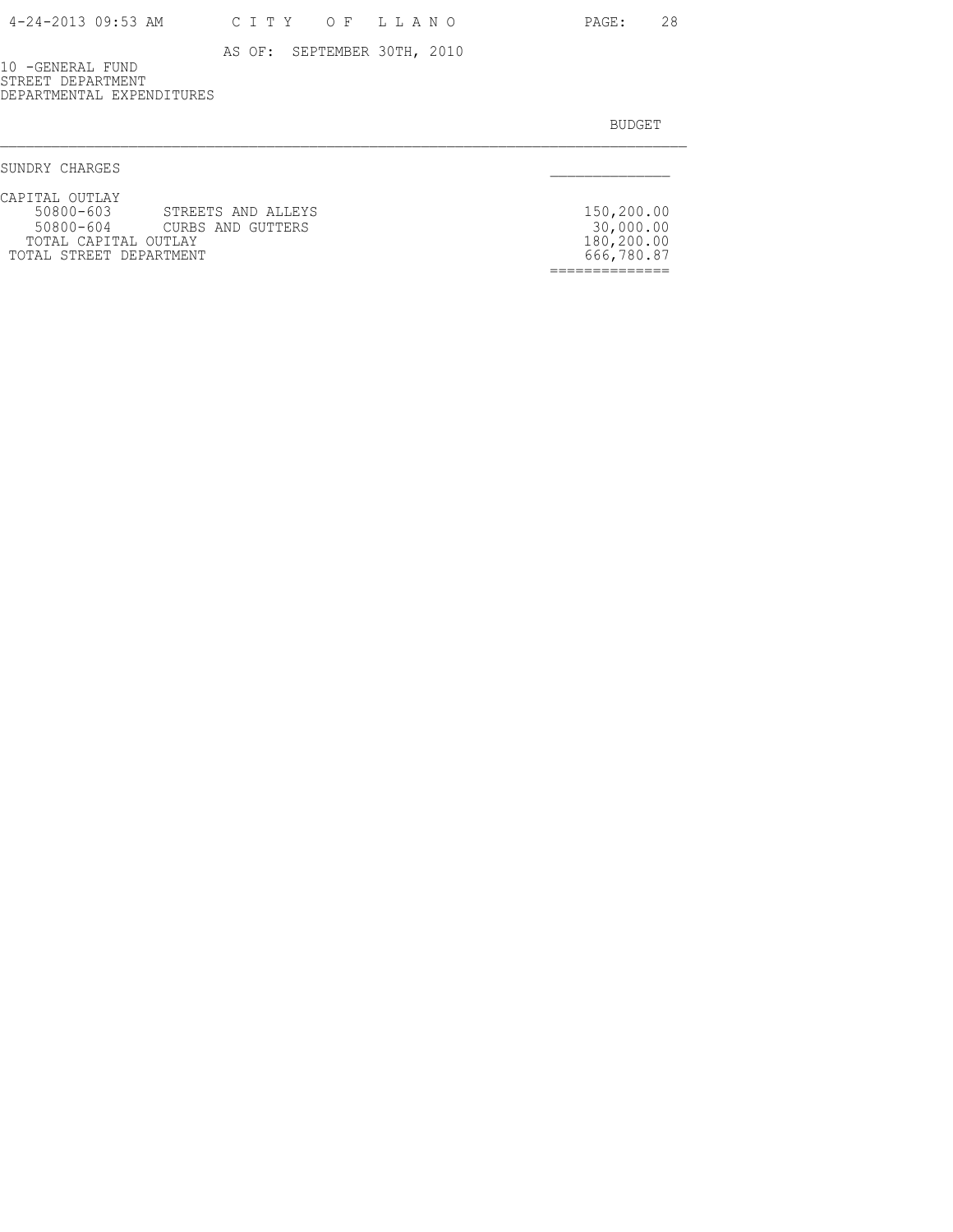10 -GENERAL FUND STREET DEPARTMENT DEPARTMENTAL EXPENDITURES

| SUNDRY CHARGES                                                                                                                   |                                                     |
|----------------------------------------------------------------------------------------------------------------------------------|-----------------------------------------------------|
| CAPITAL OUTLAY<br>50800-603 STREETS AND ALLEYS<br>50800-604 CURBS AND GUTTERS<br>TOTAL CAPITAL OUTLAY<br>TOTAL STREET DEPARTMENT | 150,200.00<br>30,000.00<br>180,200.00<br>666,780.87 |
|                                                                                                                                  |                                                     |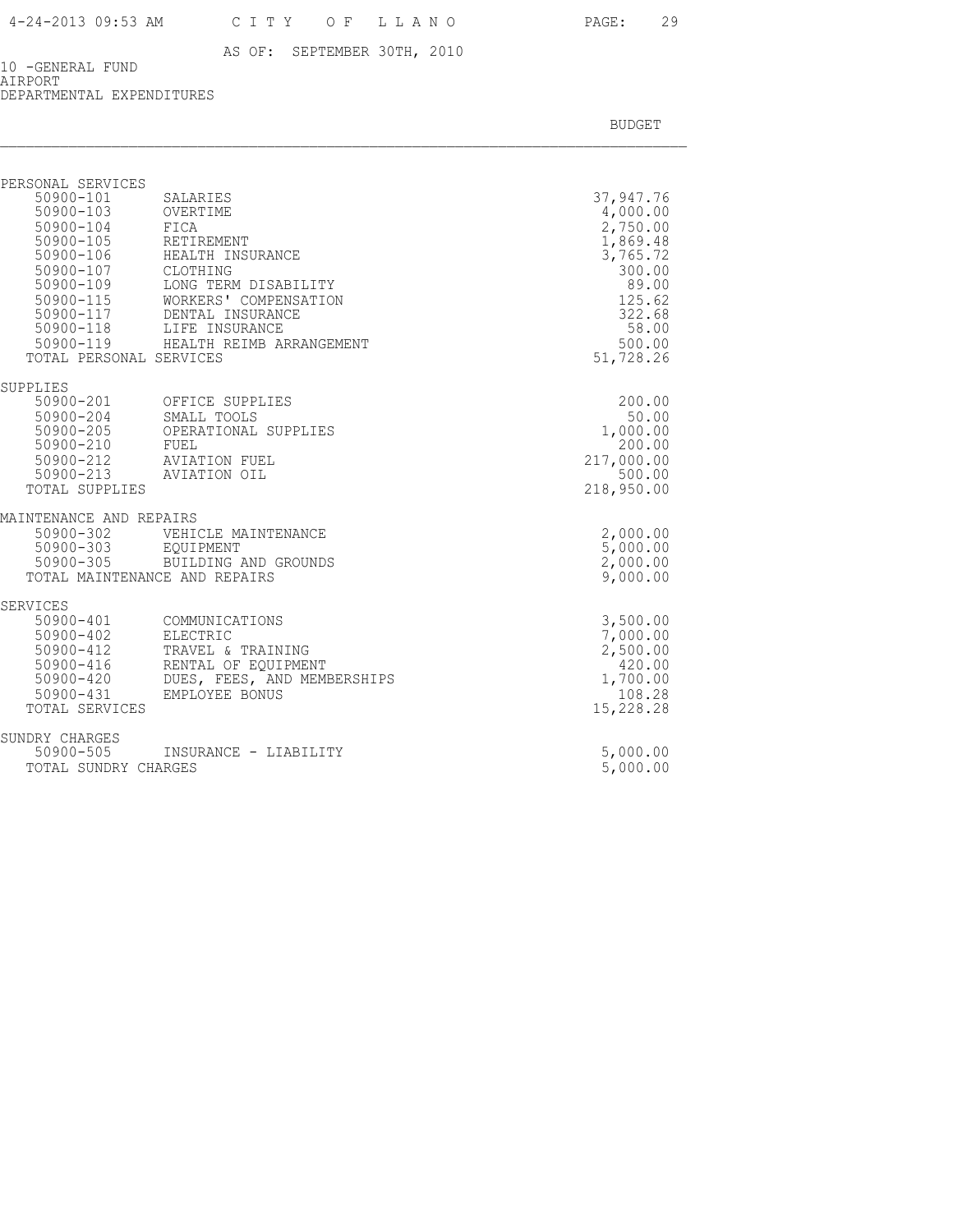10 -GENERAL FUND AIRPORT DEPARTMENTAL EXPENDITURES

| PERSONAL SERVICES<br>50900-101<br>50900-103<br>50900-104<br>50900-105 RETIREMEN<br>50900-106 HEALTH II<br>50900-107 CLOTHING<br>$50900 - 109$<br>50900-115<br>TOTAL PERSONAL SERVICES | SALARIES<br>OVERTIME<br>FICA<br>RETIREMENT<br>HEALTH INSURANCE<br>LONG TERM DISABILITY<br>WORKERS' COMPENSATION<br>50900-117 DENTAL INSURANCE<br>50900-118 LIFE INSURANCE<br>50900-119 HEALTH REIMB ARRANGEMENT | 37,947.76<br>4,000.00<br>2,750.00<br>1,869.48<br>3,765.72<br>300.00<br>89.00<br>125.62<br>322.68<br>58.00<br>500.00<br>51,728.26 |
|---------------------------------------------------------------------------------------------------------------------------------------------------------------------------------------|-----------------------------------------------------------------------------------------------------------------------------------------------------------------------------------------------------------------|----------------------------------------------------------------------------------------------------------------------------------|
| SUPPLIES<br>50900-210 FUEL<br>TOTAL SUPPLIES                                                                                                                                          | 50900-201 OFFICE SUPPLIES<br>50900-204 SMALL TOOLS<br>50900-205 OPERATIONAL SUPPLIES<br>50900-212 AVIATION FUEL<br>50900-213 AVIATION OIL                                                                       | 200.00<br>50.00<br>1,000.00<br>200.00<br>217,000.00<br>500.00<br>218,950.00                                                      |
| MAINTENANCE AND REPAIRS<br>$50900 - 302$<br>50900-303<br>50900-305                                                                                                                    | VEHICLE MAINTENANCE<br>EQUIPMENT<br>BUILDING AND GROUNDS<br>TOTAL MAINTENANCE AND REPAIRS                                                                                                                       | 2,000.00<br>5,000.00<br>2,000.00<br>9,000.00                                                                                     |
| SERVICES<br>50900-412<br>50900-416<br>50900-420<br>50900-431<br>TOTAL SERVICES                                                                                                        | 50900-401 COMMUNICATIONS<br>50900-402 ELECTRIC<br>TRAVEL & TRAINING<br>RENTAL OF EQUIPMENT<br>DUES, FEES, AND MEMBERSHIPS<br>EMPLOYEE BONUS                                                                     | 3,500.00<br>7,000.00<br>2,500.00<br>420.00<br>1,700.00<br>108.28<br>15,228.28                                                    |
| SUNDRY CHARGES<br>50900-505<br>TOTAL SUNDRY CHARGES                                                                                                                                   | INSURANCE - LIABILITY                                                                                                                                                                                           | 5,000.00<br>5,000.00                                                                                                             |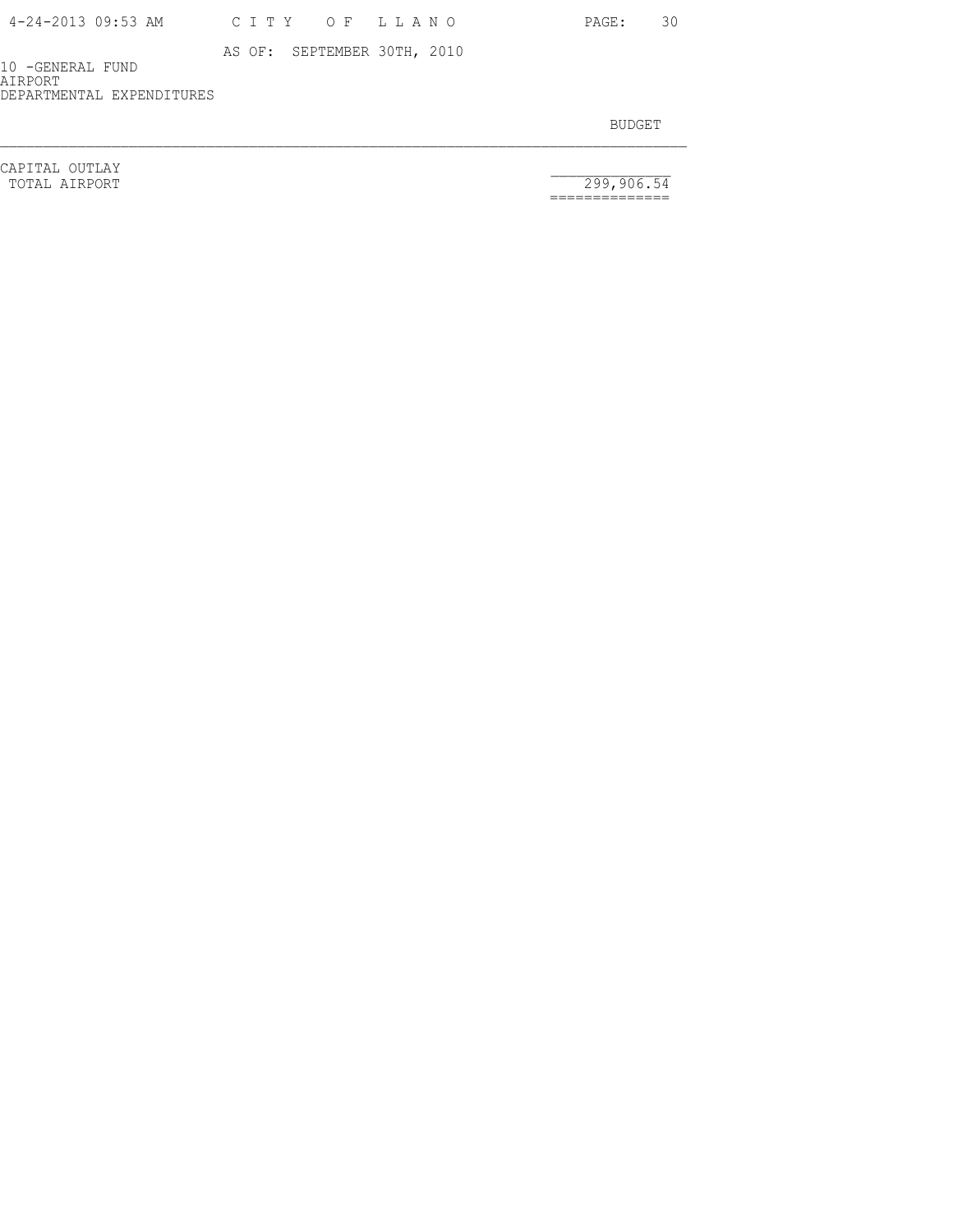| 4-24-2013 09:53 AM | CITY OF LLANO |  |  |  |
|--------------------|---------------|--|--|--|
|--------------------|---------------|--|--|--|

PAGE: 30

AS OF: SEPTEMBER 30TH, 2010

10 -GENERAL FUND AIRPORT DEPARTMENTAL EXPENDITURES

BUDGET AND RESERVE AND RESERVE AND RESERVE AND RESERVE AND RESERVE AND RESERVE AND RESERVE AND RESERVE AND RESERVE AND RESERVE AND RESERVE AND RESERVE AND RESERVE AND RESERVE AND RESPONDING A REPORT OF A REPORT OF A REPORT

CAPITAL OUTLAY<br>
TOTAL AIRPORT 299,906.54

==============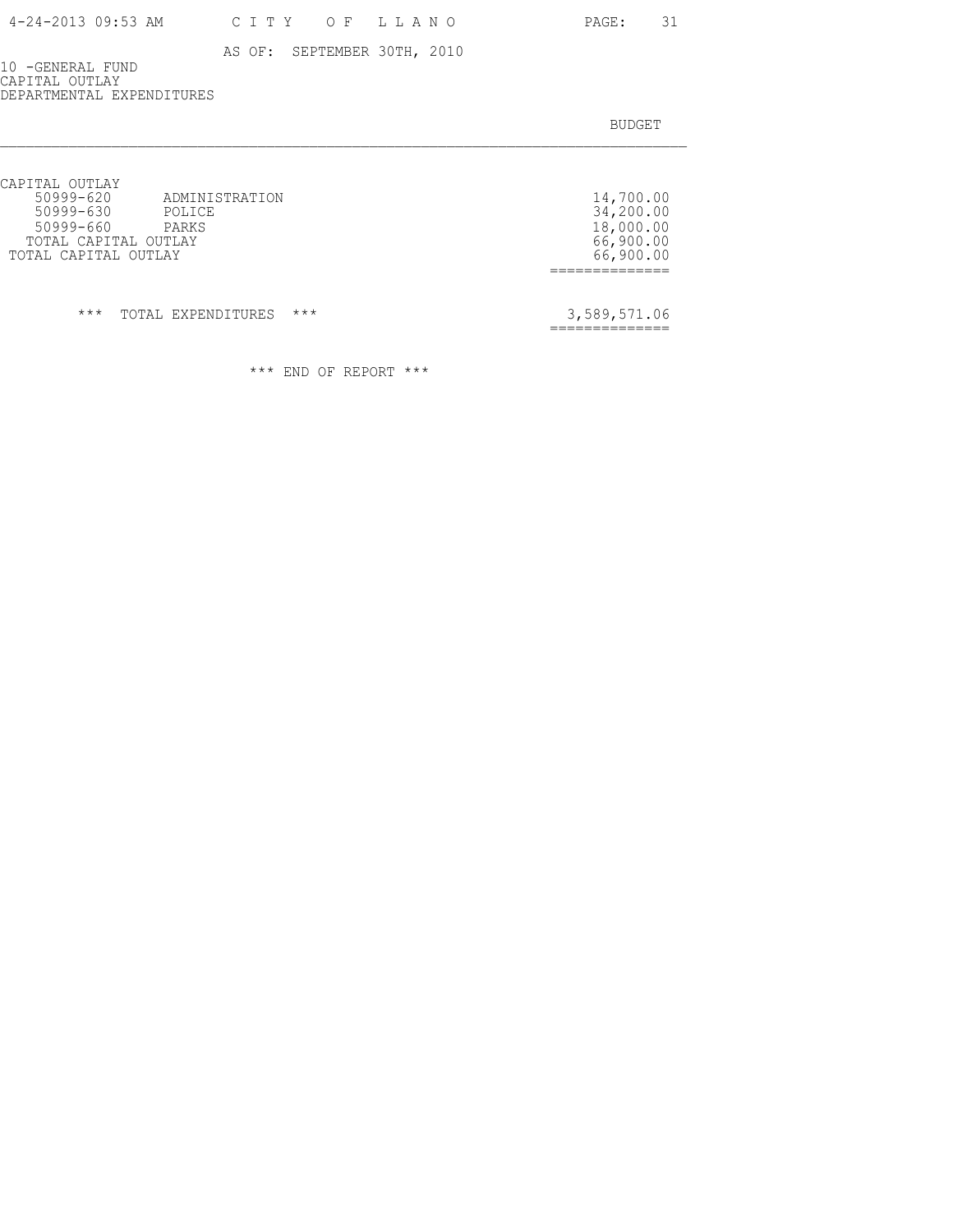10 -GENERAL FUND CAPITAL OUTLAY DEPARTMENTAL EXPENDITURES

BUDGET AND RESERVE AND RESERVE AND RESERVE AND RESERVE AND RESERVE AND RESERVE AND RESERVE AND RESERVE AND RESERVE AND RESERVE AND RESERVE AND RESERVE AND RESERVE AND RESERVE AND RESPONDING A REPORT OF A REPORT OF A REPORT

| CAPITAL OUTLAY<br>$50999 - 620$<br>ADMINISTRATION<br>50999-630<br>POLICE<br>50999-660<br>PARKS<br>TOTAL CAPITAL OUTLAY<br>TOTAL CAPITAL OUTLAY |       | 14,700.00<br>34,200.00<br>18,000.00<br>66,900.00<br>66,900.00 |
|------------------------------------------------------------------------------------------------------------------------------------------------|-------|---------------------------------------------------------------|
| $***$<br>TOTAL EXPENDITURES                                                                                                                    | $***$ | 3,589,571.06                                                  |

\*\*\* END OF REPORT \*\*\*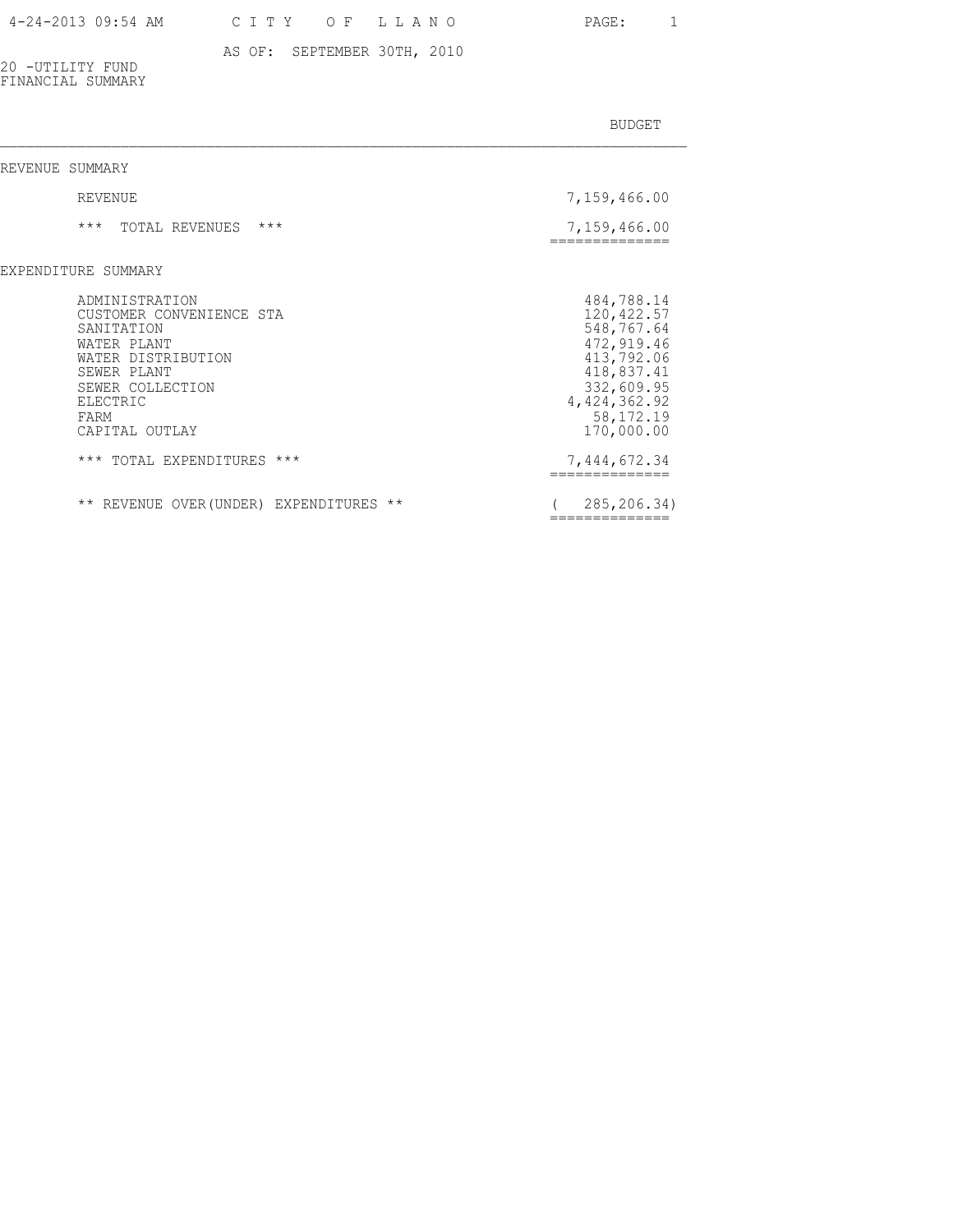### 4-24-2013 09:54 AM C I T Y O F L L A N O PAGE: 1

### AS OF: SEPTEMBER 30TH, 2010

20 -UTILITY FUND FINANCIAL SUMMARY

| REVENUE SUMMARY                                                                                                                                                        |                                                                                                                                                |
|------------------------------------------------------------------------------------------------------------------------------------------------------------------------|------------------------------------------------------------------------------------------------------------------------------------------------|
| REVENUE                                                                                                                                                                | 7,159,466.00                                                                                                                                   |
| $***$<br>$***$<br>TOTAL REVENUES                                                                                                                                       | 7,159,466.00<br>------------                                                                                                                   |
| EXPENDITURE SUMMARY                                                                                                                                                    |                                                                                                                                                |
| ADMINISTRATION<br>CUSTOMER CONVENIENCE STA<br>SANITATION<br>WATER PLANT<br>WATER DISTRIBUTION<br>SEWER PLANT<br>SEWER COLLECTION<br>ELECTRIC<br>FARM<br>CAPITAL OUTLAY | 484,788.14<br>120, 422.57<br>548,767.64<br>472,919.46<br>413,792.06<br>418,837.41<br>332,609.95<br>4, 424, 362.92<br>58, 172. 19<br>170,000.00 |
| *** TOTAL EXPENDITURES ***                                                                                                                                             | 7,444,672.34                                                                                                                                   |
| ** REVENUE OVER (UNDER) EXPENDITURES<br>$\star\star$                                                                                                                   | 285,206.34)<br>=============                                                                                                                   |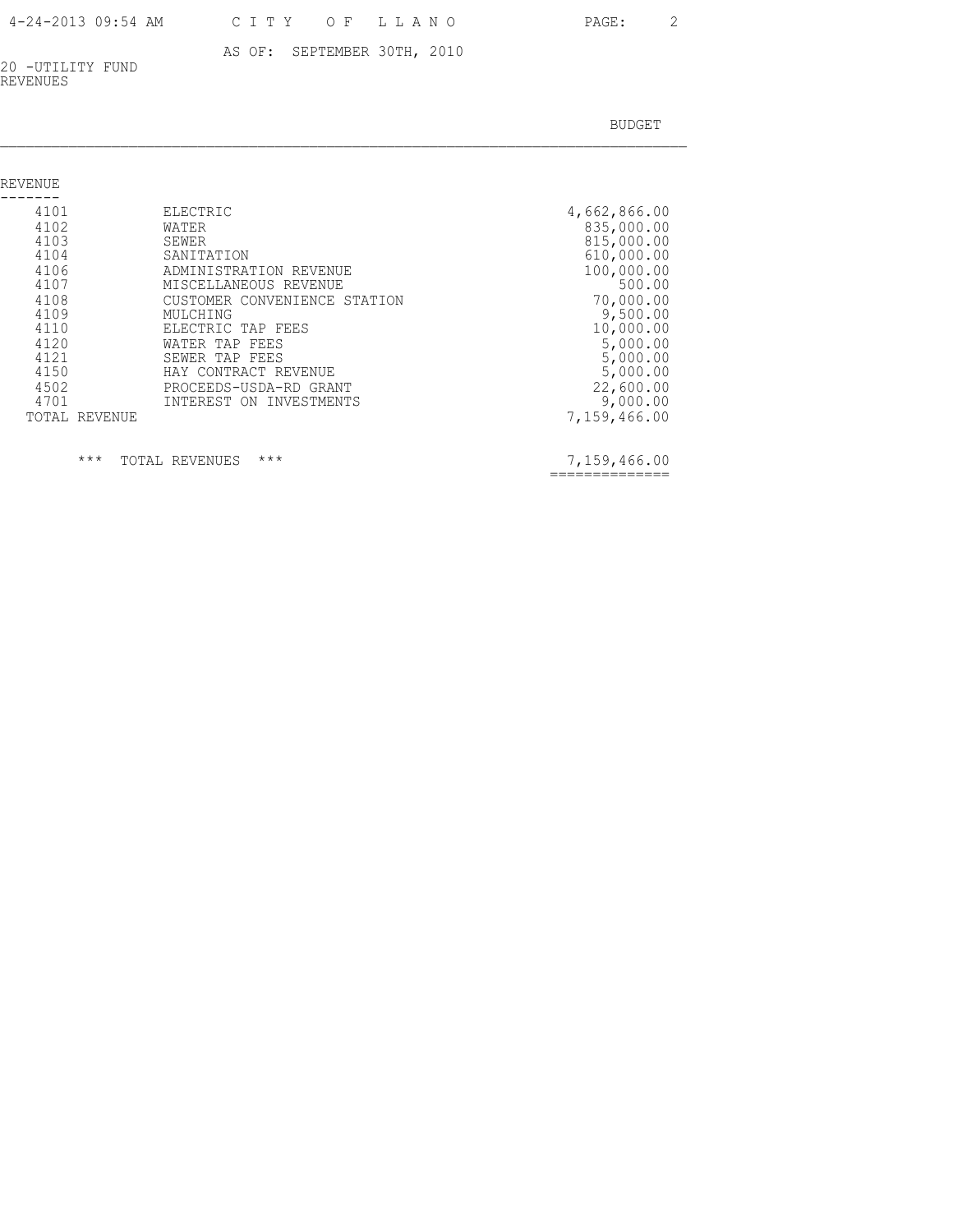| 4-24-2013 09:54 AM | CITY OF LLA |  |
|--------------------|-------------|--|
|                    |             |  |

4 N O PAGE: 2

### AS OF: SEPTEMBER 30TH, 2010

20 -UTILITY FUND REVENUES

BUDGET AND RESERVE AND RESERVE AND RESERVE AND RESERVE AND RESERVE AND RESERVE AND RESERVE AND RESERVE AND RESERVE AND RESERVE AND RESERVE AND RESERVE AND RESERVE AND RESERVE AND RESPONDING A REPORT OF A REPORT OF A REPORT

| REVENUE                                                                                                                       |                                                                                                                                                                                                                                                                               |                                                                                                                                                                                                   |
|-------------------------------------------------------------------------------------------------------------------------------|-------------------------------------------------------------------------------------------------------------------------------------------------------------------------------------------------------------------------------------------------------------------------------|---------------------------------------------------------------------------------------------------------------------------------------------------------------------------------------------------|
| 4101<br>4102<br>4103<br>4104<br>4106<br>4107<br>4108<br>4109<br>4110<br>4120<br>4121<br>4150<br>4502<br>4701<br>TOTAL REVENUE | ELECTRIC<br>WATER<br>SEWER<br>SANITATION<br>ADMINISTRATION REVENUE<br>MISCELLANEOUS REVENUE<br>CUSTOMER CONVENIENCE STATION<br>MULCHING<br>ELECTRIC TAP FEES<br>WATER TAP FEES<br>SEWER TAP FEES<br>HAY CONTRACT REVENUE<br>PROCEEDS-USDA-RD GRANT<br>INTEREST ON INVESTMENTS | 4,662,866.00<br>835,000.00<br>815,000.00<br>610,000.00<br>100,000.00<br>500.00<br>70,000.00<br>9,500.00<br>10,000.00<br>5,000.00<br>5,000.00<br>5,000.00<br>22,600.00<br>9,000.00<br>7,159,466.00 |
|                                                                                                                               |                                                                                                                                                                                                                                                                               |                                                                                                                                                                                                   |

 $\star\star\star$  TOTAL REVENUES  $\star\star\star$ 

7,159,466.00<br>===============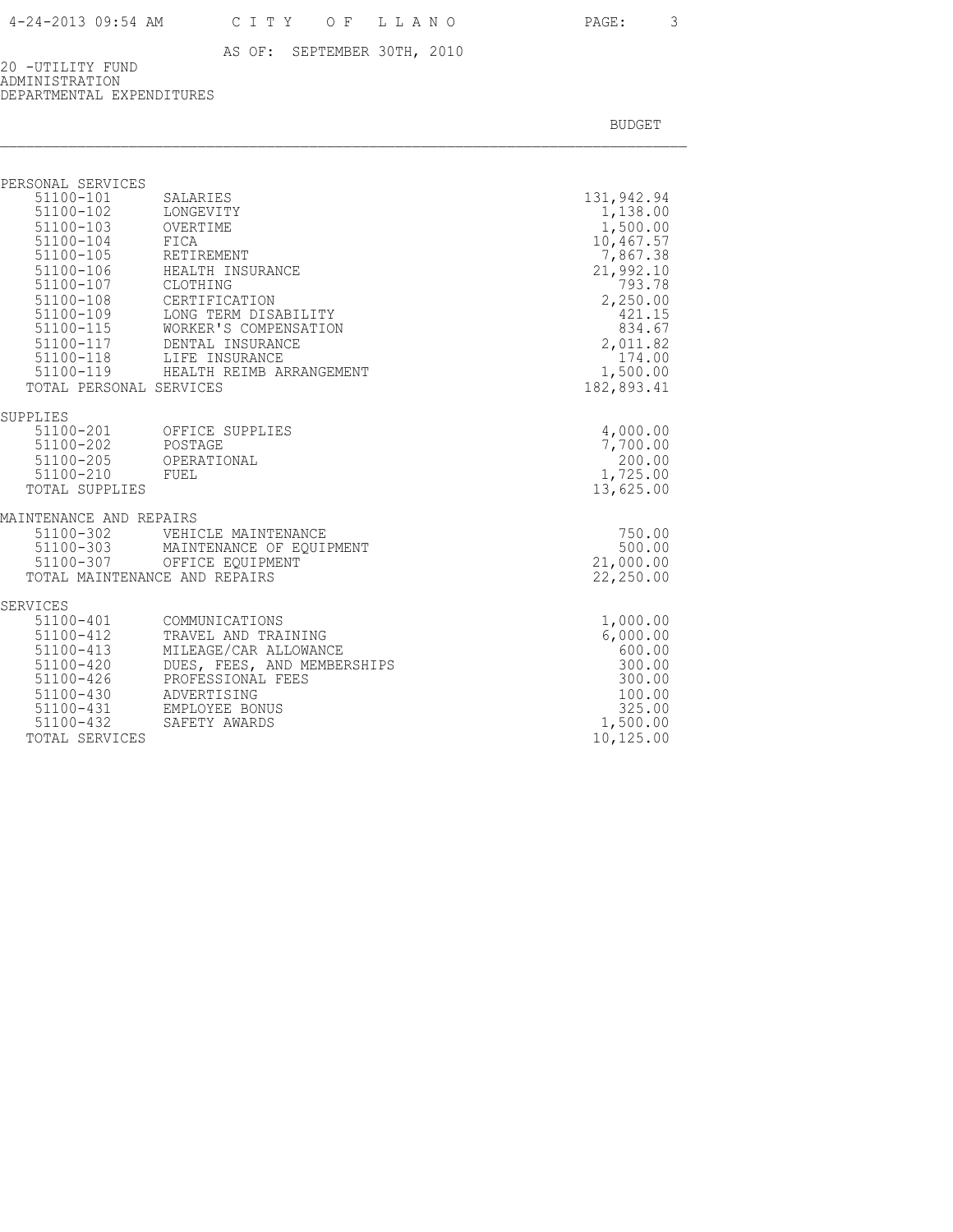20 -UTILITY FUND ADMINISTRATION DEPARTMENTAL EXPENDITURES

| PERSONAL SERVICES                                                                                                                                 |                                                                                                                                                                                                                                        |                                                                                                                                                                    |
|---------------------------------------------------------------------------------------------------------------------------------------------------|----------------------------------------------------------------------------------------------------------------------------------------------------------------------------------------------------------------------------------------|--------------------------------------------------------------------------------------------------------------------------------------------------------------------|
| 51100-101<br>51100-102 LONGEVITY<br>51100-103 OVERTIME<br>51100-104 FICA<br>51100-105 RETIREMENT<br>51100-107 CLOTHING<br>TOTAL PERSONAL SERVICES | SALARIES<br>51100-106 HEALTH INSURANCE<br>51100-108 CERTIFICATION<br>51100-109 LONG TERM DISABILITY<br>51100-115 WORKER'S COMPENSATION<br>51100-117 DENTAL INSURANCE<br>51100-118 LIFE INSURANCE<br>51100-119 HEALTH REIMB ARRANGEMENT | 131,942.94<br>1,138.00<br>1,500.00<br>10,467.57<br>7,867.38<br>21,992.10<br>793.78<br>2,250.00<br>421.15<br>834.67<br>2,011.82<br>174.00<br>1,500.00<br>182,893.41 |
| SUPPLIES<br>51100-202 POSTAGE<br>51100-210 FUEL<br><b>TOTAL SUPPLIES</b>                                                                          | 51100-201 OFFICE SUPPLIES<br>51100-205 OPERATIONAL                                                                                                                                                                                     | 4,000.00<br>7,700.00<br>200.00<br>1,725.00<br>13,625.00                                                                                                            |
| MAINTENANCE AND REPAIRS                                                                                                                           | TOTAL MAINTENANCE AND REPAIRS                                                                                                                                                                                                          | 750.00<br>500.00<br>21,000.00<br>22,250.00                                                                                                                         |
| SERVICES<br>51100-401<br>51100-412<br>51100-413<br>51100-420<br>51100-426<br>51100-430<br>51100-432<br>TOTAL SERVICES                             | COMMUNICATIONS<br>TRAVEL AND TRAINING<br>MILEAGE/CAR ALLOWANCE<br>DUES, FEES, AND MEMBERSHIPS<br>PROFESSIONAL FEES<br>ADVERTISING<br>51100-431 EMPLOYEE BONUS<br>SAFETY AWARDS                                                         | 1,000.00<br>6,000.00<br>600.00<br>300.00<br>300.00<br>100.00<br>325.00<br>1,500.00<br>10,125.00                                                                    |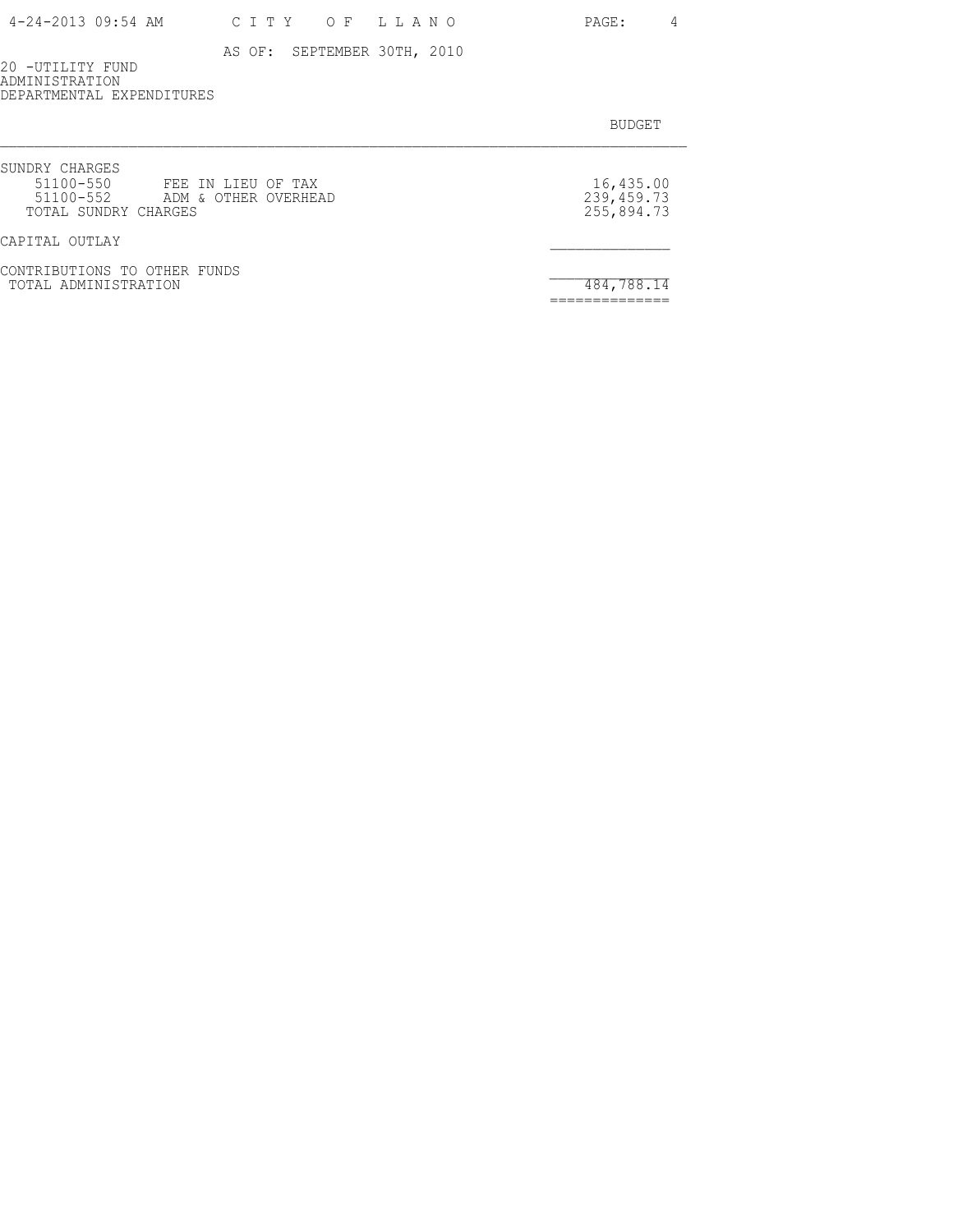| 4-24-2013 09:54 AM |  |  |  |  | CITY OF LLANC |  |  |  |  |  |
|--------------------|--|--|--|--|---------------|--|--|--|--|--|
|--------------------|--|--|--|--|---------------|--|--|--|--|--|

4 V O PAGE: 4

AS OF: SEPTEMBER 30TH, 2010

20 -UTILITY FUND ADMINISTRATION DEPARTMENTAL EXPENDITURES

| SUNDRY CHARGES<br>51100-550<br>FEE IN LIEU OF TAX<br>51100-552 ADM & OTHER OVERHEAD<br>TOTAL SUNDRY CHARGES | 16,435.00<br>239, 459. 73<br>255,894.73 |
|-------------------------------------------------------------------------------------------------------------|-----------------------------------------|
| CAPITAL OUTLAY                                                                                              |                                         |
| CONTRIBUTIONS TO OTHER FUNDS<br>TOTAL ADMINISTRATION                                                        | 484,788.14                              |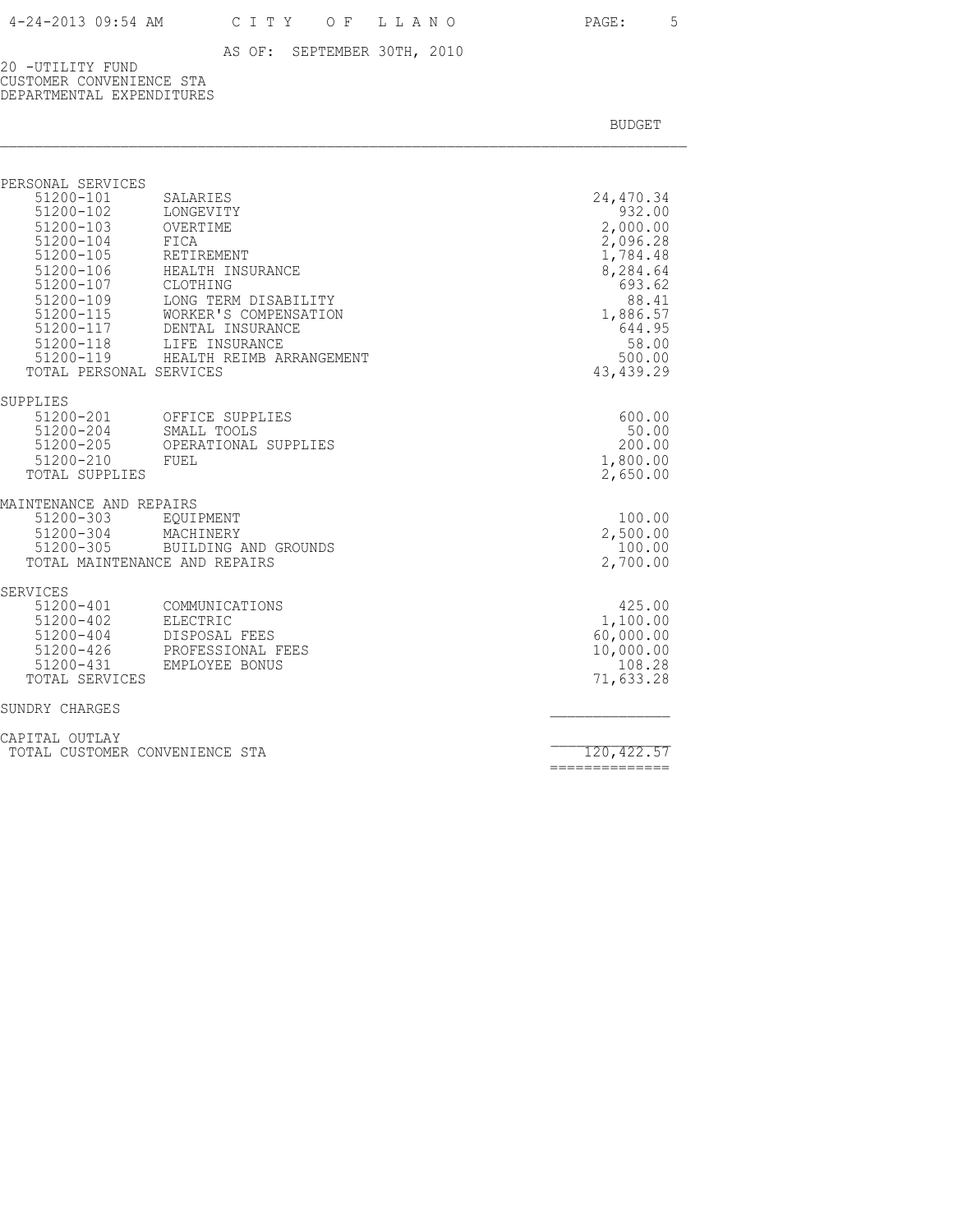20 -UTILITY FUND CUSTOMER CONVENIENCE STA DEPARTMENTAL EXPENDITURES

BUDGET AND RESERVE AND RESERVE AND RESERVE AND RESERVE AND RESERVE AND RESERVE AND RESERVE AND RESERVE AND RESERVE AND RESERVE AND RESERVE AND RESERVE AND RESERVE AND RESERVE AND RESPONDING A REPORT OF A REPORT OF A REPORT

| PERSONAL SERVICES<br>$51200 - 101$<br>51200-102<br>51200-103<br>51200-104<br>51200-105<br>51200-106<br>51200-107 CLOTHING<br>51200-115 | SALARIES<br>LONGEVITY<br>OVERTIME<br>FICA<br>RETIREMENT<br>HEALTH INSURANCE<br>51200-109 LONG TERM DISABILITY<br>WORKER'S COMPENSATION<br>51200-117 DENTAL INSURANCE<br>51200-118 LIFE INSURANCE | 24,470.34<br>932.00<br>2,000.00<br>2,096.28<br>1,784.48<br>8,284.64<br>693.62<br>88.41<br>1,886.57<br>644.95<br>58.00 |
|----------------------------------------------------------------------------------------------------------------------------------------|--------------------------------------------------------------------------------------------------------------------------------------------------------------------------------------------------|-----------------------------------------------------------------------------------------------------------------------|
| TOTAL PERSONAL SERVICES                                                                                                                | 51200-119 HEALTH REIMB ARRANGEMENT                                                                                                                                                               | 500.00<br>43, 439.29                                                                                                  |
| SUPPLIES<br>51200-204 SMALL TOOLS<br>51200-210 FUEL<br>TOTAL SUPPLIES                                                                  | 51200-201 OFFICE SUPPLIES<br>51200-205 OPERATIONAL SUPPLIES                                                                                                                                      | 600.00<br>50.00<br>200.00<br>1,800.00<br>2,650.00                                                                     |
| MAINTENANCE AND REPAIRS<br>51200-303<br>51200-304<br>51200-305<br>TOTAL MAINTENANCE AND REPAIRS                                        | EQUIPMENT<br>MACHINERY<br>BUILDING AND GROUNDS                                                                                                                                                   | 100.00<br>2,500.00<br>100.00<br>2,700.00                                                                              |
| SERVICES<br>51200-401<br>51200-402<br>51200-404<br>51200-426<br>51200-431<br>TOTAL SERVICES                                            | COMMUNICATIONS<br>ELECTRIC<br>DISPOSAL FEES<br>PROFESSIONAL FEES<br>EMPLOYEE BONUS                                                                                                               | 425.00<br>1,100.00<br>60,000.00<br>10,000.00<br>108.28<br>71,633.28                                                   |
| SUNDRY CHARGES                                                                                                                         |                                                                                                                                                                                                  |                                                                                                                       |
| CAPITAL OUTLAY                                                                                                                         |                                                                                                                                                                                                  |                                                                                                                       |

TOTAL CUSTOMER CONVENIENCE STA 120,422.57

==============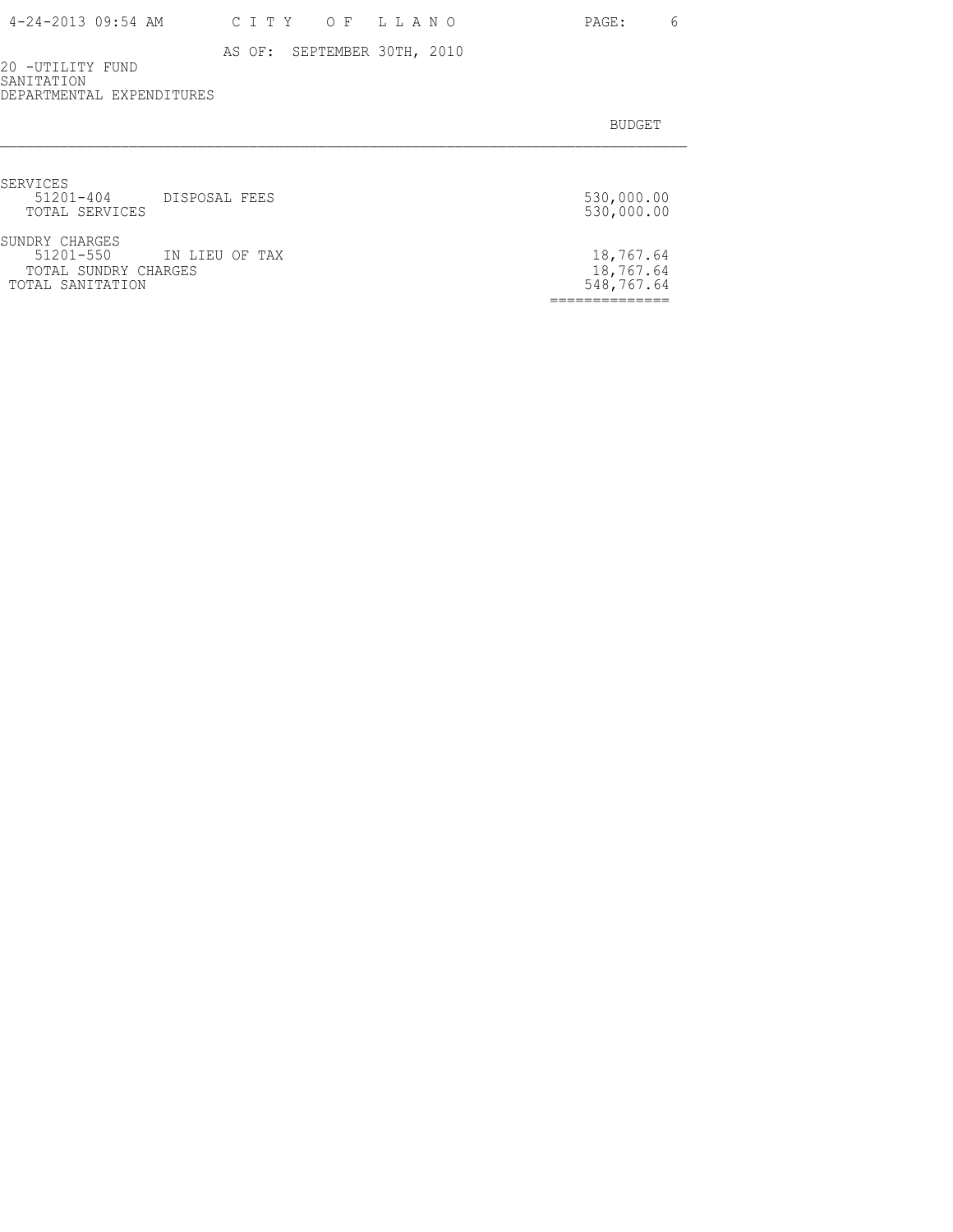20 -UTILITY FUND SANITATION DEPARTMENTAL EXPENDITURES

| SERVICES<br>$51201 - 404$<br>TOTAL SERVICES                             | DISPOSAL FEES  | 530,000.00<br>530,000.00             |
|-------------------------------------------------------------------------|----------------|--------------------------------------|
| SUNDRY CHARGES<br>51201-550<br>TOTAL SUNDRY CHARGES<br>TOTAL SANITATION | IN LIEU OF TAX | 18,767.64<br>18,767.64<br>548,767.64 |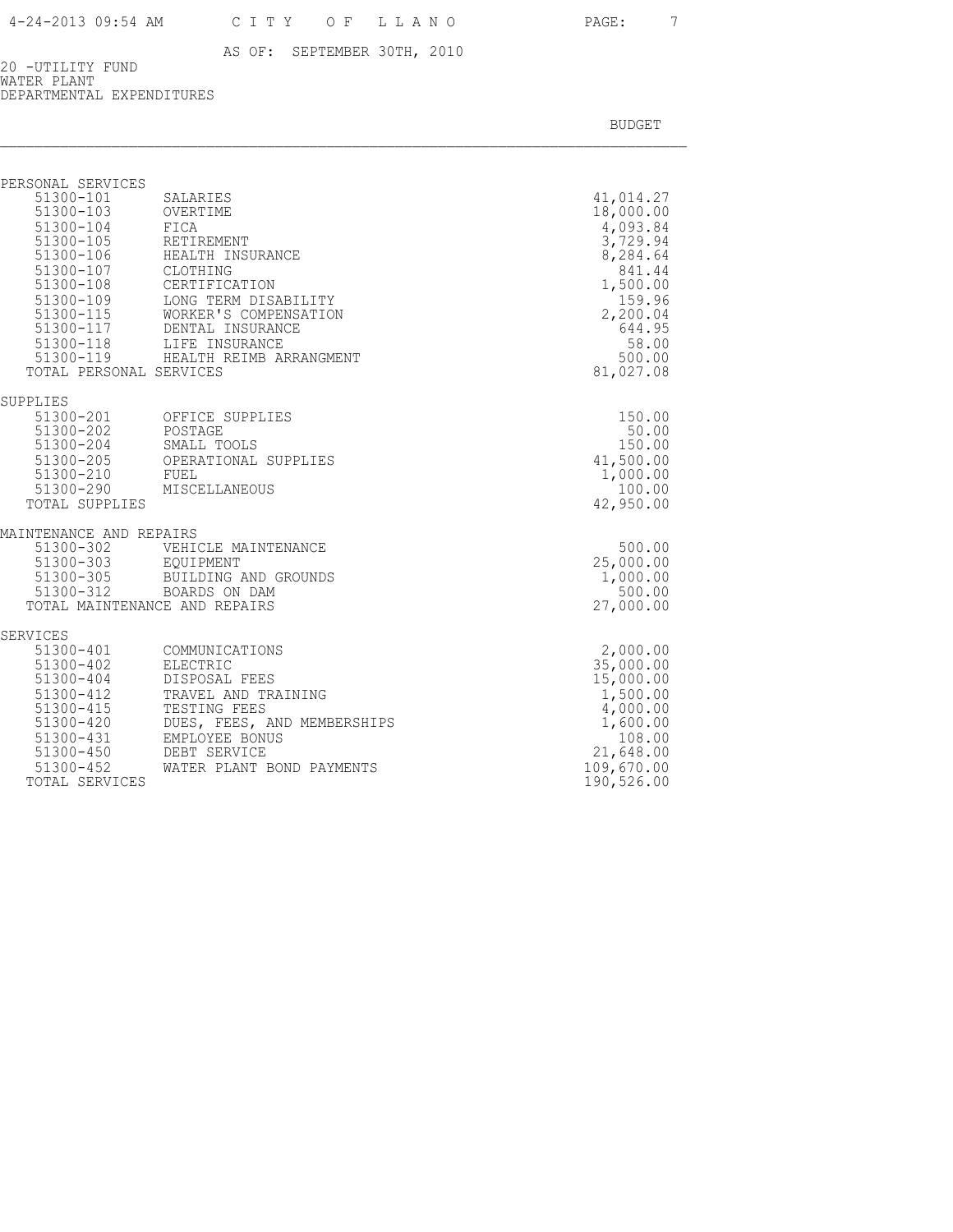20 -UTILITY FUND WATER PLANT DEPARTMENTAL EXPENDITURES

| PERSONAL SERVICES                                                                                                           |                                                                                                                                                                                                                                                                                                  |                                                                                                                                                  |
|-----------------------------------------------------------------------------------------------------------------------------|--------------------------------------------------------------------------------------------------------------------------------------------------------------------------------------------------------------------------------------------------------------------------------------------------|--------------------------------------------------------------------------------------------------------------------------------------------------|
| 51300-101<br>51300-103<br>51300-104<br>51300-105<br>51300-107 CLOTHING<br>51300-108<br>51300-109<br>TOTAL PERSONAL SERVICES | SALARIES<br>OVERTIME<br>FICA<br>RETIREMENT<br>51300-105 RETIREMENT<br>51300-106 HEALTH INSURANCE<br>CERTIFICATION<br>LONG TERM DISABILITY<br>51300-115 WORKER'S COMPENS.<br>51300-117 DENTAL INSURANCE<br>WORKER'S COMPENSATION<br>51300-118 LIFE INSURANCE<br>51300-119 HEALTH REIMB ARRANGMENT | 41,014.27<br>18,000.00<br>4,093.84<br>3,729.94<br>8,284.64<br>841.44<br>1,500.00<br>159.96<br>2,200.04<br>644.95<br>58.00<br>500.00<br>81,027.08 |
| SUPPLIES                                                                                                                    | 51300-201 OFFICE SUPPLIES                                                                                                                                                                                                                                                                        | 150.00                                                                                                                                           |
| 51300-202<br>51300-210<br>51300-290<br>TOTAL SUPPLIES                                                                       | POSTAGE<br>51300-204 SMALL TOOLS<br>51300-205 OPERATIONAL SUPPLIES<br>FUEL<br>MISCELLANEOUS                                                                                                                                                                                                      | 50.00<br>150.00<br>41,500.00<br>1,000.00<br>100.00<br>42,950.00                                                                                  |
| MAINTENANCE AND REPAIRS<br>51300-302<br>51300-303                                                                           | VEHICLE MAINTENANCE<br>EQUIPMENT                                                                                                                                                                                                                                                                 | 500.00<br>25,000.00                                                                                                                              |
| 51300-305<br>$51300 - 312$<br>TOTAL MAINTENANCE AND REPAIRS                                                                 | BUILDING AND GROUNDS<br>BOARDS ON DAM                                                                                                                                                                                                                                                            | 1,000.00<br>500.00<br>27,000.00                                                                                                                  |
| SERVICES<br>51300-401                                                                                                       | COMMUNICATIONS                                                                                                                                                                                                                                                                                   | 2,000.00                                                                                                                                         |
| 51300-402<br>51300-404<br>51300-412<br>51300-415<br>$51300 - 420$<br>51300-431                                              | ELECTRIC<br>DISPOSAL FEES<br>TRAVEL AND TRAINING<br>TESTING FEES<br>DUES, FEES, AND MEMBERSHIPS<br>EMPLOYEE BONUS                                                                                                                                                                                | 35,000.00<br>15,000.00<br>1,500.00<br>4,000.00<br>1,600.00<br>108.00                                                                             |
| $51300 - 450$<br>51300-452<br>TOTAL SERVICES                                                                                | DEBT SERVICE<br>WATER PLANT BOND PAYMENTS                                                                                                                                                                                                                                                        | 21,648.00<br>109,670.00<br>190,526.00                                                                                                            |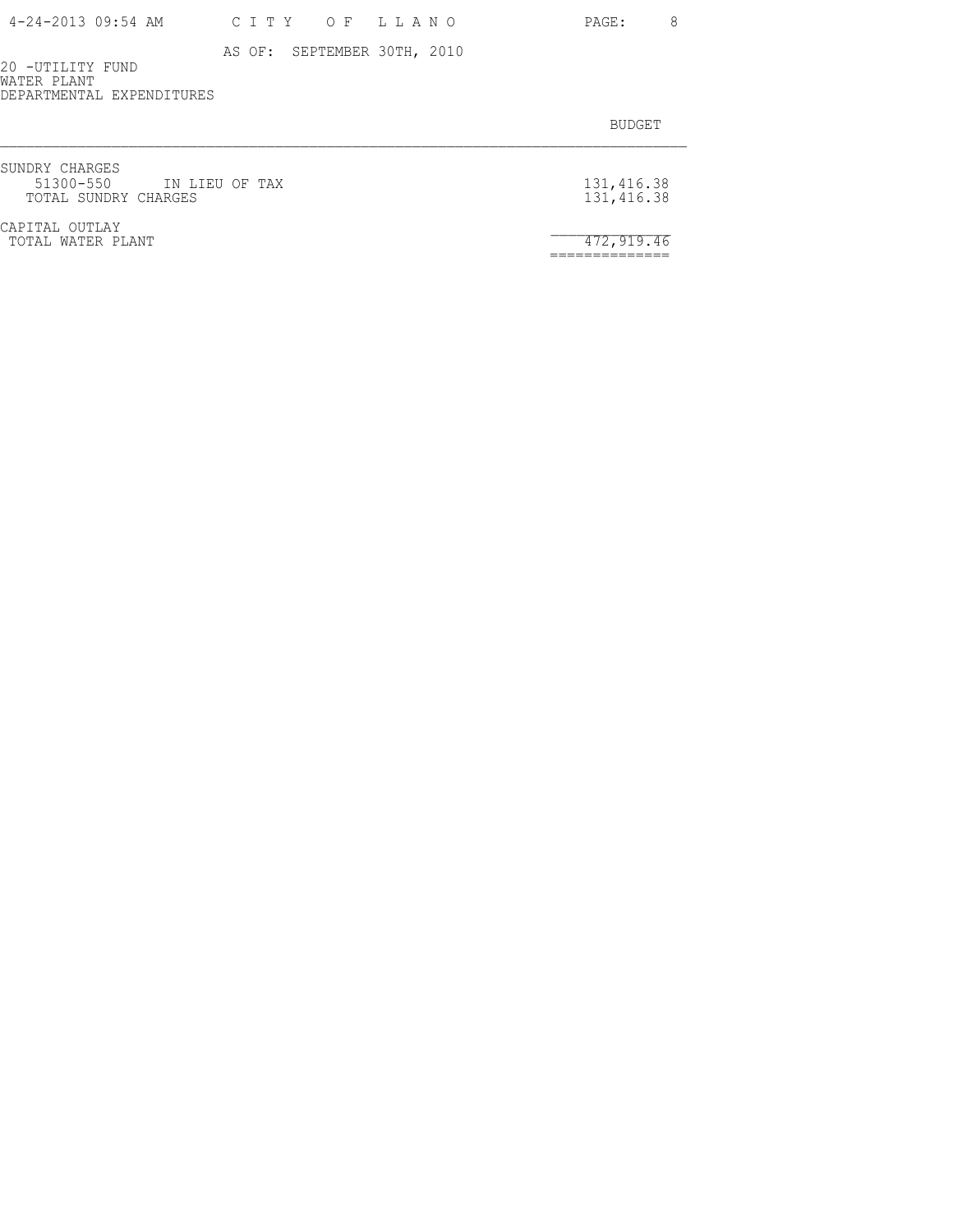20 -UTILITY FUND WATER PLANT DEPARTMENTAL EXPENDITURES

| SUNDRY CHARGES<br>51300-550 IN LIEU OF TAX<br>TOTAL SUNDRY CHARGES | 131,416.38<br>131,416.38 |
|--------------------------------------------------------------------|--------------------------|
| CAPITAL OUTLAY<br>TOTAL WATER PLANT                                | 472,919.46               |
|                                                                    |                          |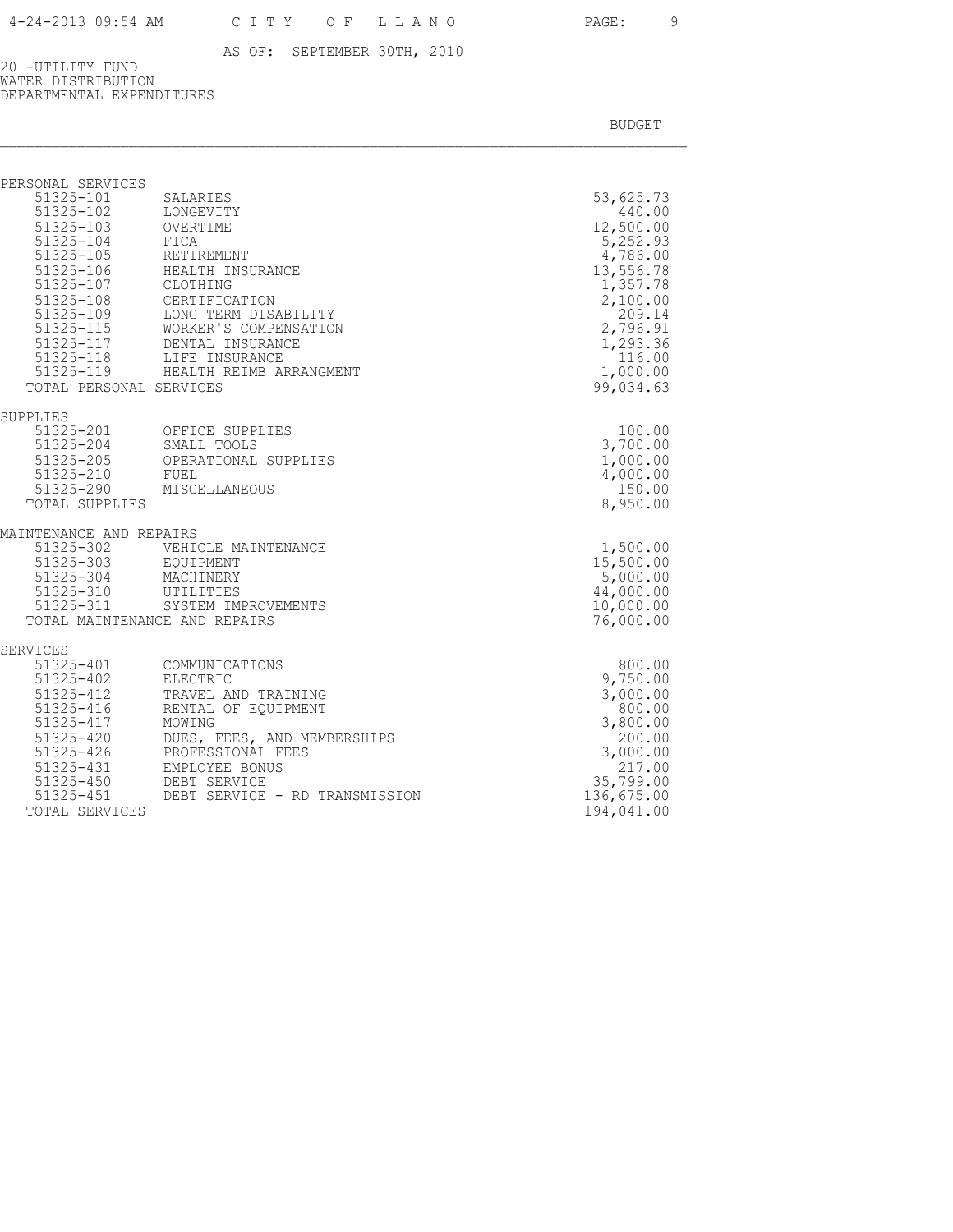20 -UTILITY FUND WATER DISTRIBUTION DEPARTMENTAL EXPENDITURES

BUDGET AND RESERVE AND RESERVE AND RESERVE AND RESERVE AND RESERVE AND RESERVE AND RESERVE AND RESERVE AND RESERVE AND RESERVE AND RESERVE AND RESERVE AND RESERVE AND RESERVE AND RESPONDING A REPORT OF A REPORT OF A REPORT

| PERSONAL SERVICES                          |                                                                                             |                       |
|--------------------------------------------|---------------------------------------------------------------------------------------------|-----------------------|
| 51325-101                                  | SALARIES                                                                                    | 53,625.73             |
|                                            | 51325-102 LONGEVITY                                                                         | 440.00                |
| 51325-103 OVERTIME                         |                                                                                             | 12,500.00             |
|                                            | 51325-104 FICA<br>51325-105 RETIREMENT                                                      | 5,252.93<br>4,786.00  |
|                                            | 51325-106 HEALTH INSURANCE                                                                  | 13,556.78             |
| 51325-107 CLOTHING                         |                                                                                             | 1,357.78              |
|                                            | CERTIFICATION                                                                               | 2,100.00              |
| 51325-108<br>51325-109                     | LONG TERM DISABILITY                                                                        | 209.14                |
|                                            | 51325-115 WORKER'S COMPENSATION                                                             | 2,796.91              |
|                                            | 51325-117 DENTAL INSURANCE<br>51325-118 LIFE INSURANCE<br>51325-119 HEALTH REIMB ARRANGMENT | 1,293.36              |
|                                            |                                                                                             | 116.00                |
|                                            |                                                                                             | 1,000.00              |
| TOTAL PERSONAL SERVICES                    |                                                                                             | 99,034.63             |
| SUPPLIES                                   |                                                                                             |                       |
|                                            | 51325-201 OFFICE SUPPLIES<br>51325-204 SMALL TOOLS                                          | 100.00<br>3,700.00    |
|                                            |                                                                                             | 1,000.00              |
|                                            | 51325-205 OPERATIONAL SUPPLIES<br>51325-210 FUEL                                            | 4,000.00              |
|                                            | 51325-290 MISCELLANEOUS                                                                     | 150.00                |
| TOTAL SUPPLIES                             |                                                                                             | 8,950.00              |
| MAINTENANCE AND REPAIRS                    |                                                                                             |                       |
| 51325-302                                  | VEHICLE MAINTENANCE                                                                         | 1,500.00              |
| 51325-303 EQUIPMENT                        |                                                                                             | 15,500.00             |
| 51325-304 MACHINERY<br>51325-310 UTILITIES |                                                                                             | 5,000.00<br>44,000.00 |
|                                            | 51325-311 SYSTEM IMPROVEMENTS                                                               | 10,000.00             |
|                                            | TOTAL MAINTENANCE AND REPAIRS                                                               | 76,000.00             |
|                                            |                                                                                             |                       |
| SERVICES                                   |                                                                                             |                       |
|                                            | 51325-401 COMMUNICATIONS<br>ELECTRIC                                                        | 800.00<br>9,750.00    |
| $51325 - 402$<br>51325-412                 | TRAVEL AND TRAINING                                                                         | 3,000.00              |
| 51325-416                                  | RENTAL OF EOUIPMENT                                                                         | 800.00                |
| 51325-417                                  | MOWING                                                                                      | 3,800.00              |
| 51325-420                                  | DUES, FEES, AND MEMBERSHIPS                                                                 | 200.00                |
| 51325-426                                  | PROFESSIONAL FEES                                                                           | 3,000.00              |
| 51325-431                                  | EMPLOYEE BONUS                                                                              | 217.00                |
| 51325-450                                  | DEBT SERVICE                                                                                | 35,799.00             |
| 51325-451                                  | DEBT SERVICE - RD TRANSMISSION                                                              | 136,675.00            |

TOTAL SERVICES 194,041.00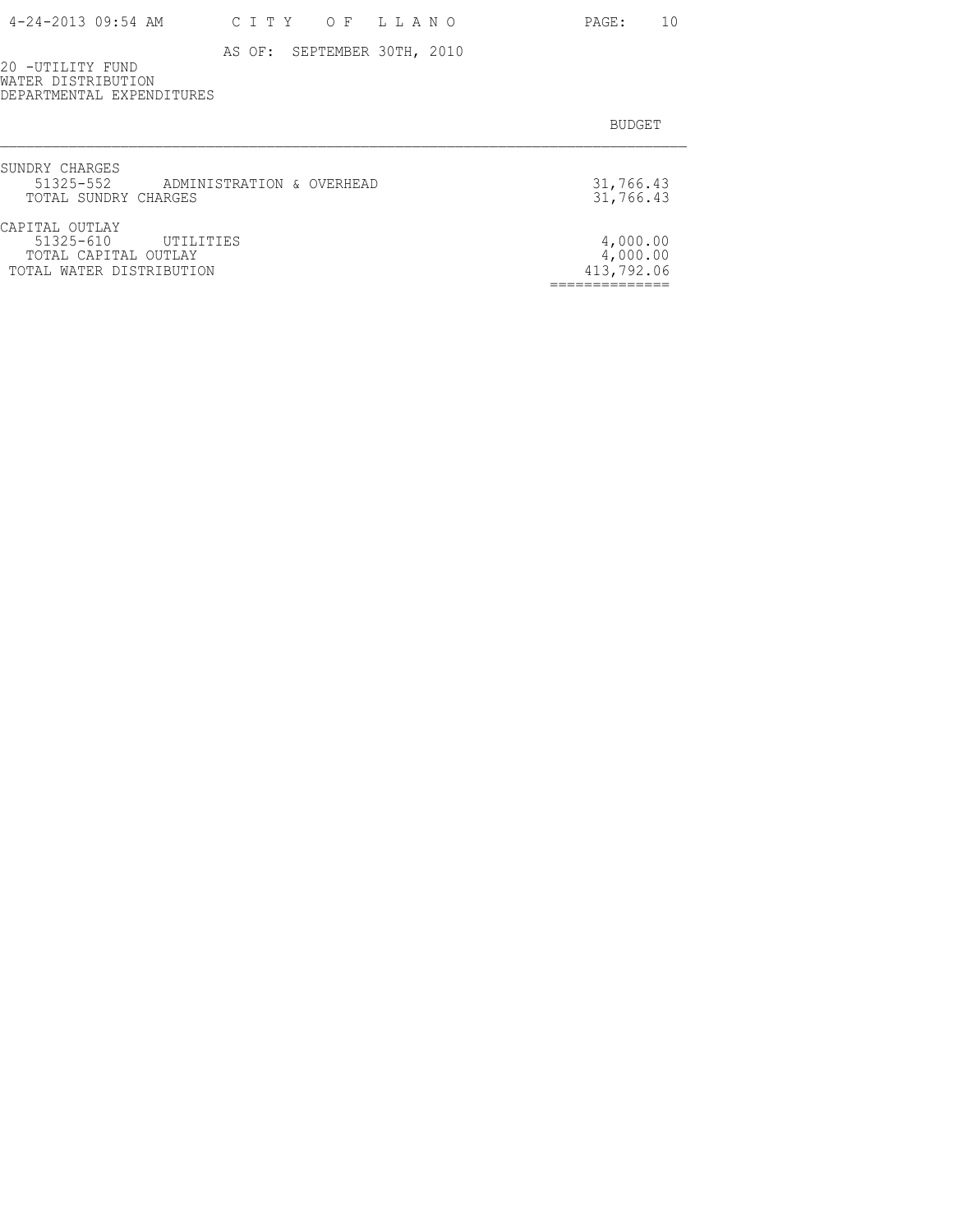PAGE: 10

AS OF: SEPTEMBER 30TH, 2010

20 -UTILITY FUND WATER DISTRIBUTION DEPARTMENTAL EXPENDITURES

| SUNDRY CHARGES<br>51325-552 ADMINISTRATION & OVERHEAD<br>TOTAL SUNDRY CHARGES             | 31,766.43<br>31,766.43             |
|-------------------------------------------------------------------------------------------|------------------------------------|
| CAPITAL OUTLAY<br>51325-610 UTILITIES<br>TOTAL CAPITAL OUTLAY<br>TOTAL WATER DISTRIBUTION | 4,000.00<br>4,000.00<br>413,792.06 |
|                                                                                           |                                    |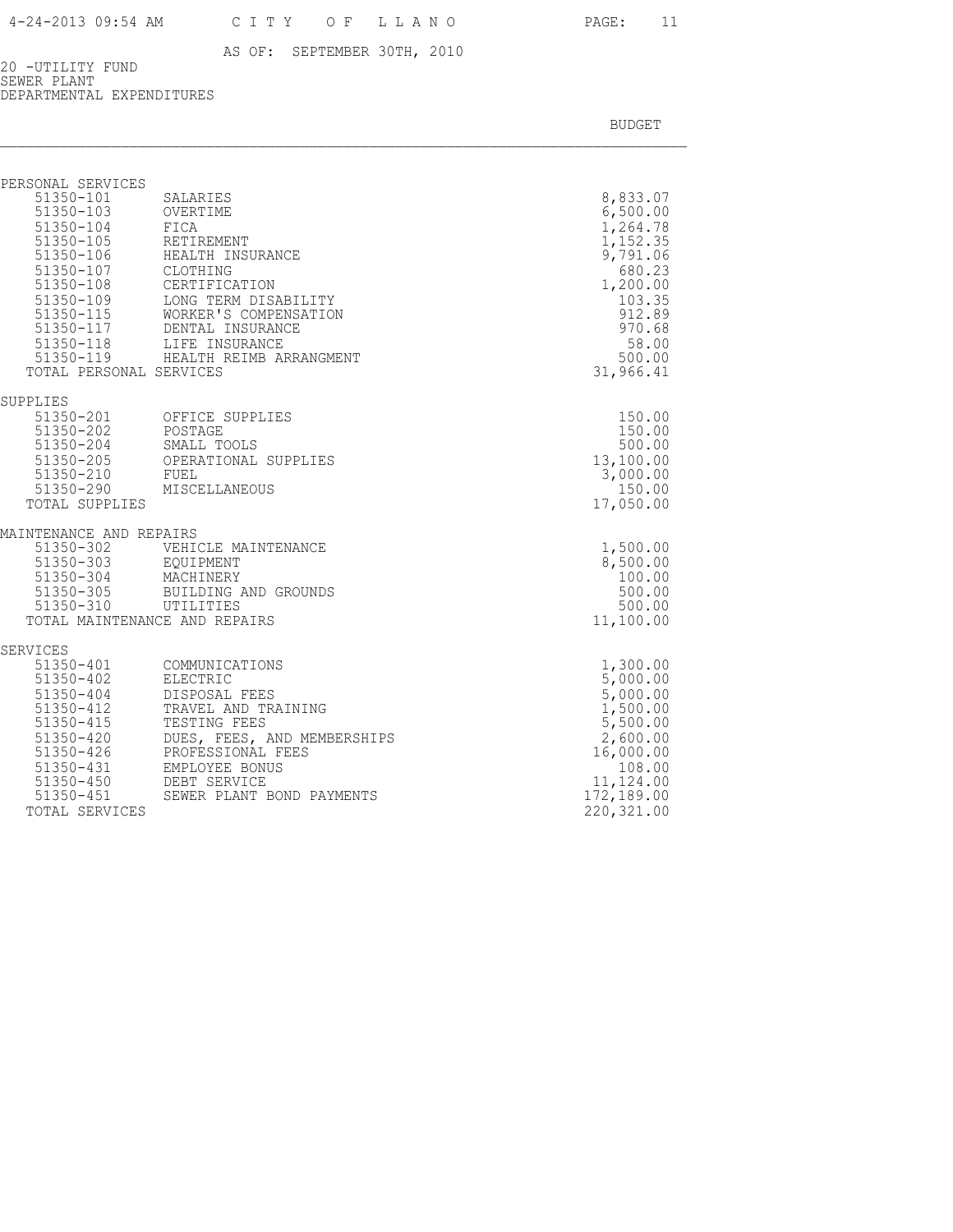20 -UTILITY FUND SEWER PLANT DEPARTMENTAL EXPENDITURES

| PERSONAL SERVICES                                     |                                                                                                  |                       |
|-------------------------------------------------------|--------------------------------------------------------------------------------------------------|-----------------------|
| 51350-101                                             | SALARIES                                                                                         | 8,833.07              |
| 51350-103                                             | OVERTIME                                                                                         | 6,500.00              |
|                                                       | 51350-104 FICA<br>51350-105 RETIREMENT<br>51350-106 HEALTH INSURANCE                             | 1,264.78              |
|                                                       |                                                                                                  | 1,152.35<br>9,791.06  |
| 51350-107                                             | CLOTHING                                                                                         | 680.23                |
|                                                       | CERTIFICATION                                                                                    | 1,200.00              |
| 51350-108<br>51350-109                                | LONG TERM DISABILITY                                                                             | 103.35                |
|                                                       |                                                                                                  | 912.89                |
|                                                       | 51350-115<br>51350-115<br>WORKER'S COMPENSATION<br>51350-117<br>LIFE INSURANCE<br>LIFE INSURANCE | 970.68                |
|                                                       |                                                                                                  | 58.00                 |
|                                                       | 51350-119 HEALTH REIMB ARRANGMENT                                                                | 500.00                |
| TOTAL PERSONAL SERVICES                               |                                                                                                  | 31,966.41             |
| SUPPLIES                                              |                                                                                                  |                       |
|                                                       | 51350-201 OFFICE SUPPLIES                                                                        | 150.00                |
| 51350-202<br>51350-204 SMALL TO<br>51350-205 OPERATIC |                                                                                                  | 150.00                |
|                                                       | SMALL TOOLS<br>OPERATIONAL SUPPLIES                                                              | 500.00                |
|                                                       |                                                                                                  | 13,100.00<br>3,000.00 |
|                                                       | 51350-210 FUEL<br>51350-290 MISCELLANEOUS                                                        | 150.00                |
| TOTAL SUPPLIES                                        |                                                                                                  | 17,050.00             |
| MAINTENANCE AND REPAIRS                               |                                                                                                  |                       |
|                                                       |                                                                                                  | 1,500.00              |
|                                                       | 51350-302 VEHICLE MAINTENANCE<br>51350-303 EQUIPMENT                                             | 8,500.00              |
| 51350-304                                             | MACHINERY                                                                                        | 100.00                |
| $51350 - 305$<br>51350-310 UTILITIES                  | BUILDING AND GROUNDS                                                                             | 500.00<br>500.00      |
|                                                       | TOTAL MAINTENANCE AND REPAIRS                                                                    | 11,100.00             |
|                                                       |                                                                                                  |                       |
| SERVICES                                              |                                                                                                  | 1,300.00              |
| 51350-402                                             | 51350-401 COMMUNICATIONS<br>51350-402 ELECTRIC<br>ELECTRIC                                       | 5,000.00              |
| 51350-404                                             | DISPOSAL FEES                                                                                    | 5,000.00              |
| 51350-412<br>51350-415                                | TRAVEL AND TRAINING                                                                              | 1,500.00              |
|                                                       | TESTING FEES                                                                                     | 5,500.00              |
| 51350-420                                             | DUES, FEES, AND MEMBERSHIPS                                                                      | 2,600.00              |
| 51350-426                                             | PROFESSIONAL FEES                                                                                | 16,000.00             |
|                                                       | 51350-431 EMPLOYEE BONI<br>51350-450 DEBT SERVICE<br>EMPLOYEE BONUS                              | 108.00<br>11,124.00   |
| 51350-451                                             | SEWER PLANT BOND PAYMENTS                                                                        | 172,189.00            |
| TOTAL SERVICES                                        |                                                                                                  | 220, 321.00           |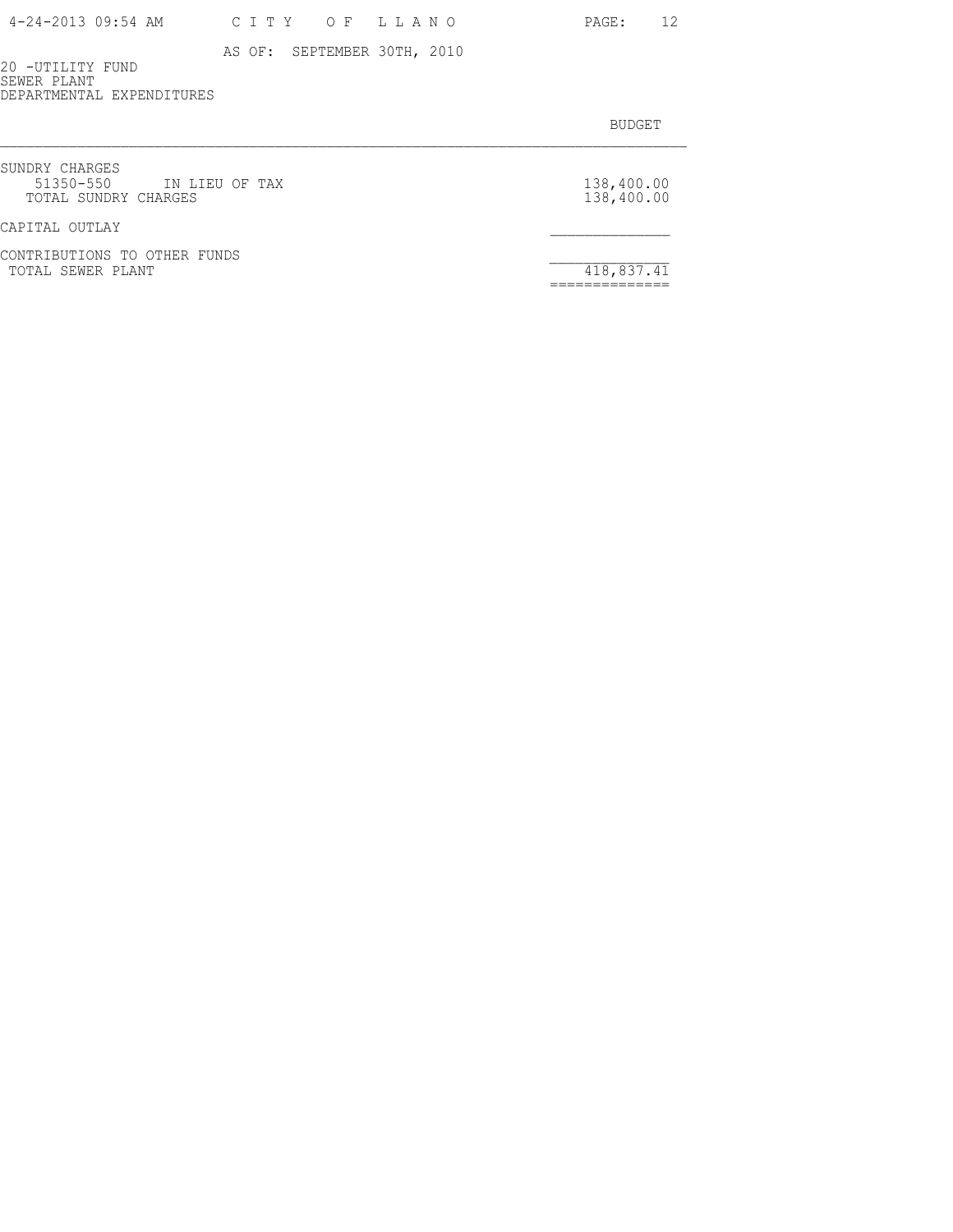| 4-24-2013 09:54 AM | C I T Y | OF LLANO | PAGE: |
|--------------------|---------|----------|-------|
|--------------------|---------|----------|-------|

20 -UTILITY FUND SEWER PLANT DEPARTMENTAL EXPENDITURES

| SUNDRY CHARGES<br>51350-550 IN LIEU OF TAX<br>TOTAL SUNDRY CHARGES | 138,400.00<br>138,400.00 |
|--------------------------------------------------------------------|--------------------------|
| CAPITAL OUTLAY                                                     |                          |
| CONTRIBUTIONS TO OTHER FUNDS<br>TOTAL SEWER PLANT                  | 418,837.41               |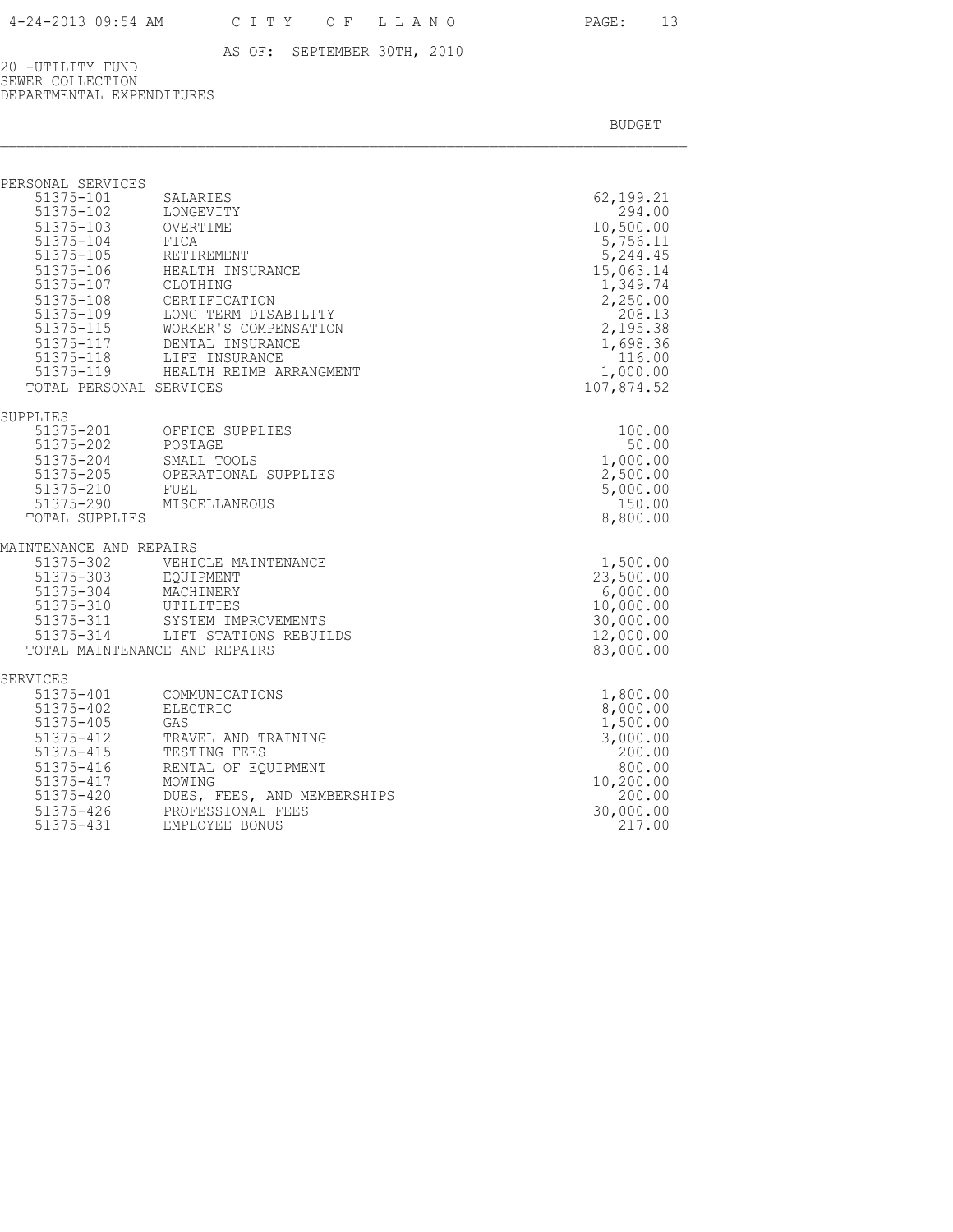20 -UTILITY FUND SEWER COLLECTION DEPARTMENTAL EXPENDITURES

BUDGET AND RESERVE AND RESERVE AND RESERVE AND RESERVE AND RESERVE AND RESERVE AND RESERVE AND RESERVE AND RESERVE AND RESERVE AND RESERVE AND RESERVE AND RESERVE AND RESERVE AND RESPONDING A REPORT OF A REPORT OF A REPORT

| PERSONAL SERVICES<br>51375-101<br>$51375 - 102$<br>51375-103 OVERTIME<br>51375-104<br>51375-104<br>51375-105<br>51375-107<br>51375-108<br>51375-109     | SALARIES<br>LONGEVITY<br>FICA<br>RETIREMENT<br>51375-106 HEALTH INSURANCE<br>CLOTHING<br>CERTIFICATION<br>LONG TERM DISABILITY<br>51375-115 WORKER'S COMPENS.<br>51375-117 DENTAL INSURANCE<br>WORKER'S COMPENSATION<br>51375-118 LIFE INSURANCE<br>51375-119 HEALTH REIMB ARRANGMENT | 62,199.21<br>294.00<br>10,500.00<br>5,756.11<br>5,244.45<br>15,063.14<br>1,349.74<br>2,250.00<br>208.13<br>2,195.38<br>1,698.36<br>116.00<br>1,000.00 |
|---------------------------------------------------------------------------------------------------------------------------------------------------------|---------------------------------------------------------------------------------------------------------------------------------------------------------------------------------------------------------------------------------------------------------------------------------------|-------------------------------------------------------------------------------------------------------------------------------------------------------|
| TOTAL PERSONAL SERVICES<br>SUPPLIES                                                                                                                     |                                                                                                                                                                                                                                                                                       | 107,874.52                                                                                                                                            |
| 51375-201<br>51375-202<br>51375-204<br>51375-205<br>51375-210<br>51375-290<br>TOTAL SUPPLIES                                                            | OFFICE SUPPLIES<br>POSTAGE<br>SMALL TOOLS<br>OPERATIONAL SUPPLIES<br>FUEL<br>MISCELLANEOUS                                                                                                                                                                                            | 100.00<br>50.00<br>1,000.00<br>2,500.00<br>5,000.00<br>150.00<br>8,800.00                                                                             |
| MAINTENANCE AND REPAIRS<br>51375-302<br>51375-303<br>51375-304<br>MACHINERY<br>51375-310<br>51375-311<br>$51375 - 314$<br>TOTAL MAINTENANCE AND REPAIRS | VEHICLE MAINTENANCE<br>UTILITIES<br>SYSTEM IMPROVEMENTS<br>LIFT STATIONS REBUILDS                                                                                                                                                                                                     | 1,500.00<br>23,500.00<br>6,000.00<br>10,000.00<br>30,000.00<br>12,000.00<br>83,000.00                                                                 |
| SERVICES<br>51375-401                                                                                                                                   | COMMUNICATIONS                                                                                                                                                                                                                                                                        | 1,800.00                                                                                                                                              |
| 51375-402<br>51375-405<br>$51375 - 412$<br>51375-415<br>51375-416<br>51375-417<br>51375-420<br>51375-426                                                | ELECTRIC<br>GAS<br>TRAVEL AND TRAINING<br>TESTING FEES<br>RENTAL OF EOUIPMENT<br>MOWING<br>DUES, FEES, AND MEMBERSHIPS<br>PROFESSIONAL FEES                                                                                                                                           | 8,000.00<br>1,500.00<br>3,000.00<br>200.00<br>800.00<br>10,200.00<br>200.00<br>30,000.00                                                              |

51375-431 EMPLOYEE BONUS 217.00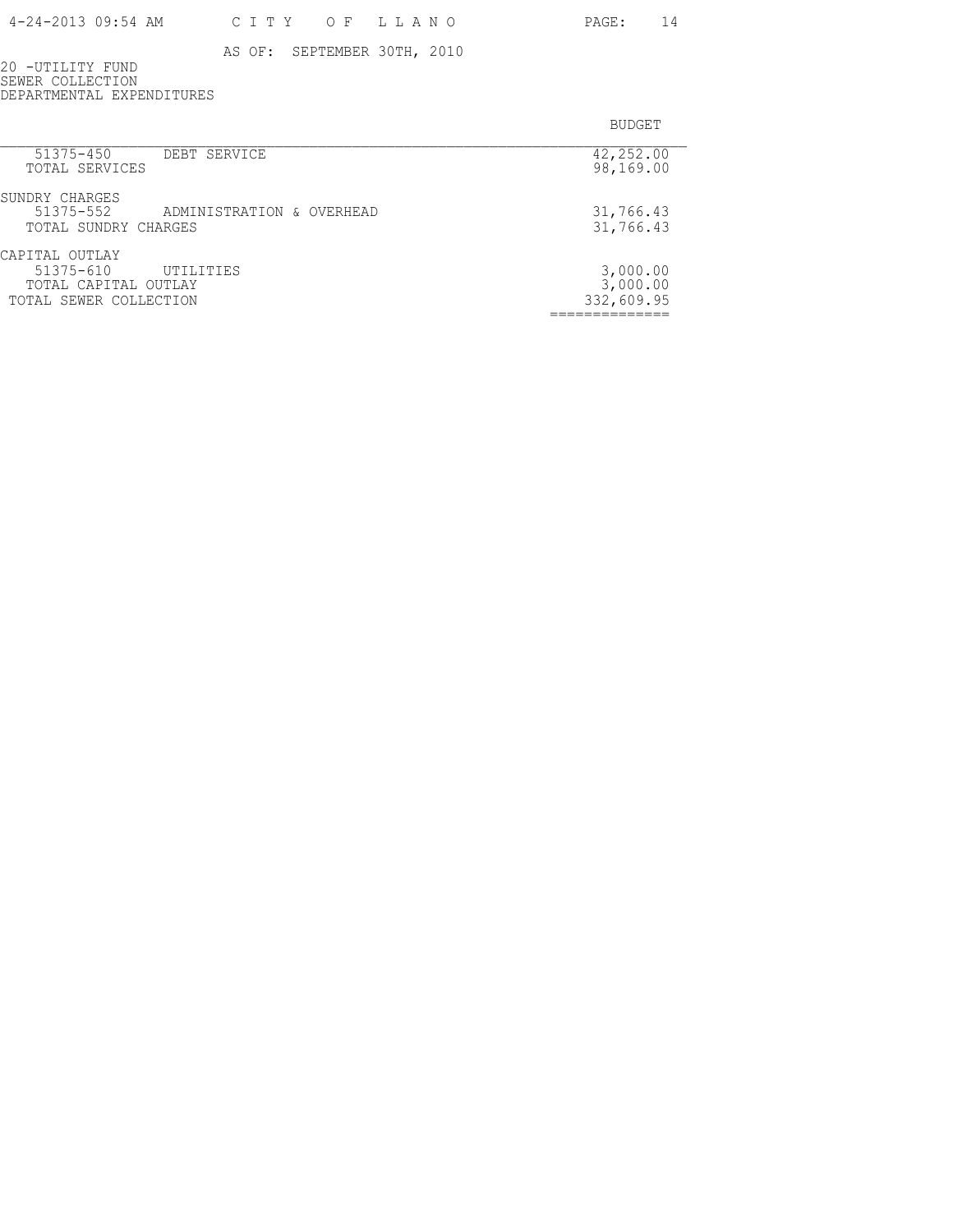20 -UTILITY FUND SEWER COLLECTION DEPARTMENTAL EXPENDITURES

| 51375-450<br>DEBT SERVICE              | 42,252.00  |
|----------------------------------------|------------|
| TOTAL SERVICES                         | 98,169.00  |
| SUNDRY CHARGES                         |            |
| 51375-552<br>ADMINISTRATION & OVERHEAD | 31,766.43  |
| TOTAL SUNDRY CHARGES                   | 31,766.43  |
| CAPITAL OUTLAY                         |            |
| $51375 - 610$<br>UTILITIES             | 3,000.00   |
| TOTAL CAPITAL OUTLAY                   | 3,000.00   |
| TOTAL SEWER COLLECTION                 | 332,609.95 |
|                                        |            |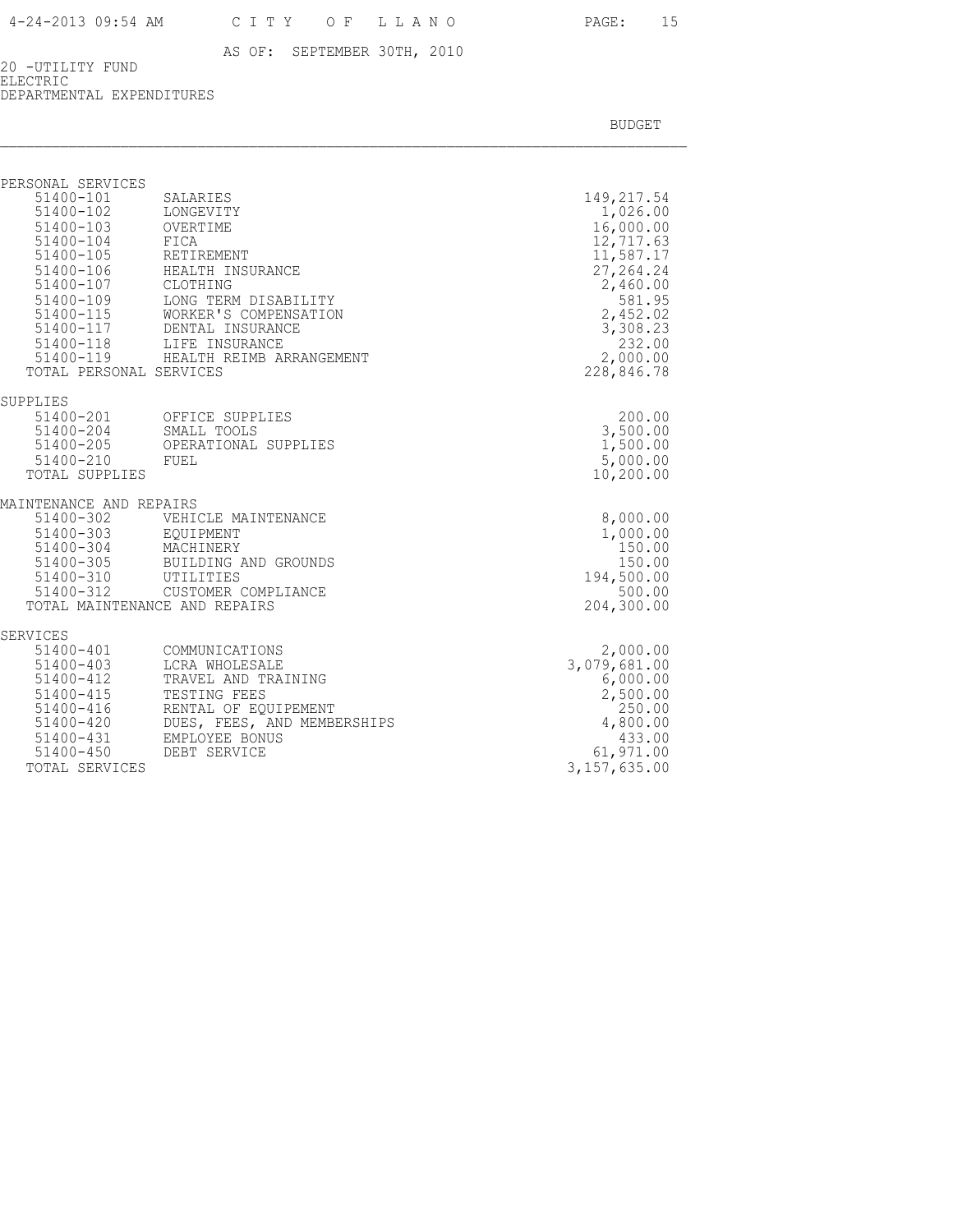20 -UTILITY FUND ELECTRIC DEPARTMENTAL EXPENDITURES

| PERSONAL SERVICES                                                                                                                          |                                                                                                                                                                                                                                               |                                                                                                                                                                |
|--------------------------------------------------------------------------------------------------------------------------------------------|-----------------------------------------------------------------------------------------------------------------------------------------------------------------------------------------------------------------------------------------------|----------------------------------------------------------------------------------------------------------------------------------------------------------------|
| 51400-101<br>51400-102<br>51400-103 OVERTIME<br>51400-104 FICA<br>51400-105 RETIREMENT<br>51400-107 CLOTHING<br>TOTAL PERSONAL SERVICES    | SALARIES<br>LONGEVITY<br>51400-106 HEALTH INSURANCE<br>51400-109 LONG TERM DISABILITY<br>51400-115 WORKER'S COMPENS.<br>51400-117 DENTAL INSURANCE<br>51400-118 LIFE INSURANCE<br>WORKER'S COMPENSATION<br>51400-119 HEALTH REIMB ARRANGEMENT | 149, 217.54<br>1,026.00<br>16,000.00<br>12,717.63<br>11,587.17<br>27, 264.24<br>2,460.00<br>581.95<br>2,452.02<br>3,308.23<br>232.00<br>2,000.00<br>228,846.78 |
| SUPPLIES<br>51400-205<br>51400-210 FUEL<br>TOTAL SUPPLIES                                                                                  | 51400-201 OFFICE SUPPLIES<br>51400-204 SMALL TOOLS<br>OPERATIONAL SUPPLIES                                                                                                                                                                    | 200.00<br>3,500.00<br>1,500.00<br>5,000.00<br>10,200.00                                                                                                        |
| MAINTENANCE AND REPAIRS<br>51400-302<br>51400-303 EQUIPMENT<br>51400-304 MACHINERY                                                         | VEHICLE MAINTENANCE<br>51400-305 BUILDING AND GROUNDS<br>51400-310 UTILITIES<br>51400-312 CUSTOMER COMPLIANCE<br>TOTAL MAINTENANCE AND REPAIRS                                                                                                | 8,000.00<br>1,000.00<br>150.00<br>150.00<br>194,500.00<br>500.00<br>204,300.00                                                                                 |
| SERVICES<br>51400-401<br>$51400 - 403$<br>51400-412<br>$51400 - 415$<br>51400-416<br>51400-420<br>51400-431<br>51400-450<br>TOTAL SERVICES | COMMUNICATIONS<br>LCRA WHOLESALE<br>TRAVEL AND TRAINING<br>TESTING FEES<br>RENTAL OF EQUIPEMENT<br>DUES, FEES, AND MEMBERSHIPS<br>EMPLOYEE BONUS<br>DEBT SERVICE                                                                              | 2,000.00<br>3,079,681.00<br>6,000.00<br>2,500.00<br>250.00<br>4,800.00<br>433.00<br>61,971.00<br>3, 157, 635.00                                                |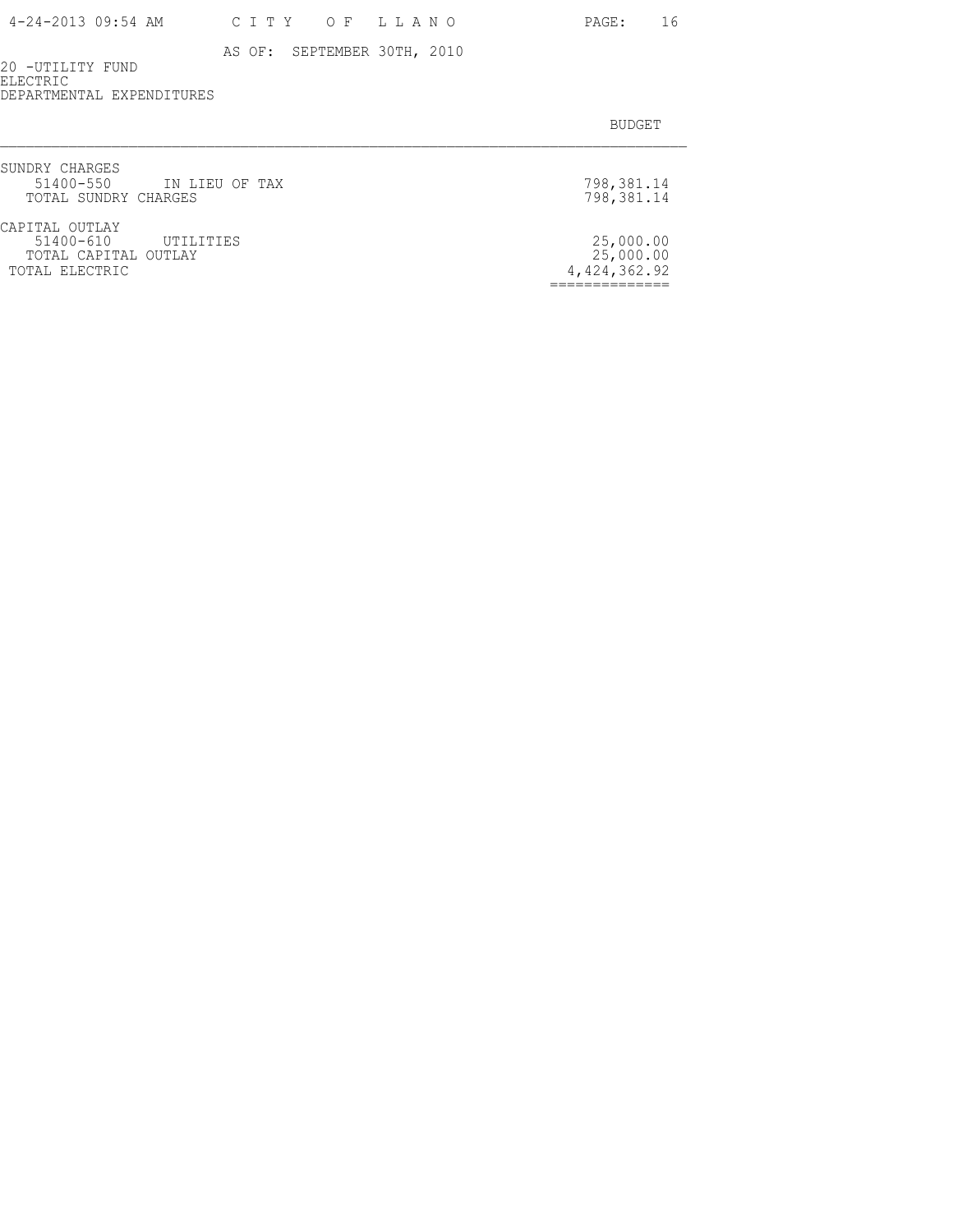20 -UTILITY FUND ELECTRIC DEPARTMENTAL EXPENDITURES

| SUNDRY CHARGES<br>51400-550 IN LIEU OF TAX<br>TOTAL SUNDRY CHARGES              | 798,381.14<br>798,381.14               |
|---------------------------------------------------------------------------------|----------------------------------------|
| CAPITAL OUTLAY<br>51400-610 UTILITIES<br>TOTAL CAPITAL OUTLAY<br>TOTAL ELECTRIC | 25,000.00<br>25,000.00<br>4,424,362.92 |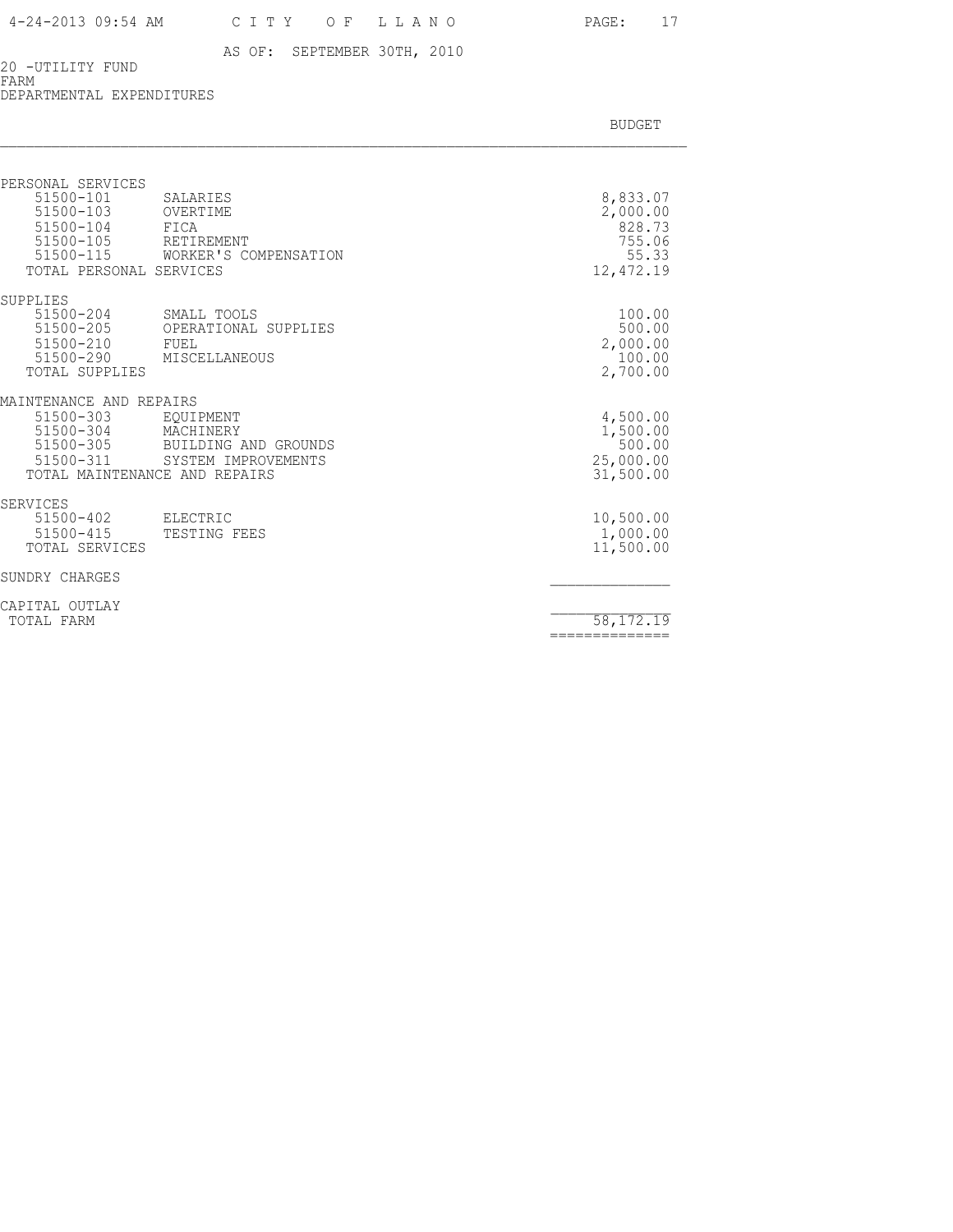#### 20 -UTILITY FUND FARM

DEPARTMENTAL EXPENDITURES

| PERSONAL SERVICES<br>$51500 - 101$<br>51500-103<br>51500-104<br>51500-105<br>51500-115<br>TOTAL PERSONAL SERVICES | SALARIES<br>OVERTIME<br>FICA<br>RETIREMENT<br>WORKER'S COMPENSATION   | 8,833.07<br>2,000.00<br>828.73<br>755.06<br>55.33<br>12,472.19 |
|-------------------------------------------------------------------------------------------------------------------|-----------------------------------------------------------------------|----------------------------------------------------------------|
| SUPPLIES<br>51500-204<br>51500-205<br>51500-210<br>51500-290<br>TOTAL SUPPLIES                                    | SMALL TOOLS<br>OPERATIONAL SUPPLIES<br>FUEL<br>MISCELLANEOUS          | 100.00<br>500.00<br>2,000.00<br>100.00<br>2,700.00             |
| MAINTENANCE AND REPAIRS<br>51500-303<br>51500-304<br>51500-305<br>51500-311<br>TOTAL MAINTENANCE AND REPAIRS      | EOUIPMENT<br>MACHINERY<br>BUILDING AND GROUNDS<br>SYSTEM IMPROVEMENTS | 4,500.00<br>1,500.00<br>500.00<br>25,000.00<br>31,500.00       |
| <b>SERVICES</b><br>51500-402<br>51500-415<br>TOTAL SERVICES                                                       | ELECTRIC<br>TESTING FEES                                              | 10,500.00<br>1,000.00<br>11,500.00                             |
| SUNDRY CHARGES                                                                                                    |                                                                       |                                                                |
| CAPITAL OUTLAY<br>TOTAL FARM                                                                                      |                                                                       | 58, 172. 19<br>==============                                  |